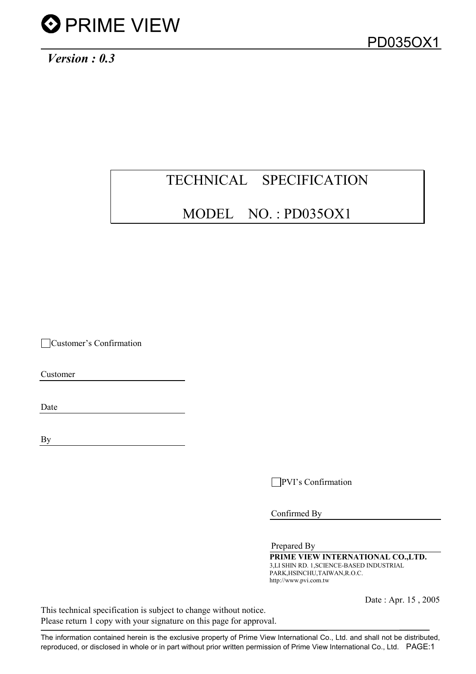*Version : 0.3*

# TECHNICAL SPECIFICATION

## MODEL NO. : PD035OX1

Customer's Confirmation

Customer

Date

By

**PVI**'s Confirmation

Confirmed By

Prepared By

PRIME VIEW INTERNATIONAL CO., LTD. 3,LI SHIN RD. 1,SCIENCE-BASED INDUSTRIAL PARK,HSINCHU,TAIWAN,R.O.C. http://www.pvi.com.tw

Date : Apr. 15 , 2005

This technical specification is subject to change without notice. Please return 1 copy with your signature on this page for approval.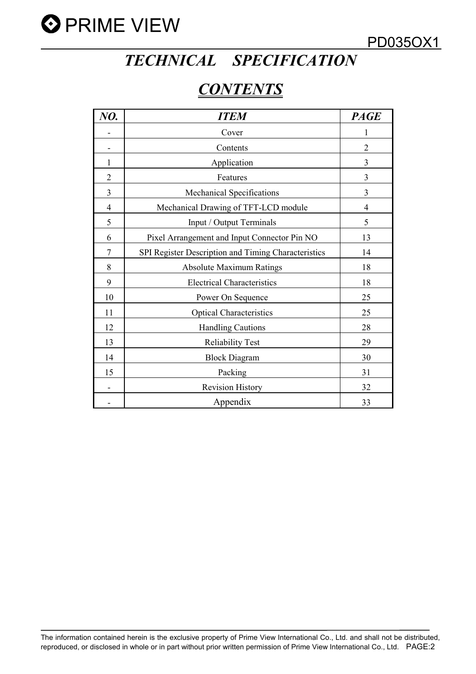

# *TECHNICAL SPECIFICATION*

## *CONTENTS*

| NO.            | <b>ITEM</b>                                         | <b>PAGE</b>    |
|----------------|-----------------------------------------------------|----------------|
|                | Cover                                               | 1              |
|                | Contents                                            | $\overline{2}$ |
| 1              | Application                                         | 3              |
| $\overline{2}$ | Features                                            | 3              |
| 3              | Mechanical Specifications                           | 3              |
| 4              | Mechanical Drawing of TFT-LCD module                | $\overline{4}$ |
| 5              | Input / Output Terminals                            | 5              |
| 6              | Pixel Arrangement and Input Connector Pin NO        | 13             |
| 7              | SPI Register Description and Timing Characteristics | 14             |
| 8              | <b>Absolute Maximum Ratings</b>                     | 18             |
| 9              | <b>Electrical Characteristics</b>                   | 18             |
| 10             | Power On Sequence                                   | 25             |
| 11             | <b>Optical Characteristics</b>                      | 25             |
| 12             | <b>Handling Cautions</b>                            | 28             |
| 13             | <b>Reliability Test</b>                             | 29             |
| 14             | <b>Block Diagram</b>                                | 30             |
| 15             | Packing                                             | 31             |
|                | <b>Revision History</b>                             | 32             |
|                | Appendix                                            | 33             |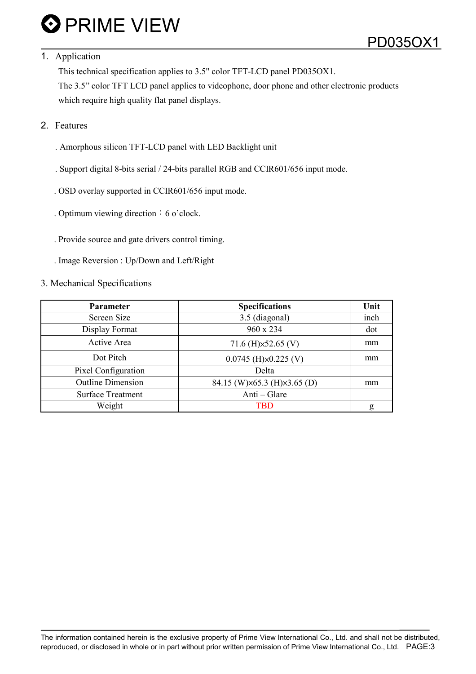### 1. Application

This technical specification applies to 3.5" color TFT-LCD panel PD035OX1.

The 3.5" color TFT LCD panel applies to videophone, door phone and other electronic products which require high quality flat panel displays.

### 2. Features

- . Amorphous silicon TFT-LCD panel with LED Backlight unit
- . Support digital 8-bits serial / 24-bits parallel RGB and CCIR601/656 input mode.
- . OSD overlay supported in CCIR601/656 input mode.
- . Optimum viewing direction  $\div$  6 o'clock.
- . Provide source and gate drivers control timing.
- . Image Reversion : Up/Down and Left/Right

### 3. Mechanical Specifications

| <b>Parameter</b>         | <b>Specifications</b>           | Unit |
|--------------------------|---------------------------------|------|
| Screen Size              | 3.5 (diagonal)                  | inch |
| Display Format           | 960 x 234                       | dot  |
| Active Area              | 71.6 (H) $\times$ 52.65 (V)     | mm   |
| Dot Pitch                | $0.0745$ (H) $\times$ 0.225 (V) | mm   |
| Pixel Configuration      | Delta                           |      |
| <b>Outline Dimension</b> | 84.15 (W)×65.3 (H)×3.65 (D)     | mm   |
| <b>Surface Treatment</b> | Anti – Glare                    |      |
| Weight                   | <b>TBD</b>                      | g    |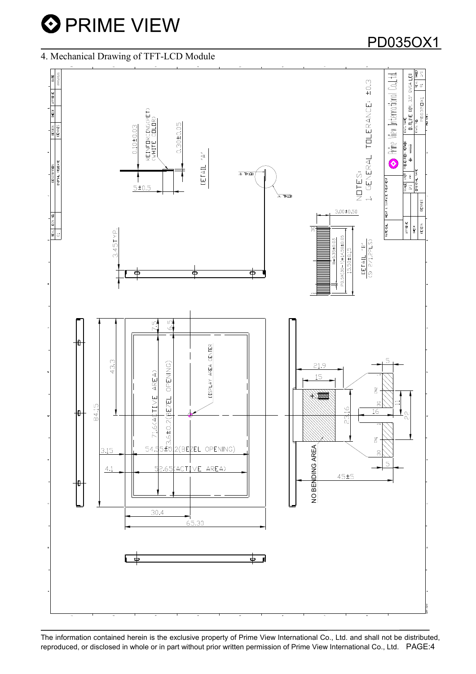### 4. Mechanical Drawing of TFT-LCD Module



The information contained herein is the exclusive property of Prime View International Co., Ltd. and shall not be distributed, reproduced, or disclosed in whole or in part without prior written permission of Prime View International Co., Ltd. PAGE:4

## PD035OX1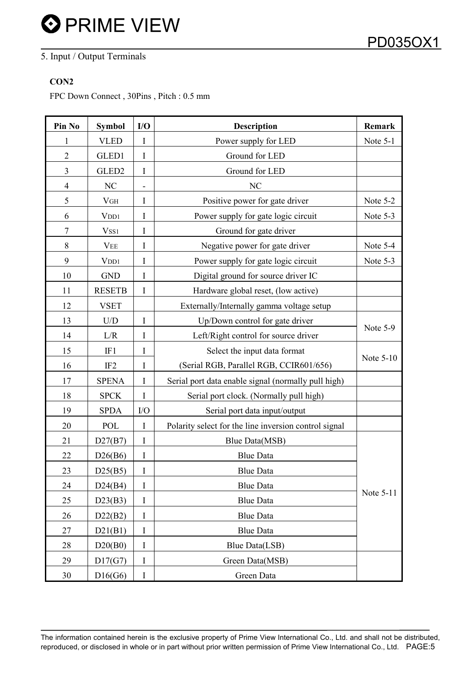### 5. Input / Output Terminals

### CON<sub>2</sub>

FPC Down Connect , 30Pins , Pitch : 0.5 mm

| Pin No         | <b>Symbol</b>     | I/O | <b>Description</b>                                    | Remark    |
|----------------|-------------------|-----|-------------------------------------------------------|-----------|
| 1              | <b>VLED</b>       | I   | Power supply for LED                                  | Note 5-1  |
| $\overline{2}$ | GLED1             | I   | Ground for LED                                        |           |
| 3              | GLED <sub>2</sub> | I   | Ground for LED                                        |           |
| 4              | NC                |     | NC                                                    |           |
| 5              | V <sub>GH</sub>   | I   | Positive power for gate driver                        | Note 5-2  |
| 6              | V <sub>DD1</sub>  | Ι   | Power supply for gate logic circuit                   | Note 5-3  |
| 7              | Vss1              | I   | Ground for gate driver                                |           |
| 8              | <b>VEE</b>        | I   | Negative power for gate driver                        | Note 5-4  |
| 9              | V <sub>DD1</sub>  | I   | Power supply for gate logic circuit                   | Note 5-3  |
| 10             | <b>GND</b>        | I   | Digital ground for source driver IC                   |           |
| 11             | <b>RESETB</b>     | I   | Hardware global reset, (low active)                   |           |
| 12             | <b>VSET</b>       |     | Externally/Internally gamma voltage setup             |           |
| 13             | U/D               | I   | Up/Down control for gate driver                       |           |
| 14             | L/R               | Ι   | Left/Right control for source driver                  | Note 5-9  |
| 15             | IF1               | I   | Select the input data format                          |           |
| 16             | IF <sub>2</sub>   | I   | (Serial RGB, Parallel RGB, CCIR601/656)               | Note 5-10 |
| 17             | <b>SPENA</b>      | I   | Serial port data enable signal (normally pull high)   |           |
| 18             | <b>SPCK</b>       | I   | Serial port clock. (Normally pull high)               |           |
| 19             | <b>SPDA</b>       | I/O | Serial port data input/output                         |           |
| 20             | <b>POL</b>        | I   | Polarity select for the line inversion control signal |           |
| 21             | D27(B7)           | I   | <b>Blue Data(MSB)</b>                                 |           |
| 22             | D26(B6)           | I   | <b>Blue Data</b>                                      |           |
| 23             | D25(B5)           | I   | <b>Blue Data</b>                                      |           |
| 24             | D24(B4)           | I   | <b>Blue Data</b>                                      |           |
| 25             | D23(B3)           | I   | <b>Blue Data</b>                                      | Note 5-11 |
| 26             | D22(B2)           | I   | <b>Blue Data</b>                                      |           |
| 27             | D21(B1)           | I   | <b>Blue Data</b>                                      |           |
| 28             | D20(B0)           | I   | Blue Data(LSB)                                        |           |
| 29             | D17(G7)           | I   | Green Data(MSB)                                       |           |
| 30             | D16(G6)           | I   | Green Data                                            |           |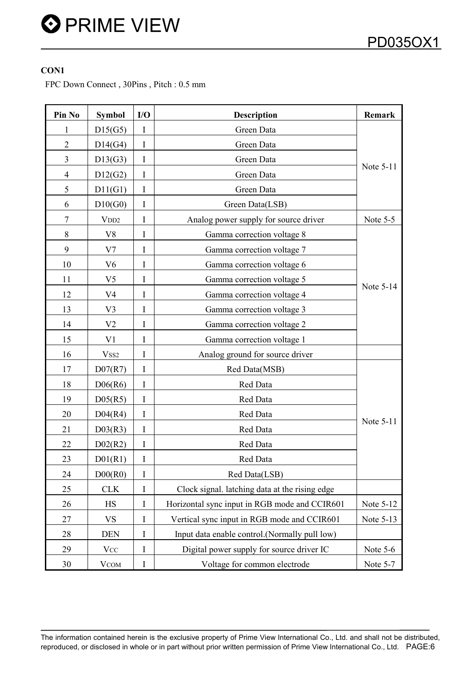### CON1

FPC Down Connect , 30Pins , Pitch : 0.5 mm

| Pin No         | <b>Symbol</b>        | I/O | <b>Description</b>                             | Remark    |
|----------------|----------------------|-----|------------------------------------------------|-----------|
| 1              | D15(G5)              | I   | Green Data                                     |           |
| $\overline{2}$ | D14(G4)              | I   | Green Data                                     |           |
| 3              | D13(G3)              | I   | Green Data                                     |           |
| $\overline{4}$ | D12(G2)              | I   | Green Data                                     | Note 5-11 |
| 5              | D11(G1)              | I   | Green Data                                     |           |
| 6              | D10(G0)              | I   | Green Data(LSB)                                |           |
| 7              | V <sub>DD2</sub>     | I   | Analog power supply for source driver          | Note 5-5  |
| 8              | V8                   | Ι   | Gamma correction voltage 8                     |           |
| 9              | V7                   | I   | Gamma correction voltage 7                     |           |
| 10             | V <sub>6</sub>       | Ι   | Gamma correction voltage 6                     |           |
| 11             | V <sub>5</sub>       | Ι   | Gamma correction voltage 5                     |           |
| 12             | V <sub>4</sub>       | Ι   | Gamma correction voltage 4                     | Note 5-14 |
| 13             | V3                   | I   | Gamma correction voltage 3                     |           |
| 14             | V <sub>2</sub>       | I   | Gamma correction voltage 2                     |           |
| 15             | V1                   | Ι   | Gamma correction voltage 1                     |           |
| 16             | V <sub>SS2</sub>     | I   | Analog ground for source driver                |           |
| 17             | D07(R7)              | I   | Red Data(MSB)                                  |           |
| 18             | D06(R6)              | I   | Red Data                                       |           |
| 19             | D <sub>05(R5)</sub>  | I   | Red Data                                       |           |
| 20             | D04(R4)              | I   | Red Data                                       |           |
| 21             | D03(R3)              | I   | Red Data                                       | Note 5-11 |
| 22             | D <sub>02</sub> (R2) | I   | Red Data                                       |           |
| 23             | D <sup>01</sup> (R1) | I   | Red Data                                       |           |
| 24             | D00(R0)              | I   | Red Data(LSB)                                  |           |
| 25             | <b>CLK</b>           | I   | Clock signal. latching data at the rising edge |           |
| 26             | <b>HS</b>            | Ι   | Horizontal sync input in RGB mode and CCIR601  | Note 5-12 |
| 27             | <b>VS</b>            | Ι   | Vertical sync input in RGB mode and CCIR601    | Note 5-13 |
| 28             | <b>DEN</b>           | I   | Input data enable control. (Normally pull low) |           |
| 29             | <b>VCC</b>           | I   | Digital power supply for source driver IC      | Note 5-6  |
| 30             | <b>VCOM</b>          | I   | Voltage for common electrode                   | Note 5-7  |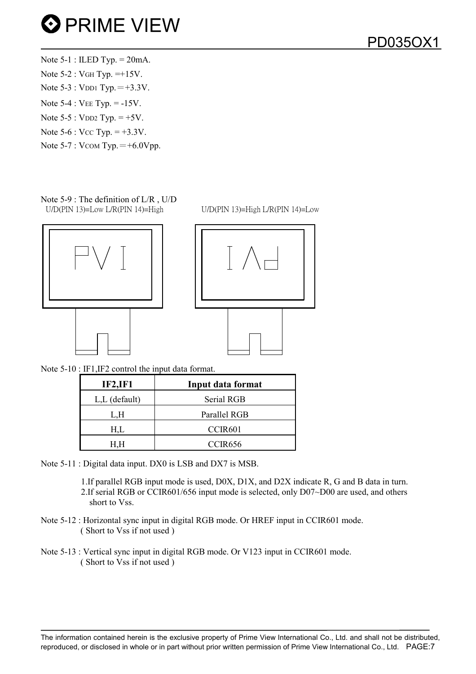Note  $5-1$ : ILED Typ. =  $20mA$ . Note 5-2 : VGH Typ. =+15V. Note  $5-3$ : VDD1 Typ.  $= +3.3V$ . Note 5-4 : VEE Typ. = -15V. Note  $5-5$ : VDD2 Typ.  $= +5V$ . Note  $5-6$  : Vcc Typ.  $= +3.3V$ . Note  $5-7$ : VCOM Typ.  $= +6.0$ Vpp.

Note 5-9 : The definition of L/R , U/D U/D(PIN 13)=Low L/R(PIN 14)=High U/D(PIN 13)=High L/R(PIN 14)=Low





Note 5-10 : IF1, IF2 control the input data format.

| <b>IF2, IF1</b>  | Input data format   |
|------------------|---------------------|
| $L, L$ (default) | Serial RGB          |
| L,H              | Parallel RGB        |
| H.L              | CCIR601             |
|                  | CCIR <sub>656</sub> |

Note 5-11 : Digital data input. DX0 is LSB and DX7 is MSB.

1.If parallel RGB input mode is used, D0X, D1X, and D2X indicate R, G and B data in turn. 2.If serial RGB or CCIR601/656 input mode is selected, only D07~D00 are used, and others short to Vss.

- Note 5-12 : Horizontal sync input in digital RGB mode. Or HREF input in CCIR601 mode. ( Short to Vss if not used )
- Note 5-13 : Vertical sync input in digital RGB mode. Or V123 input in CCIR601 mode. ( Short to Vss if not used )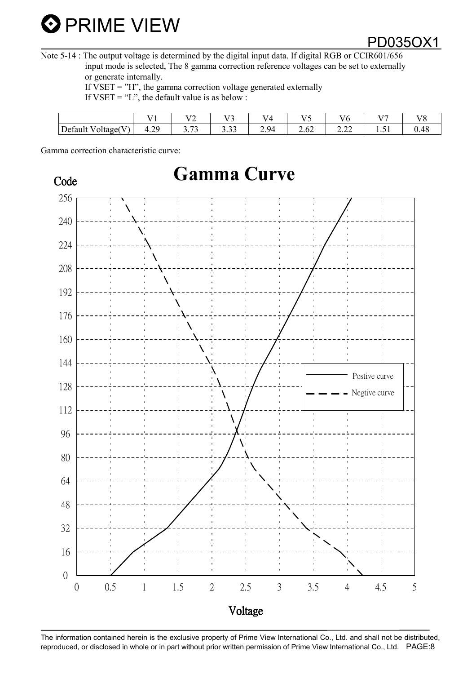Note 5-14 : The output voltage is determined by the digital input data. If digital RGB or CCIR601/656 input mode is selected, The 8 gamma correction reference voltages can be set to externally or generate internally.

If  $VSET = "H"$ , the gamma correction voltage generated externally

If VSET = "L", the default value is as below :

|                                                                     | - - -                       | <b>TTA</b><br>-         | $T$ $T$<br>- | $ -$ | T T  | $\mathbf{v}$ $\mathbf{v}$            | $\mathbf{v}$ $\mathbf{v}$ | $T$ $T$ $C$ |
|---------------------------------------------------------------------|-----------------------------|-------------------------|--------------|------|------|--------------------------------------|---------------------------|-------------|
| $\sqrt{1}$<br>$\sqrt{ }$<br>$\mathbf{v}$<br>Jefault<br>Voltage<br>v | $\bigcap$<br>`<br>--<br>т.∠ | $\sim$<br>$\sim$<br>ر ب | $\sim$<br>ر  | 2.94 | 2.02 | $\sim$<br>$\overline{\phantom{a}}\,$ | $ -$<br>1.J 1             |             |

Gamma correction characteristic curve:

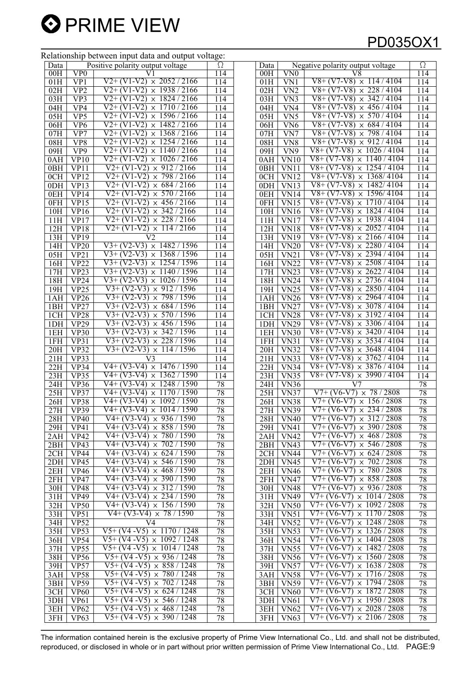#### Relationship between input data and output voltage:

## PD035OX1

|                  |                    | Relationship between input data and output voltage.   |                  |                 |                                |                                          |          |
|------------------|--------------------|-------------------------------------------------------|------------------|-----------------|--------------------------------|------------------------------------------|----------|
| Data             |                    | Positive polarity output voltage                      | Ω                | Data            |                                | Negative polarity output voltage         | $\Omega$ |
| 00H              | VP0                |                                                       | 114              | 00H             | $\rm V N0$                     | V8                                       | 114      |
| 01H              | VP1                | $\sqrt{2}$ + (V1-V2)<br>$\times$ 2052 / 2166          | 114              | 01H             | VN1                            | $V8+(V7-V8) \times 114 / 4104$           | 114      |
| 02H              | VP2                | $\times$ 1938 / 2166<br>V2+ (V1-V2)                   | 114              | 02H             | VN <sub>2</sub>                | $V8 + (V7-V8)$<br>$\times$ 228/4104      | 114      |
|                  |                    | $V2+ (V1-V2)$<br>$\times$ 1824 / 2166                 |                  |                 |                                | $V8+ (V7-V8)$<br>$\times$ 342/4104       |          |
| 03H              | VP3                |                                                       | 114              | 03H             | VN3                            |                                          | 114      |
| 04H              | VP4                | $V2+(V1-V2)$<br>$\times$ 1710/2166                    | 114              | 04H             | VN <sub>4</sub>                | $V8+ (V7-V8)$<br>$\times$ 456/4104       | 114      |
| 05H              | VP5                | $V2+(V1-V2) \times 1596/2166$                         | 114              | 05H             | VN5                            | $\times 570/4104$<br>$V8+ (V7-V8)$       | 114      |
| 06H              | VP <sub>6</sub>    | $V2+$<br>$\overline{V}$ 1-V2)<br>$\times$ 1482 / 2166 | 114              | 06H             | VN <sub>6</sub>                | V8+<br>$(V7-V8)$<br>$\times 684/4104$    | 114      |
| 07H              | VP7                | $V2+(V1-V2)$<br>$\times$ 1368 / 2166                  | 114              | 07H             | VN7                            | $V8+ (V7-V8)$<br>$\times 798/4104$       | 114      |
| 08H              | VP <sub>8</sub>    | $V2+ (V1-V2)$<br>1254/2166<br>$\times$                | 114              | 08H             | VN <sub>8</sub>                | V8+ (V7-V8)<br>912/4104<br>$\times$      | 114      |
| 09H              | VP <sub>9</sub>    | $V2+$<br>$(V1-V2)$<br>$\times$ 1140 / 2166            | 114              | 09H             | VN <sub>9</sub>                | $V8+ (V7-V8)$<br>$\times$ 1026/4104      | 114      |
|                  |                    |                                                       |                  |                 |                                |                                          |          |
| 0AH              | VP10               | $V2+(V1-V2) \times 1026 / 2166$                       | 114              | 0AH             | VNI0                           | $V8+ (V7-V8)$<br>$\times$ 1140/4104      | 114      |
| 0BH              | VP11               | $\times$ 912 / 2166<br>$V2+ (V1-V2)$                  | 114              | 0BH             | VN11                           | $\times$ 1254 / 4104<br>$V8+ (V7-V8)$    | 114      |
| 0CH              | <b>VP12</b>        | $\times 798/2166$<br>$V2+ (V1-V2)$                    | 114              | 0CH             | VN12                           | $V8+ (V7-V8)$<br>$\times$ 1368/4104      | 114      |
| 0DH              | VP13               | $V2+ (V1-V2)$<br>$\times 684 / 2166$                  | 114              | 0 <sub>DH</sub> | <b>VN13</b>                    | V8+ (V7-V8)<br>1482/4104<br>$\times$     | 114      |
| 0EH              | VP14               | $V2+(V1-V2)$<br>$\times 570/2166$                     | 114              | 0EH             | <b>VN14</b>                    | $V8 + (V7-V8)$<br>$\times$ 1596/4104     | 114      |
| 0FH              | VP15               | $V2+ (V1-V2)$<br>$\times$ 456 / 2166                  | 114              | 0FH             | <b>VN15</b>                    | $V8+ (V7-V8)$<br>$\times$ 1710 / 4104    | 114      |
| 10H              | $\overline{VP16}$  | $\times$ 342 / 2166<br>$V2+ (V1-V2)$                  | 114              | 10H             | $\overline{V}$ N <sub>16</sub> | $V8+ (V7-V8)$<br>$\times$ 1824 / 4104    | 114      |
|                  |                    |                                                       |                  |                 |                                |                                          |          |
| 11H              | <b>VP17</b>        | $\times$ 228 / 2166<br>$V2+ (V1-V2)$                  | 114              | 11H             | <b>VN17</b>                    | $V8+ (V7-V8)$<br>$\times$ 1938 / 4104    | 114      |
| 12H              | <b>VP18</b>        | $V2+$<br>$(V1-V2)$<br>114/2166<br>$\times$            | 114              | 12H             | <b>VN18</b>                    | $V8+ (V7-V8)$<br>2052/4104<br>$\times$   | 114      |
| 13H              | <b>VP19</b>        | V2                                                    | 114              | 13H             | <b>VN19</b>                    | $V8+ (V7-V8)$<br>2166/4104<br>$\times$   | 114      |
| 14H              | <b>VP20</b>        | $V3+(V2-V3) \times 1482 / 1596$                       | 114              | 14H             | <b>VN20</b>                    | $V8 + (V7-V8)$<br>$\times$ 2280 / 4104   | 114      |
| 05H              | VP21               | $\overline{V}3+ (V2-V3)$<br>$\times$ 1368 / 1596      | 114              | 05H             | VN21                           | $\times$ 2394 / 4104<br>$V8+ (V7-V8)$    | 114      |
| 16H              | VP22               | $V3+ (V2-V3)$<br>$\times$ 1254 / 1596                 | 114              | 16H             | $\overline{\text{VN22}}$       | $V8+ (V7-V8)$<br>$\times 2508 / 4104$    | 114      |
|                  | VP <sub>23</sub>   | 1140/1596<br>$\sqrt{3+(V2-V3)} \times$                | 114              |                 | <b>VN23</b>                    | $V8+ (V7-V8)$<br>2622/4104<br>$\times$   | 114      |
| 17H              |                    | $V3+ (V2-V3)$                                         |                  | 17H             |                                |                                          |          |
| 18H              | <b>VP24</b>        | $\times 1026/1596$                                    | 114              | 18H             | <b>VN24</b>                    | $V8+ (V7-V8)$<br>2736 / 4104<br>$\times$ | 114      |
| 19H              | VP <sub>25</sub>   | $\times$ 912 / 1596<br>$V3+ (V2-V3)$                  | 114              | 19H             | <b>VN25</b>                    | $V8 + (V7-V8)$<br>$\times$ 2850 / 4104   | 114      |
| 1AH              | <b>VP26</b>        | 798 / 1596<br>$V3+ (V2-V3)$<br>$\times$               | 114              | 1AH             | <b>VN26</b>                    | $\times$ 2964 / 4104<br>$V8+ (V7-V8)$    | 114      |
| 1BH              | VP27               | $V3+ (V2-V3)$<br>$\times$ 684 / 1596                  | 114              | 1BH             | <b>VN27</b>                    | $V8+ (V7-V8)$<br>$\times$ 3078 / 4104    | 114      |
| 1CH              | <b>VP28</b>        | $\times 570/1596$<br>$V3+(V2-V3)$                     | 114              | 1CH             | $\overline{\text{VN28}}$       | $V8+ (V7-V8)$<br>$\times$ 3192 / 4104    | 114      |
| 1DH              | <b>VP29</b>        | $V3+ (V2-V3)$<br>$\times$ 456 / 1596                  | 114              | 1DH             | <b>VN29</b>                    | $V8+ (V7-V8)$<br>$\times$ 3306 / 4104    | 114      |
| 1EH              | <b>VP30</b>        | $\times$ 342 /<br>$V3+ (V2-V3)$<br>1596               | 114              | 1EH             | <b>VN30</b>                    | $V8+ (V7-V8)$<br>$\times$ 3420 / 4104    | 114      |
|                  |                    | $\times$ 228 / 1596<br>$V3+ (V2-V3)$                  |                  |                 |                                | $\times$ 3534 / 4104<br>$V8+ (V7-V8)$    |          |
| 1FH              | VP31               |                                                       | 114              | 1FH             | VN31                           |                                          | 114      |
| 20H              | VP32               | $V3+(V2-V3) \times 114/1596$                          | 114              | 20H             | <b>VN32</b>                    | $V8+ (V7-V8)$<br>$\times$ 3648 / 4104    | 114      |
| 21H              | VP33               | V3                                                    | $\overline{11}4$ | 21H             | <b>VN33</b>                    | $V8+(V7-V8) \times 3762/4104$            | 114      |
| 22H              | VP34               | $V4+ (V3-V4) \times 1476 / 1590$                      | 114              | 22H             | <b>VN34</b>                    | 3876/4104<br>$V8+ (V7-V8)$<br>$\times$   | 114      |
| 23H              | VP35               | $\overline{V4+(V3-V4)} \times$<br>1362/<br>1590       | 114              | 23H             | <b>VN35</b>                    | $V8+(V7-V8) \times 3990/4104$            | 114      |
| 24H              | $\overline{VP36}$  | $\times$ 1248 / 1590<br>V4+<br>$(V3-V4)$              | 78               | 24H             | <b>VN36</b>                    | V7                                       | 78       |
| $25\overline{H}$ | VP37               | V4+<br>$(V3-V4)$<br>$\times$ 1170 / 1590              | 78               | 25H             | <b>VN37</b>                    | $V7+ (V6-V7) \times 78/2808$             | 78       |
|                  |                    | $\sqrt{4+(V3-V4)} \times 1092$ /<br>1590              |                  |                 |                                | $\times$ 156/2808<br>$V7+ (V6-V7)$       |          |
| 26H              | <b>VP38</b>        |                                                       | 78               | 26H             | <b>VN38</b>                    |                                          | 78       |
| 27H              | <b>VP39</b>        | $V4+ (V3-V4) \times 1014 / 1590$                      | 78               | 27H             | <b>VN39</b>                    | $V7+ (V6-V7) \times 234/2808$            | 78       |
| 28H              | <b>VP40</b>        | $V4+(V3-V4) \times 936 / 1590$                        | 78               | 28H             | <b>VN40</b>                    | $V7+ (V6-V7) \times 312/2808$            | 78       |
| 29H              | <b>VP41</b>        | $V4+(V3-V4) \times 858/1590$                          | 78               | 29H             | <b>VN41</b>                    | $V7+ (V6-V7) \times 390 / 2808$          | 78       |
| 2AH              | <b>VP42</b>        | $V4+ (V3-V4) \times 780 / 1590$                       | 78               | 2AH             | <b>VN42</b>                    | $V7+ (V6-V7) \times 468 / 2808$          | 78       |
| 2BH              | <b>VP43</b>        | $V4+(V3-V4) \times 702/1590$                          | 78               | 2BH             | <b>VN43</b>                    | $V7+ (V6-V7) \times 546 / 2808$          | 78       |
| 2CH              | <b>VP44</b>        | $V4+(V3-V4) \times 624/1590$                          | 78               | 2CH             | <b>VN44</b>                    | $V7+ (V6-V7) \times 624 / 2808$          | 78       |
| 2DH              | VP45               | $V4+ (V3-V4) \times 546 / 1590$                       | 78               | 2DH             | $\overline{\text{VN45}}$       | $V7+ (V6-V7) \times 702 / 2808$          | 78       |
|                  |                    |                                                       |                  |                 |                                |                                          |          |
| 2EH              | <b>VP46</b>        | $V4+(V3-V4) \times 468 / 1590$                        | 78               | 2EH             | <b>VN46</b>                    | $V7+ (V6-V7) \times 780 / 2808$          | 78       |
| 2FH              | $\overline{VP}$ 47 | $V4+(V3-V4) \times 390 / 1590$                        | 78               | 2FH             | V <sub>N47</sub>               | $V7+ (V6-V7) \times 858/2808$            | 78       |
| 30H              | VP48               | $V4+(V3-V4) \times 312/1590$                          | 78               | 30H             | <b>VN48</b>                    | $V7+(V6-V7) \times 936/2808$             | 78       |
| 31H              | <b>VP49</b>        | $V4+(V3-V4) \times 234/1590$                          | 78               | 31H             | <b>VN49</b>                    | $V7+(V6-V7) \times 1014/2808$            | 78       |
| 32H              | VP50               | $V4+ (V3-V4) \times 156 / 1590$                       | 78               | 32H             | VN50                           | $V7+ (V6-V7) \times 1092 / 2808$         | 78       |
| 33H              | VP51               | $V4+(V3-V4) \times 78/1590$                           | 78               | 33H             | $\overline{VN51}$              | $V7 + (V6-V7) \times 1170 / 2808$        | 78       |
| 34H              | <b>VP52</b>        | V4                                                    | 78               | 34H             | $\overline{VN52}$              | $V7+ (V6-V7) \times 1248 / 2808$         | 78       |
|                  |                    | $V5+ (V4 - V5) \times 1170 / 1248$                    |                  |                 |                                | $V7+(V6-V7) \times 1326/2808$            |          |
| 35H              | VP <sub>53</sub>   |                                                       | 78               | 35H             | <b>VN53</b>                    |                                          | 78       |
| 36H              | <b>VP54</b>        | $V5+ (V4 - V5) \times 1092 / 1248$                    | 78               | 36H             | <b>VN54</b>                    | $V7+ (V6-V7) \times 1404 / 2808$         | 78       |
| 37H              | VP55               | $V5+(V4-V5) \times 1014/1248$                         | 78               | 37H             | VN55                           | $V7+ (V6-V7) \times 1482 / 2808$         | 78       |
| 38H              | <b>VP56</b>        | $V5+ (V4 - V5) \times 936 / 1248$                     | 78               | 38H             | <b>VN56</b>                    | $V7+ (V6-V7) \times 1560 / 2808$         | 78       |
| 39H              | <b>VP57</b>        | $V5+ (V4 - V5) \times 858 / 1248$                     | 78               | 39H             | <b>VN57</b>                    | $V7+ (V6-V7) \times 1638 / 2808$         | 78       |
| 3AH              | <b>VP58</b>        | $V5+ (V4 - V5) \times 780 / 1248$                     | 78               | 3AH             | <b>VN58</b>                    | $V7+(V6-V7) \times 1716/2808$            | 78       |
| 3BH              | <b>VP59</b>        | $V5+ (V4 - V5) \times 702 / 1248$                     | 78               | 3BH             | <b>VN59</b>                    | $V7+(V6-V7) \times 1794/2808$            | 78       |
| 3CH              | VP60               | $V5+ (V4 - V5) \times 624 / 1248$                     | 78               | 3CH             | <b>VN60</b>                    | $V7+ (V6-V7) \times 1872 / 2808$         | 78       |
|                  |                    |                                                       |                  |                 |                                |                                          |          |
| 3DH              | VP61               | $V5+ (V4 - V5) \times 546 / 1248$                     | 78               | 3DH             | <b>VN61</b>                    | $V7+ (V6-V7) \times 1950 / 2808$         | $78\,$   |
| 3EH              | VP62               | $V5+ (V4 - V5) \times 468 / 1248$                     | 78               | 3EH             | VN62                           | $V7+ (V6-V7) \times 2028 / 2808$         | 78       |
| 3FH              | <b>VP63</b>        | $V5+ (V4 - V5) \times 390 / 1248$                     | 78               | 3FH             | <b>VN63</b>                    | $V7+ (V6-V7) \times 2106 / 2808$         | 78       |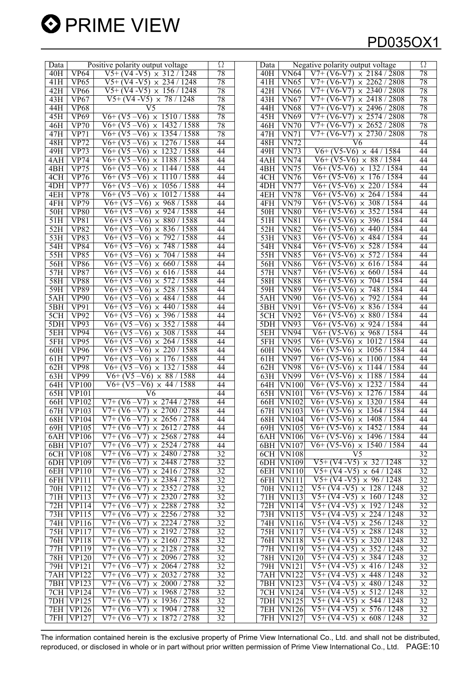| 78<br><b>VP64</b><br>$V5+ (V4 - V5) \times 312 / 1248$<br>$V7+ (V6-V7) \times 2184 / 2808$<br><b>VN64</b><br>40H<br>40H<br>$V5+(V4-V5) \times 234/1248$<br>78<br>VP65<br>$V7+ (V6-V7) \times 2262 / 2808$<br>41H<br>VN65<br>41H<br>78<br>42H<br>VP66<br>$V5+ (V4 - V5) \times 156 / 1248$<br>42H<br><b>VN66</b><br>$V7+ (V6-V7)$<br>$V5+ (V4 - V5) \times 78 / 1248$<br>78<br><b>VP67</b><br><b>VN67</b><br>$V7+ (V6-V7)$<br>43H<br>43H<br>78<br><b>VP68</b><br>$\overline{\rm V5}$<br><b>VN68</b><br>$V7+ (V6-V7)$<br>44H<br>44H | Ω<br>Negative polarity output voltage |
|-----------------------------------------------------------------------------------------------------------------------------------------------------------------------------------------------------------------------------------------------------------------------------------------------------------------------------------------------------------------------------------------------------------------------------------------------------------------------------------------------------------------------------------|---------------------------------------|
|                                                                                                                                                                                                                                                                                                                                                                                                                                                                                                                                   | 78                                    |
|                                                                                                                                                                                                                                                                                                                                                                                                                                                                                                                                   | 78                                    |
|                                                                                                                                                                                                                                                                                                                                                                                                                                                                                                                                   | 78<br>$\times$ 2340 / 2808            |
|                                                                                                                                                                                                                                                                                                                                                                                                                                                                                                                                   | $\times$ 2418 / 2808<br>78            |
|                                                                                                                                                                                                                                                                                                                                                                                                                                                                                                                                   | 78<br>$\times$ 2496 / 2808            |
| 78<br><b>VP69</b><br>$V6+(V5-V6) \times 1510/1588$<br>$V7+ (V6-V7)$<br>45H<br>45H<br><b>VN69</b>                                                                                                                                                                                                                                                                                                                                                                                                                                  | 78<br>$\times$ 2574 / 2808            |
| 78<br>VP70                                                                                                                                                                                                                                                                                                                                                                                                                                                                                                                        | 78                                    |
| $V6+(V5-V6) \times 1432/1588$<br>$V7+ (V6-V7) \times 2652 / 2808$<br>46H<br><b>VN70</b><br>46H                                                                                                                                                                                                                                                                                                                                                                                                                                    |                                       |
| 78<br>VP71<br>$V6+(V5-V6) \times 1354/1588$<br><b>VN71</b><br>$V7+ (V6-V7) \times 2730 / 2808$<br>47H<br>47H                                                                                                                                                                                                                                                                                                                                                                                                                      | 78                                    |
| $V6+(V5-V6) \times 1276/1588$<br>48H<br><b>VP72</b><br>44<br><b>VN72</b><br>48H<br>V6                                                                                                                                                                                                                                                                                                                                                                                                                                             | 44                                    |
| VP73<br>$V6+ (V5 - V6) \times 1232 / 1588$<br>44<br>$V6+ (V5-V6) \times 44 / 1584$<br>49H<br>49H<br><b>VN73</b>                                                                                                                                                                                                                                                                                                                                                                                                                   | 44                                    |
| $V6+ (V5-V6) \times 1188 / 1588$<br>44<br>$V6+(V5-V6) \times 88/1584$<br>4AH<br><b>VP74</b><br><b>VN74</b><br>4AH                                                                                                                                                                                                                                                                                                                                                                                                                 | 44                                    |
| $V6+(V5-V6) \times 1144/1588$<br>$V6+(V5-V6) \times 132/1584$<br>4BH<br>VP75<br>44<br>4BH<br><b>VN75</b>                                                                                                                                                                                                                                                                                                                                                                                                                          | 44                                    |
| <b>VP76</b><br>$V6+(V5-V6) \times 1110/1588$<br>44<br><b>VN76</b><br>$V6+ (V5-V6)$<br>4CH<br>4CH                                                                                                                                                                                                                                                                                                                                                                                                                                  | $\times$ 176 / 1584<br>44             |
| <b>VP77</b><br>$V6+ (V5-V6) \times 1056 / 1588$<br>44<br>$V6 + (V5-V6)$<br>4DH<br>4DH.<br><b>VN77</b>                                                                                                                                                                                                                                                                                                                                                                                                                             | $\times$ 220 / 1584<br>44             |
| <b>VP78</b><br>44<br>4EH<br>$V6+ (V5 - V6) \times 1012 / 1588$<br>4EH<br><b>VN78</b><br>$V6+(V5-V6) \times 264/1584$                                                                                                                                                                                                                                                                                                                                                                                                              | 44                                    |
| 44<br>$V6+ (V5-V6)$<br>4FH<br><b>VP79</b><br>$V6+ (V5 - V6) \times 968 / 1588$<br><b>VN79</b><br>4FH                                                                                                                                                                                                                                                                                                                                                                                                                              | $\times$ 308 / 1584<br>44             |
| <b>VP80</b><br>$V6+(V5-V6) \times 924/1588$<br>$V6+(V5-V6) \times 352/1584$<br>50H<br>44<br>50H<br><b>VN80</b>                                                                                                                                                                                                                                                                                                                                                                                                                    | 44                                    |
| <b>VP81</b><br>$V6+ (V5 - V6) \times 880 / 1588$<br>44<br><b>VN81</b><br>$V6+ (V5-V6) \times 396 / 1584$<br>51H<br>51H                                                                                                                                                                                                                                                                                                                                                                                                            | 44                                    |
| $V6+(V5-V6) \times 440/1584$<br>52H<br><b>VP82</b><br>$V6+ (V5 - V6) \times 836 / 1588$<br>44<br>52H<br><b>VN82</b>                                                                                                                                                                                                                                                                                                                                                                                                               | 44                                    |
| 44<br>53H<br><b>VP83</b><br>$V6+ (V5 - V6) \times 792 / 1588$<br>53H<br><b>VN83</b><br>$V6+(V5-V6) \times 484/1584$                                                                                                                                                                                                                                                                                                                                                                                                               | 44                                    |
| $V6+ (V5-V6) \times$<br>44<br>54H<br>748 / 1588<br>54H<br>$V6+ (V5-V6)$                                                                                                                                                                                                                                                                                                                                                                                                                                                           | 44<br>$\times$ 528 / 1584             |
| <b>VP84</b><br><b>VN84</b><br>$V6+(V5-V6) \times 572/1584$                                                                                                                                                                                                                                                                                                                                                                                                                                                                        |                                       |
| 55H<br><b>VP85</b><br>$V6+ (V5-V6) \times 704/1588$<br><b>VN85</b><br>44<br>55H                                                                                                                                                                                                                                                                                                                                                                                                                                                   | 44                                    |
| 56H<br><b>VP86</b><br>$V6+ (V5 - V6) \times 660 / 1588$<br>44<br><b>VN86</b><br>$V6+ (V5-V6)$<br>56H                                                                                                                                                                                                                                                                                                                                                                                                                              | $\times$ 616 / 1584<br>44             |
| 57H<br><b>VP87</b><br>$V6+ (V5 - V6) \times 616 / 1588$<br>44<br>$V6 + (V5-V6)$<br>57H<br><b>VN87</b>                                                                                                                                                                                                                                                                                                                                                                                                                             | $\times 660 / 1584$<br>44             |
| 58H<br>44<br><b>VP88</b><br>$V6+ (V5 - V6) \times 572 / 1588$<br>58H<br><b>VN88</b><br>$V6+ (V5-V6)$                                                                                                                                                                                                                                                                                                                                                                                                                              | 44<br>$\times 704 / 1584$             |
| $V6+ (V5 - V6) \times 528 / 1588$<br>44<br>$V6+ (V5-V6)$<br>59H<br><b>VP89</b><br>59H<br><b>VN89</b><br>$\times$                                                                                                                                                                                                                                                                                                                                                                                                                  | 748 / 1584<br>44                      |
| $V6+(V5-V6) \times 792 / 1584$<br>$V6+ (V5-V6) \times 484 / 1588$<br><b>VP90</b><br>44<br><b>VN90</b><br>5AH<br>5AH                                                                                                                                                                                                                                                                                                                                                                                                               | 44                                    |
| 5BH<br><b>VP91</b><br>$V6+ (V5 - V6) \times 440 / 1588$<br>44<br><b>VN91</b><br>$V6+ (V5-V6) \times 836 / 1584$<br>5BH                                                                                                                                                                                                                                                                                                                                                                                                            | 44                                    |
| $V6+ (V5 - V6) \times 396 / 1588$<br>$V6+(V5-V6) \times 880/1584$<br>5CH<br><b>VP92</b><br>44<br>V <sub>N92</sub><br>5CH                                                                                                                                                                                                                                                                                                                                                                                                          | 44                                    |
| 44<br><b>VP93</b><br>$V6+ (V5 - V6) \times 352 / 1588$<br><b>VN93</b><br>$V6+(V5-V6) \times 924 / 1584$<br>5DH<br>5DH                                                                                                                                                                                                                                                                                                                                                                                                             | 44                                    |
| <b>VP94</b><br>$V6+ (V5 - V6) \times 308 / 1588$<br>44<br>$V6+(V5-V6) \times 968/1584$<br>5EH<br>5EH<br><b>VN94</b>                                                                                                                                                                                                                                                                                                                                                                                                               | 44                                    |
| VP95<br>$V6+ (V5 - V6) \times 264 / 1588$<br>$V6+(V5-V6) \times 1012 / 1584$<br>5FH<br>44<br>5FH<br>VN95                                                                                                                                                                                                                                                                                                                                                                                                                          | 44                                    |
| <b>VP96</b><br>$V6+ (V5 - V6) \times 220 / 1588$<br>44<br><b>VN96</b><br>$V6+ (V5-V6)$<br>60H<br>60H                                                                                                                                                                                                                                                                                                                                                                                                                              | $\times$ 1056 / 1584<br>44            |
| <b>VP97</b><br>$V6+ (V5 - V6) \times 176 / 1588$<br>44<br>V <sub>N97</sub><br>$V6+ (V5-V6)$<br>61H<br>61H                                                                                                                                                                                                                                                                                                                                                                                                                         | $\times$ 1100 / 1584<br>44            |
| 44<br>62H<br><b>VP98</b><br>$V6+ (V5 - V6) \times 132 / 1588$<br><b>VN98</b><br>$V6+ (V5-V6) \times 1144 / 1584$<br>62H                                                                                                                                                                                                                                                                                                                                                                                                           | 44                                    |
| $V6+(V5-V6) \times 88/1588$<br>44<br>$V6+ (V5-V6) \times 1188 / 1584$<br>63H<br><b>VP99</b><br><b>VN99</b><br>63H                                                                                                                                                                                                                                                                                                                                                                                                                 | 44                                    |
| $V6+(V5-V6) \times 44/1588$<br>$V6+(V5-V6) \times 1232 / 1584$<br><b>VP100</b><br>44<br>$\overline{\text{VN100}}$<br>64H<br>64H                                                                                                                                                                                                                                                                                                                                                                                                   | 44                                    |
| <b>VN101</b>                                                                                                                                                                                                                                                                                                                                                                                                                                                                                                                      |                                       |
| 65H<br><b>VP101</b><br>44<br>$V6+ (V5-V6) \times 1276 / 1584$<br>V6<br>65H                                                                                                                                                                                                                                                                                                                                                                                                                                                        | 44                                    |
| $V7+ (V6-V7) \times 2744/2788$<br>44<br>$V6+ (V5-V6)$<br><b>VP102</b><br><b>VN102</b><br>66H<br>66H                                                                                                                                                                                                                                                                                                                                                                                                                               | $\times$ 1320 / 1584<br>44            |
| $V7+ (V6-V7) \times 2700 / 2788$<br>44<br>$\overline{VP103}$<br>$\overline{\text{V}N103}$<br>$V6+(V5-V6) \times 1364 / 1584$<br>67H<br>67H                                                                                                                                                                                                                                                                                                                                                                                        | 44                                    |
| 44<br>$V7+(V6-V7) \times 2656/2788$<br>68H VN104 V6+ (V5-V6) $\times$ 1408 / 1584<br>68H VP104                                                                                                                                                                                                                                                                                                                                                                                                                                    | 44                                    |
| $V7+(V6-V7) \times 2612/2788$<br>$V6+(V5-V6) \times 1452/1584$<br>69H VP105<br>69H VN105<br>44                                                                                                                                                                                                                                                                                                                                                                                                                                    | 44                                    |
| $V7+(V6-V7) \times 2568/2788$<br>$V6+(V5-V6) \times 1496 / 1584$<br>6AH   VP106  <br>6AH VN106<br>44                                                                                                                                                                                                                                                                                                                                                                                                                              | 44                                    |
| $V7+(V6-V7) \times 2524/2788$<br>$V6+(V5-V6) \times 1540 / 1584$<br>6BH VP107<br>44<br>6BH VN107                                                                                                                                                                                                                                                                                                                                                                                                                                  | 44                                    |
| $V7+(V6-V7) \times 2480/2788$<br>32<br>V <sub>5</sub><br><b>6CH VP108</b><br>6CH VN108                                                                                                                                                                                                                                                                                                                                                                                                                                            | 32                                    |
| $V7+(V6-V7) \times 2448/2788$<br>$V5+(V4-V5) \times 32/1248$<br>6DH VP109<br>$\overline{32}$<br>6DH VN109                                                                                                                                                                                                                                                                                                                                                                                                                         | 32                                    |
| $V7+(V6-V7) \times 2416/2788$<br>32<br>$V5+ (V4 - V5) \times 64 / 1248$<br>6EH VP110<br><b>6EH VN110</b>                                                                                                                                                                                                                                                                                                                                                                                                                          | 32                                    |
| $\sqrt{5+(V4-V5)} \times 96 / 1248$<br>6FH VP111<br>$V7+(V6-V7) \times 2384/2788$<br>$\overline{32}$<br>6FH VN111                                                                                                                                                                                                                                                                                                                                                                                                                 | $\overline{32}$                       |
| $V7+(V6-V7) \times 2352/2788$<br>$V5+(V4-V5) \times 128/1248$<br>70H VP112<br>$\overline{32}$<br>70H VN112                                                                                                                                                                                                                                                                                                                                                                                                                        | $\overline{32}$                       |
| 32<br>$V7+(V6-V7) \times 2320/2788$<br>$V5+(V4-V5) \times 160/1248$<br>71H VP113<br>71H VN113                                                                                                                                                                                                                                                                                                                                                                                                                                     | 32                                    |
| $V7+(V6-V7) \times 2288/2788$<br>$V5+(V4-V5) \times 192/1248$<br>72H VP114<br>$\overline{32}$<br>72H VN114                                                                                                                                                                                                                                                                                                                                                                                                                        | 32                                    |
| $V7+(V6-V7) \times 2256/2788$<br>$V5+(V4-V5) \times 224/1248$<br>73H VP115<br>32<br>73H VN115                                                                                                                                                                                                                                                                                                                                                                                                                                     | 32                                    |
|                                                                                                                                                                                                                                                                                                                                                                                                                                                                                                                                   | $\overline{32}$                       |
|                                                                                                                                                                                                                                                                                                                                                                                                                                                                                                                                   | $\overline{32}$                       |
| 74H VP116<br>$V7+(V6-V7) \times 2224/2788$<br>32<br>74H VN116<br>$V5+ (V4 - V5) \times 256 / 1248$                                                                                                                                                                                                                                                                                                                                                                                                                                | 32                                    |
| $V7+(V6-V7) \times 2192/2788$<br>$V5+ (V4 - V5) \times 288 / 1248$<br>75H VP117<br>$\overline{32}$<br>75H VN117                                                                                                                                                                                                                                                                                                                                                                                                                   |                                       |
| 32<br>$V5+(V4-V5) \times 320/1248$<br>76H VP118<br>$V7+(V6-V7) \times 2160/2788$<br>76H VN118                                                                                                                                                                                                                                                                                                                                                                                                                                     |                                       |
| $V7+(V6-V7) \times 2128/2788$<br>32<br>$V5+ (V4 - V5) \times 352 / 1248$<br>77H VP119<br>77H VN119                                                                                                                                                                                                                                                                                                                                                                                                                                | $\overline{32}$                       |
| $V7+ (V6 - V7) \times 2096 / 2788$<br>32<br>$V5+ (V4 - V5) \times 384 / 1248$<br>78H VP120<br>78H VN120                                                                                                                                                                                                                                                                                                                                                                                                                           | 32                                    |
| 79H VP121<br>$V7+(V6-V7) \times 2064/2788$<br>$\overline{32}$<br>$V5+ (V4 - V5) \times 416 / 1248$<br>79H   VN121                                                                                                                                                                                                                                                                                                                                                                                                                 | $\overline{32}$                       |
| $V7+(V6-V7) \times 2032/2788$<br>$V5+ (V4 - V5) \times 448 / 1248$<br><b>7AH VP122</b><br>$\overline{32}$<br>7AH VN122                                                                                                                                                                                                                                                                                                                                                                                                            | $\overline{32}$                       |
| $V7+(V6-V7) \times 2000 / 2788$<br>32<br>$V5+ (V4 - V5) \times 480 / 1248$<br>7BH VP123<br>7BH VN123                                                                                                                                                                                                                                                                                                                                                                                                                              | $\overline{32}$                       |
| $V7+(V6-V7) \times 1968/2788$<br>$V5+(V4-V5) \times 512/1248$<br><b>7CH VP124</b><br>$\overline{32}$<br><b>7CH VN124</b>                                                                                                                                                                                                                                                                                                                                                                                                          | $\overline{32}$                       |
| $V7+(V6-V7) \times 1936/2788$<br>32<br>$V5+ (V4 - V5) \times 544 / 1248$<br>7DH   VP125<br>7DH VN125                                                                                                                                                                                                                                                                                                                                                                                                                              | 32                                    |
| <b>7EH VP126</b><br>$V7+ (V6-V7) \times 1904 / 2788$<br>32<br>$V5+ (V4 - V5) \times 576 / 1248$<br><b>7EH VN126</b><br>$V7+(V6-V7) \times 1872/2788$<br>$V5+ (V4 - V5) \times 608 / 1248$<br><b>7FH VP127</b><br>$\overline{32}$                                                                                                                                                                                                                                                                                                  | 32<br>$\overline{32}$                 |

**O** PRIME VIEW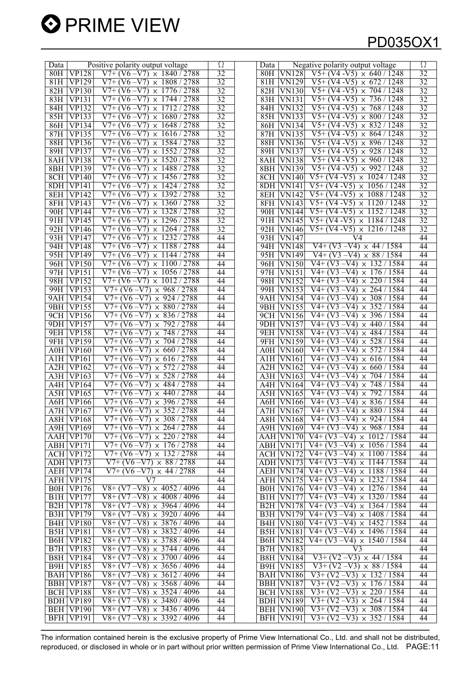

| Data             |                    | Positive polarity output voltage          | Ω               | Negative polarity output voltage<br>Data                                          | Ω               |
|------------------|--------------------|-------------------------------------------|-----------------|-----------------------------------------------------------------------------------|-----------------|
| 80H              | <b>VP128</b>       | $V7+(V6-V7) \times 1840/2788$             | $\overline{32}$ | $\sqrt{5+(V4-V5)} \times 640 / 1248$<br>80H<br><b>VN128</b>                       | 32              |
| 81H              | <b>VP129</b>       | $V7+ (V6 - V7)$<br>$\times$ 1808 / 2788   | $\overline{32}$ | <b>VN129</b><br>$V_{5+}$ (V4 -V5)<br>$\times$ 672 / 1248<br>81H                   | 32              |
| 82H              | VPI30              | $V7+(V6-V7) \times 1776/2788$             | 32              | $V5+ (V4 - V5)$<br>$\times 704 / 1248$<br>82H<br><b>VN130</b>                     | 32              |
| 83H              | <b>VP131</b>       | $V7+ (V6 - V7) \times 1744 / 2788$        | 32              | $V5+ (V4 - V5) \times 736 / 1248$<br>83H<br><b>VN131</b>                          | 32              |
| 84H              | <b>VP132</b>       | $V7+ (V6-V7)$<br>2788<br>$\times 1712/$   | 32              | $V5+ (V4 - V5)$<br>$\times 768 / 1248$<br><b>VN132</b><br>84H                     | 32              |
| 85H              | <b>VP133</b>       | $V7+(V6-V7) \times 1680/2788$             | 32              | $\times$ 800 / 1248<br>85H<br>$\overline{\text{V}}\text{N}133$<br>$V5+ (V4 - V5)$ | 32              |
| 86H              | VP134              | $V7+ (V6 - V7)$<br>$\times$ 1648/2788     | 32              | $V5+ (V4 - V5)$<br>$\times$ 832 / 1248<br>86H<br><b>VN134</b>                     | 32              |
| 87H              | $\overline{VP135}$ | $V7+ (V6 - V7)$<br>$\times 1616 / 2788$   | 32              | $V5+ (V4 - V5)$<br>$\times$ 864 / 1248<br>87H                                     | 32              |
|                  |                    |                                           |                 | <b>VN135</b>                                                                      |                 |
| 88H              | <b>VP136</b>       | $V7+ (V6-V7) \times 1584/2788$            | 32              | $V5+ (V4 - V5) \times 896 / 1248$<br>88H<br><b>VN136</b>                          | 32              |
| 89H              | <b>VP137</b>       | $V7+ (V6-V7)$<br>$\times$ 1552 / 2788     | 32              | $V5+ (V4 - V5)$<br>$\times$ 928 / 1248<br>89H<br><b>VN137</b>                     | 32              |
| 8AH              | $\overline{VP138}$ | $V7+(V6-V7) \times 1520/2788$             | 32              | $V5+ (V4 - V5)$<br>$\times$ 960 / 1248<br>8AH<br>$\overline{\text{VN}}$ 138       | 32              |
| 8BH              | <b>VP139</b>       | $\times$ 1488 / 2788<br>$V7+ (V6 - V7)$   | $\overline{32}$ | $\times$ 992 / 1248<br>8BH<br><b>VN139</b><br>V5+ (V4 -V5)                        | 32              |
| 8CH              | <b>VP140</b>       | $V7+ (V6-V7)$<br>$\times$ 1456 / 2788     | 32              | $V5+ (V4 - V5)$<br>$\times$ 1024 / 1248<br>8CH<br><b>VN140</b>                    | 32              |
| 8DH              | <b>VP141</b>       | $V7+ (V6 - V7)$<br>$\times$ 1424 / 2788   | 32              | $V5+ (V4 - V5)$<br>$\times$ 1056 / 1248<br><b>8DH VN141</b>                       | 32              |
| 8EH              | <b>VP142</b>       | $V7+ (V6 - V7)$<br>$\times$ 1392 / 2788   | 32              | $V5+ (V4 - V5)$<br>8EH<br>VN142<br>$\times$ 1088 / 1248                           | 32              |
| 8FH              | <b>VP143</b>       | $V7+ (V6-V7) \times 1360 / 2788$          | 32              | $V5+ (V4 - V5)$<br>8FH<br>VN143<br>$\times$ 1120 / 1248                           | 32              |
| 90H              | <b>VP144</b>       | $V7+ (V6 - V7)$<br>$\times$ 1328 / 2788   | $\overline{32}$ | $V5+ (V4-V5)$<br>90H<br>$\overline{\text{V}}$ N144<br>$\times$ 1152 / 1248        | $\overline{32}$ |
| 91H              | VP145              | $V7+ (V6 - V7)$<br>$\times$ 1296 / 2788   | 32              | $V5+ (V4 - V5)$<br>$\times$ 1184 / 1248<br>91H<br><b>VN145</b>                    | 32              |
| 92H              | <b>VP146</b>       | $V7+ (V6-V7) \times 1264 / 2788$          | 32              | $V5+ (V4 - V5) \times 1216 / 1248$<br>92H<br><b>VN146</b>                         | 32              |
| 93H              | <b>VP147</b>       | $V7+ (V6-V7)$<br>$\times$ 1232/2788       | 44              | 93H<br><b>VN147</b><br>V4                                                         | 44              |
| 94H              | <b>VP148</b>       | $\times$ 1188 / 2788<br>$V7+ (V6-V7)$     | 44              | $V4+(V3-V4) \times 44/1584$<br>94H<br><b>VN148</b>                                | 44              |
| 95H              | <b>VP149</b>       | $V7+ (V6-V7)$<br>$\times$ 1144 / 2788     | 44              | $V4+(V3-V4) \times 88/1584$<br>95H<br><b>VN149</b>                                | 44              |
| 96H              | <b>VP150</b>       | $V7+ (V6-V7) \times 1100 / 2788$          | 44              | $V4+(V3-V4) \times 132/1584$<br>96H<br><b>VN150</b>                               | 44              |
| 97H              | <b>VP151</b>       | $V7+ (V6 - V7)$<br>$\times$ 1056/2788     | 44              | $V4+(V3-V4) \times 176/1584$<br>97H<br><b>VN151</b>                               | 44              |
| 98H              | <b>VP152</b>       | $V7+(V6-V7) \times 1012/2788$             | 44              | $V4+(V3-V4) \times 220/1584$<br>98H<br><b>VN152</b>                               | 44              |
| 99H              | <b>VP153</b>       | $V7+ (V6 - V7) \times 968 / 2788$         | 44              | $V4+(V3-V4) \times 264/1584$<br>99H<br><b>VN153</b>                               | 44              |
| 9AH              | <b>VP154</b>       | $V7+ (V6 - V7)$<br>$\times$ 924 / 2788    | 44              | $V4+(V3-V4) \times 308 / 1584$<br>9AH<br><b>VN154</b>                             | 44              |
| 9BH              | <b>VP155</b>       | $V7+ (V6 - V7) \times 880 / 2788$         | 44              | $V4+(V3-V4) \times 352/1584$<br>9BH<br><b>VN155</b>                               | 44              |
| 9CH              | VPI56              | $V7+ (V6-V7)$<br>$\times$ 836 / 2788      | 44              | $V4+(V3-V4) \times 396/1584$<br><b>9CH VN156</b>                                  | 44              |
| 9DH              | <b>VP157</b>       | $V7+ (V6-V7)$<br>792 / 2788<br>$\times$   | 44              | $V4+(V3-V4) \times 440 / 1584$<br>9DH VN157                                       | 44              |
| 9EH              | <b>VP158</b>       | $V7+ (V6-V7)$<br>$\times 748/2788$        | 44              | $V4+(V3-V4) \times 484/1584$<br>9EH<br><b>VN158</b>                               | 44              |
| 9FH              | <b>VP159</b>       | $V7+ (V6 - V7)$<br>704 / 2788<br>$\times$ | 44              | $V4+(V3-V4) \times 528/1584$<br>9FH<br><b>VN159</b>                               | 44              |
| A0H              | <b>VP160</b>       | $V7+ (V6-V7)$<br>$\times 660 / 2788$      | 44              | $V4+(V3-V4) \times 572/1584$<br>A0H<br><b>VN160</b>                               | 44              |
| A1H              | <b>VP161</b>       | $V7+ (V6-V7)$<br>$\times$ 616/2788        | 44              | $V4+(V3-V4)$<br>$\times$ 616 / 1584<br>A <sub>1</sub> H V <sub>N161</sub>         | 44              |
| A2H              | <b>VP162</b>       | $V7+ (V6-V7)$<br>$\times 572/2788$        | 44              | $\overline{V4+ (V3 - V4) \times 660 / 1584}$<br><b>A2H VN162</b>                  | 44              |
| A3H              | <b>VP163</b>       | $V7+ (V6-V7) \times 528/2788$             | 44              | $V4+ (V3 - V4) \times 704 / 1584$<br>A3H<br><b>VN163</b>                          | 44              |
| A4H              | <b>VP164</b>       | V7+ (V6<br>$-V7$<br>$\times$ 484 $/2788$  | 44              | $\times 748/1584$<br>V4+ (V3 –V4)<br>A4H<br><b>VN164</b>                          | 44              |
| A5H              | <b>VP165</b>       | $V7+ (V6-V7)$<br>$\times$ 440 / 2788      | 44              | $\overline{\text{ASH}}$<br>$V4+(V3-V4) \times 792 / 1584$<br><b>VN165</b>         | 44              |
| A6H              | <b>VP166</b>       | $V7+ (V6-V7)$<br>$\times$ 396 / 2788      | 44              | $V4+ (V3 - V4)$<br>$\times$ 836 / 1584<br><b>A6H</b> VN166                        | 44              |
| A7H              | <b>VP167</b>       | $V7+ (V6 - V7) \times 352 / 2788$         | 44              | $V4+(V3-V4) \times 880 / 1584$<br><b>A7H VN167</b>                                | 44              |
|                  | <b>A8H VP168</b>   | $V7+ (V6 - V7) \times 308 / 2788$         | 44              | A8H VN168 V4+ (V3 - V4) $\times$ 924 / 1584                                       | 44              |
|                  | A9H VP169          | $V7+ (V6 - V7) \times 264 / 2788$         | 44              | $V4+(V3-V4) \times 968 / 1584$<br><b>A9H VN169</b>                                | 44              |
|                  | AAH VP170          | $V7+(V6-V7) \times 220/2788$              | 44              | AAH VN170 V4+ (V3 - V4) $\times$ 1012 / 1584                                      | 44              |
|                  | ABH VP171          | $V7+ (V6 - V7) \times 176 / 2788$         | 44              | $V4+ (V3 - V4) \times 1056 / 1584$<br>ABH VN171                                   | 44              |
|                  | <b>ACH VP172</b>   | $V7+(V6-V7) \times 132/2788$              | 44              | $\overline{V4+ (V3 - V4) \times 1100 / 1584}$<br>ACH VN172                        | 44              |
|                  | ADH VP173          | $V7+(V6-V7) \times 88/2788$               | 44              | $V4+(V3-V4) \times 1144 / 1584$<br>ADH VN173                                      | 44              |
|                  | AEH VP174          | $V7+ (V6 - V7) \times 44 / 2788$          | 44              | $V4+ (V3 - V4) \times 1188 / 1584$<br><b>AEH VN174</b>                            | 44              |
|                  | AFH VP175          | V <sub>7</sub>                            | 44              | $V4+(V3-V4) \times 1232 / 1584$<br>AFH VN175                                      | 44              |
|                  | <b>B0H VP176</b>   | $V8+(V7-V8) \times 4052/4096$             | 44              | $V4+ (V3 - V4) \times 1276 / 1584$<br><b>B0H VN176</b>                            | 44              |
|                  | <b>B1H VP177</b>   | $V8+(V7-V8) \times 4008 / 4096$           | 44              | $V4+(V3-V4) \times 1320 / 1584$<br><b>B1H VN177</b>                               | 44              |
|                  | <b>B2H VP178</b>   | $V8+(V7-V8) \times 3964/4096$             | 44              | $\overline{V4+ (V3 - V4)} \times 1364 / 1584$<br><b>B2H VN178</b>                 | 44              |
|                  | <b>B3H VP179</b>   | $V8+(V7-V8) \times 3920/4096$             | 44              | $V4+ (V3 - V4) \times 1408 / 1584$<br><b>B3H VN179</b>                            | 44              |
| B <sub>4</sub> H | <b>VP180</b>       | $V8+(V7-V8) \times 3876/4096$             | 44              | $V4+(V3-V4) \times 1452 / 1584$<br><b>B4H VN180</b>                               | 44              |
|                  | <b>B5H VP181</b>   | $V8+(V7-V8) \times 3832/4096$             | 44              | $V4+ (V3 - V4) \times 1496 / 1584$<br><b>B5H VN181</b>                            | 44              |
|                  | <b>B6H VP182</b>   | $V8+(V7-V8) \times 3788/4096$             | 44              | $V4+(V3-V4) \times 1540 / 1584$<br><b>B6H VN182</b>                               | 44              |
|                  | <b>B7H VP183</b>   | $V8+(V7-V8) \times 3744/4096$             | 44              | <b>B7H VN183</b><br>V <sub>3</sub>                                                | 44              |
|                  | <b>B8H VP184</b>   | $V8+(V7-V8) \times 3700/4096$             | 44              | $V3+(V2-V3) \times 44/1584$<br><b>B8H VN184</b>                                   | 44              |
| B9H              | <b>VP185</b>       | $V8+(V7-V8) \times 3656/4096$             | 44              | $V3+(V2-V3) \times 88/1584$<br><b>B9H VN185</b>                                   | 44              |
|                  | BAH VP186          | $V8+(V7-V8) \times 3612/4096$             | 44              | <b>BAH VN186</b><br>$V3+(V2-V3) \times 132 / 1584$                                | 44              |
|                  | BBH VP187          | $V8+(V7-V8) \times 3568/4096$             | 44              | $\sqrt{3+(V2-V3)} \times 176/1584$<br>BBH VN187                                   | 44              |
|                  | BCH VP188          | $V8+(V7-V8) \times 3524/4096$             | 44              | <b>BCH VN188</b><br>$V3+(V2-V3) \times 220 / 1584$                                | 44              |
|                  | BDH VP189          | $V8+(V7-V8) \times 3480/4096$             | 44              | $V3+(V2-V3) \times 264/1584$<br><b>BDH VN189</b>                                  | 44              |
| <b>BEH</b>       | <b>VP190</b>       | $V8+(V7-V8) \times 3436/4096$             | 44              | $\sqrt{3+(V2-V3)} \times 308/1584$<br><b>BEH VN190</b>                            | 44              |
|                  | <b>BFH VP191</b>   | $V8+(V7-V8) \times 3392/4096$             | 44              | $V3+(V2-V3) \times 352/1584$<br>BFH VN191                                         | 44              |
|                  |                    |                                           |                 |                                                                                   |                 |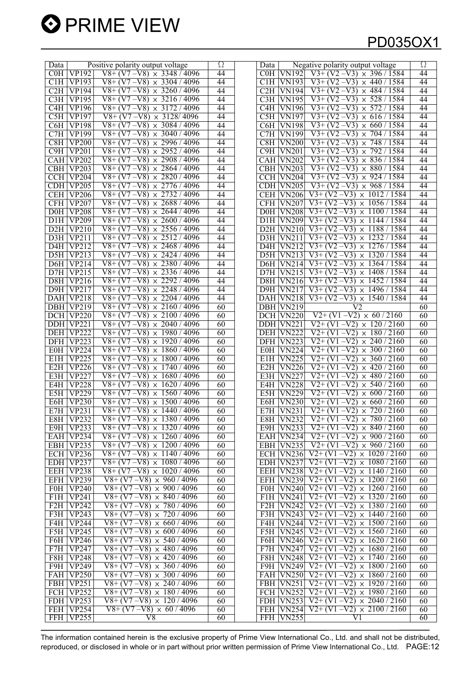

| $V8+(V7-V8) \times 3348/4096$<br>COH<br><b>VP192</b><br>44<br>$\sqrt{3+(V2-V3)} \times 396/1584$<br>C0H<br><b>VN192</b><br>$V8+ (V7 - V8)$<br>$\times$ 3304 / 4096<br>C1H<br>VP193<br>44<br><b>VN193</b><br>$V3+ (V2 - V3)$<br>$\times$ 440 / 1584<br>C1H -<br>44<br>C2H<br>$\overline{VP194}$<br>$V8+(V7-V8) \times 3260/4096$<br>C2H<br><b>VN194</b><br>$V3+ (V2 - V3)$<br>$\times$ 484 / 1584<br>$V8+(V7-V8) \times 3216/4096$<br>$\sqrt{3+(12-11)} \times 528/1584$<br>C3H<br><b>VP195</b><br>44<br>C3H<br><b>VN195</b><br>C <sub>4</sub> H<br>$V8+ (V7 - V8)$<br>$\times$ 3172 / 4096<br>44<br>$V3+ (V2 - V3)$<br>$\times$ 572 / 1584<br><b>VP196</b><br>C4H<br><b>VN196</b><br>C5H<br><b>VP197</b><br>$V8+(V7-V8) \times 3128/4096$<br>44<br>C5H<br>$V3+(V2-V3) \times 616/1584$<br><b>VN197</b><br>$V8+(V7-V8)$<br>$\times$ 3084 / 4096<br>$V3+ (V2 - V3)$<br>$\times 660 / 1584$<br>C6H<br><b>VP198</b><br>44<br><b>VN198</b><br>C6H<br>C7H<br>$V8+(V7-V8) \times 3040/4096$<br>44<br><b>VP199</b><br>C7H<br><b>VN199</b><br>$V3+ (V2 - V3)$<br>$\times 704 / 1584$<br>$V8+(V7-V8) \times 2996/4096$<br>$V3+ (V2 - V3)$<br>C8H<br><b>VP200</b><br>44<br>C8H<br><b>VN200</b><br>748 / 1584<br>$\times$<br>C9H<br>$V8+ (V7 - V8)$<br>$\times$ 2952 / 4096<br>44<br>$V3+ (V2 - V3)$<br>792/<br>1584<br><b>VP201</b><br>C9H-<br><b>VN201</b><br>$\times$<br>$V8+(V7-V8) \times 2908/4096$<br>$V3+(V2-V3) \times 836/1584$<br><b>VP202</b><br>44<br>CAH VN202<br><b>CAH</b><br>$V8+ (V7 - V8)$<br>$\times$ 2864 / 4096<br>$\times 880/$<br><b>CBH</b><br><b>VP203</b><br>44<br><b>VN203</b><br>$V3+ (V2 - V3)$<br>1584<br>CBH<br>44<br><b>CCH</b><br><b>VP204</b><br>$V8+(V7-V8) \times 2820/4096$<br>$V3+(V2-V3)$<br>$\times$ 924 / 1584<br>CCH<br><b>VN204</b><br><b>VP205</b><br>$V8+(V7-V8) \times 2776/4096$<br>44<br>CDH VN205<br>$V3+(V2-V3) \times 968 / 1584$<br>CDH<br>$V8+(V7-V8)$<br>44<br><b>CEH</b><br><b>VP206</b><br>$\times$ 2732 / 4096<br><b>VN206</b><br>$V3+ (V2 - V3)$<br>$\times 1012$<br>/ 1584<br>CEH<br><b>CFH</b><br><b>VP207</b><br>$V8+(V7-V8) \times 2688/4096$<br>44<br>$V3+ (V2 - V3)$<br>$\times 1056 / 1584$<br>CFH VN207<br>$V8+(V7-V8)$<br>$\times$ 2644 / 4096<br><b>VP208</b><br>44<br><b>VN208</b><br>$V_3$ + (V2 –V3)<br>1584<br>$_{\rm DOH}$<br>D0H.<br>$\times$ 1100<br>$V8+(V7-V8) \times 2600/4096$<br>44<br><b>VP209</b><br><b>VN209</b><br>$V3+ (V2 - V3)$<br>$\times$ 1144 / 1584<br>D1H<br>D1H<br>$V8+(V7-V8) \times 2556/4096$<br><b>VP210</b><br>44<br>$V3+ (V2 - V3)$<br>$\times$ 1188/<br>1584<br>D2H<br>D2H<br><b>VN210</b><br>$V8+(V7-V8)$<br>$\times 2512 / 4096$<br>$V3+(V2-V3)$<br><b>VP211</b><br>44<br><b>VN211</b><br>$\times$ 1232 / 1584<br>D <sub>3H</sub><br>$\overline{\text{D3H}}$<br>$V8+(V7-V8) \times 2468/4096$<br>$V3+ (V2 - V3)$<br>$\times$ 1276 / 1584<br>D4H<br><b>VP212</b><br>44<br><b>D4H VN212</b><br>$V8+ (V7 - V8)$<br>$\times$ 2424<br>$\times$ 1320<br>D5H<br>VP213<br>/4096<br>44<br>D5H<br>VN213<br>$V3+$<br>$(V2 - V3)$<br>1584<br>$V8+(V7-V8) \times 2380/4096$<br>44<br>VP214<br>$V3+ (V2 - V3)$<br>$\times$ 1364 / 1584<br>D6H<br>D6H<br><b>VN214</b><br>$V8+(V7-V8) \times 2336/4096$<br>VP215<br>44<br><b>VN215</b><br>$V3+ (V2 - V3)$<br>1408/<br>1584<br>D7H<br>D7H<br>$\times$<br>$V8+(V7-V8)$<br>$\times$ 2292 / 4096<br>$V3+ (V2)$<br>D8H<br><b>VP216</b><br>44<br><b>VN216</b><br>$\overline{-V3}$<br>$\times$ 1452<br>1584<br>D8H<br>$V8+(V7-V8) \times 2248/4096$<br>$V3+ (V2 - V3)$<br>$\times$ 1496 / 1584<br>D9H<br><b>VP217</b><br>44<br><b>D9H VN217</b><br>$V8+ (V7 - V8)$<br>$\times$ 2204 / 4096<br>$V3+ (V2 - V3)$<br>$\times$ 1540 / 1584<br><b>VP218</b><br>44<br><b>VN218</b><br>DAH<br>DAH<br>$V8+(V7-V8) \times 2160/4096$<br>60<br><b>VP219</b><br><b>VN219</b><br>V <sub>2</sub><br><b>DBH</b><br>DBH<br>$V8+(V7-V8) \times 2100/4096$<br>60<br><b>VP220</b><br>DCH VN220<br>$\overline{V2+(V1-V2)} \times 60/2160$<br>DCH<br>$V8+(V7-V8)$<br>$\times 2040 / 4096$<br>$V_{2+}(V_1)$<br><b>VP221</b><br>60<br><b>VN221</b><br>$-V2$<br>$\times$ 120 / 2160<br><b>DDH</b><br>DDH I<br><b>VP222</b><br>$V8+(V7-V8) \times 1980/4096$<br>60<br>$V2+(V1-V2) \times 180/2160$<br><b>DEH</b><br>DEH VN222<br>$V8+ (V7 - V8)$<br>$\times$ 1920 / 4096<br>$\times$ 240/2160<br><b>VP223</b><br>60<br><b>VN223</b><br>V2+ (V1<br>$-V2$<br>DFH<br>DFH.<br>$V8+ (V7 - V8)$<br>60<br><b>VP224</b><br>$\times$ 1860 / 4096<br>$V2+(V1-V2)$<br>$\times$ 300 / 2160<br><b>E0H</b><br>E0H<br><b>VN224</b><br>60<br>$\times$ 360/2160<br><b>VP225</b><br>$V8+(V7-V8) \times 1800/4096$<br><b>VN225</b><br>$V2+ (V1)$<br>$-V2)$<br>E1H<br>E1H-<br>$V8+(V7-V8)$<br><b>VP226</b><br>$\times$ 1740 / 4096<br>60<br>$V2+ (V1)$<br>$-V2)$<br>$\times$ 420/2160<br>E2H<br>E <sub>2</sub> H<br><b>VN226</b><br>E3H<br><b>VP227</b><br>$V8+(V7-V8) \times 1680/4096$<br>60<br>$V2+(V1-V2) \times 480/2160$<br>E3H<br><b>VN227</b><br>$V8+(V7-V8)$<br><b>VP228</b><br>$\mathsf X$<br>1620 / 4096<br>60<br><b>VN228</b><br>V2+ (V1<br>$-V2$<br>$\times$ 540/2160<br>E4H<br>E4H<br>$V8+ (V7 - V8)$<br>60<br>E5H<br><b>VP229</b><br>$\times$ 1560 / 4096<br>E5H<br>$\overline{\text{VN229}}$<br>$V2+(V1-V2)$<br>$\times 600/2160$<br>60<br><b>VP230</b><br>$V8+(V7-V8) \times 1500/4096$<br>$V2+ (V1)$<br>$-V2)$<br>$\times$ 660 / 2160<br>E6H<br>E6H<br><b>VN230</b><br>$V8+(V7-V8) \times 1440/4096$<br>$V2+(V1-V2) \times$<br>720 / 2160<br><b>VP231</b><br>60<br><b>VN231</b><br>E7H<br>E7H<br>60<br>E8H VN232 $V2+(V1-V2) \times 780/2160$<br><b>E8H VP232</b><br>$V8+(V7-V8) \times 1380/4096$<br>$V2+(V1-V2) \times 840/2160$<br>$V8+(V7-V8) \times 1320/4096$<br>60<br>E9H $ VP233$<br>E9H VN233<br>$V8+(V7-V8) \times 1260/4096$<br>$V2+(V1-V2) \times 900/2160$<br><b>VP234</b><br>60<br>EAH VN234<br>EAH  <br>EBH VP235<br>$V8+(V7-V8) \times 1200/4096$<br>60<br>EBH VN235<br>$V2+(V1-V2) \times 960/2160$<br>$V8+(V7-V8) \times 1140/4096$<br>$V2+(V1-V2) \times 1020 / 2160$<br>ECH VP236<br>ECH VN236<br>60<br>$V2+(V1-V2) \times 1080 / 2160$<br>EDH VP237<br>$V8+(V7-V8) \times 1080/4096$<br>EDH VN237<br>60<br><b>VP238</b><br>$V8+(V7-V8) \times 1020 / 4096$<br>$V2+ (V1 - V2)$<br>$\times$ 1140 / 2160<br>EEH<br>60<br>EEH<br><b>VN238</b><br>$V8+(V7-V8) \times 960 / 4096$<br>$V2+(V1-V2)$<br>$\times$ 1200 / 2160<br><b>VP239</b><br>60<br><b>VN239</b><br>EFH<br><b>EFH</b><br><b>F0H VP240</b><br>$V8+(V7-V8) \times 900/4096$<br>60<br>$V2+(V1-V2)$<br>$\times$ 1260 / 2160<br><b>F0H VN240</b><br>$V8+(V7-V8) \times 840/4096$<br>$V2+(V1-V2)$<br>VP241<br>$\times$ 1320 / 2160<br>F1H<br>60<br>F1H<br><b>VN241</b><br>$V2+(V1-V2)$<br>F2H<br><b>VP242</b><br>$V8+(V7-V8) \times 780/4096$<br>F2H<br><b>VN242</b><br>$\times$ 1380 / 2160<br>60<br>F3H<br>VP243<br>$V8+(V7-V8) \times 720 / 4096$<br>$V2+ (V1 - V2)$<br>$\times$ 1440 / 2160<br>60<br>F3H<br>VN243<br>$V8+(V7-V8) \times 660/4096$<br>60<br>$V2+(V1-V2) \times 1500/2160$<br>F4H<br><b>VP244</b><br>F4H<br><b>VN244</b><br><b>VP245</b><br>$V8+(V7-V8) \times 600/4096$<br>60<br>$V2+ (V1 - V2)$<br>$\times$ 1560 / 2160<br>F5H<br>F5H<br><b>VN245</b> |
|--------------------------------------------------------------------------------------------------------------------------------------------------------------------------------------------------------------------------------------------------------------------------------------------------------------------------------------------------------------------------------------------------------------------------------------------------------------------------------------------------------------------------------------------------------------------------------------------------------------------------------------------------------------------------------------------------------------------------------------------------------------------------------------------------------------------------------------------------------------------------------------------------------------------------------------------------------------------------------------------------------------------------------------------------------------------------------------------------------------------------------------------------------------------------------------------------------------------------------------------------------------------------------------------------------------------------------------------------------------------------------------------------------------------------------------------------------------------------------------------------------------------------------------------------------------------------------------------------------------------------------------------------------------------------------------------------------------------------------------------------------------------------------------------------------------------------------------------------------------------------------------------------------------------------------------------------------------------------------------------------------------------------------------------------------------------------------------------------------------------------------------------------------------------------------------------------------------------------------------------------------------------------------------------------------------------------------------------------------------------------------------------------------------------------------------------------------------------------------------------------------------------------------------------------------------------------------------------------------------------------------------------------------------------------------------------------------------------------------------------------------------------------------------------------------------------------------------------------------------------------------------------------------------------------------------------------------------------------------------------------------------------------------------------------------------------------------------------------------------------------------------------------------------------------------------------------------------------------------------------------------------------------------------------------------------------------------------------------------------------------------------------------------------------------------------------------------------------------------------------------------------------------------------------------------------------------------------------------------------------------------------------------------------------------------------------------------------------------------------------------------------------------------------------------------------------------------------------------------------------------------------------------------------------------------------------------------------------------------------------------------------------------------------------------------------------------------------------------------------------------------------------------------------------------------------------------------------------------------------------------------------------------------------------------------------------------------------------------------------------------------------------------------------------------------------------------------------------------------------------------------------------------------------------------------------------------------------------------------------------------------------------------------------------------------------------------------------------------------------------------------------------------------------------------------------------------------------------------------------------------------------------------------------------------------------------------------------------------------------------------------------------------------------------------------------------------------------------------------------------------------------------------------------------------------------------------------------------------------------------------------------------------------------------------------------------------------------------------------------------------------------------------------------------------------------------------------------------------------------------------------------------------------------------------------------------------------------------------------------------------------------------------------------------------------------------------------------------------------------------------------------------------------------------------------------------------------------------------------------------------------------------------------------------------------------------------------------------------------------------------------------------------------------------------------------------------------------------------------------------------------------------------------------------------------------------------------------------------------------------------------------------------------------------------------------------------------------------------------------------------------------------------------------------------------------------------------------------------------------------------------------------------------------------------------------------------------------------------------------------------------------------------------------------------------------------------------------------------------------------------------------------------------------------------------------------------------------------------------------------------------------------------------------------------------------------------------------------------------------------------------------------------------------------------------------------------------------------------------------------------------------------|
|                                                                                                                                                                                                                                                                                                                                                                                                                                                                                                                                                                                                                                                                                                                                                                                                                                                                                                                                                                                                                                                                                                                                                                                                                                                                                                                                                                                                                                                                                                                                                                                                                                                                                                                                                                                                                                                                                                                                                                                                                                                                                                                                                                                                                                                                                                                                                                                                                                                                                                                                                                                                                                                                                                                                                                                                                                                                                                                                                                                                                                                                                                                                                                                                                                                                                                                                                                                                                                                                                                                                                                                                                                                                                                                                                                                                                                                                                                                                                                                                                                                                                                                                                                                                                                                                                                                                                                                                                                                                                                                                                                                                                                                                                                                                                                                                                                                                                                                                                                                                                                                                                                                                                                                                                                                                                                                                                                                                                                                                                                                                                                                                                                                                                                                                                                                                                                                                                                                                                                                                                                                                                                                                                                                                                                                                                                                                                                                                                                                                                                                                                                                                                                                                                                                                                                                                                                                                                                                                                                                                                                                                                                                                            |
|                                                                                                                                                                                                                                                                                                                                                                                                                                                                                                                                                                                                                                                                                                                                                                                                                                                                                                                                                                                                                                                                                                                                                                                                                                                                                                                                                                                                                                                                                                                                                                                                                                                                                                                                                                                                                                                                                                                                                                                                                                                                                                                                                                                                                                                                                                                                                                                                                                                                                                                                                                                                                                                                                                                                                                                                                                                                                                                                                                                                                                                                                                                                                                                                                                                                                                                                                                                                                                                                                                                                                                                                                                                                                                                                                                                                                                                                                                                                                                                                                                                                                                                                                                                                                                                                                                                                                                                                                                                                                                                                                                                                                                                                                                                                                                                                                                                                                                                                                                                                                                                                                                                                                                                                                                                                                                                                                                                                                                                                                                                                                                                                                                                                                                                                                                                                                                                                                                                                                                                                                                                                                                                                                                                                                                                                                                                                                                                                                                                                                                                                                                                                                                                                                                                                                                                                                                                                                                                                                                                                                                                                                                                                            |
|                                                                                                                                                                                                                                                                                                                                                                                                                                                                                                                                                                                                                                                                                                                                                                                                                                                                                                                                                                                                                                                                                                                                                                                                                                                                                                                                                                                                                                                                                                                                                                                                                                                                                                                                                                                                                                                                                                                                                                                                                                                                                                                                                                                                                                                                                                                                                                                                                                                                                                                                                                                                                                                                                                                                                                                                                                                                                                                                                                                                                                                                                                                                                                                                                                                                                                                                                                                                                                                                                                                                                                                                                                                                                                                                                                                                                                                                                                                                                                                                                                                                                                                                                                                                                                                                                                                                                                                                                                                                                                                                                                                                                                                                                                                                                                                                                                                                                                                                                                                                                                                                                                                                                                                                                                                                                                                                                                                                                                                                                                                                                                                                                                                                                                                                                                                                                                                                                                                                                                                                                                                                                                                                                                                                                                                                                                                                                                                                                                                                                                                                                                                                                                                                                                                                                                                                                                                                                                                                                                                                                                                                                                                                            |
|                                                                                                                                                                                                                                                                                                                                                                                                                                                                                                                                                                                                                                                                                                                                                                                                                                                                                                                                                                                                                                                                                                                                                                                                                                                                                                                                                                                                                                                                                                                                                                                                                                                                                                                                                                                                                                                                                                                                                                                                                                                                                                                                                                                                                                                                                                                                                                                                                                                                                                                                                                                                                                                                                                                                                                                                                                                                                                                                                                                                                                                                                                                                                                                                                                                                                                                                                                                                                                                                                                                                                                                                                                                                                                                                                                                                                                                                                                                                                                                                                                                                                                                                                                                                                                                                                                                                                                                                                                                                                                                                                                                                                                                                                                                                                                                                                                                                                                                                                                                                                                                                                                                                                                                                                                                                                                                                                                                                                                                                                                                                                                                                                                                                                                                                                                                                                                                                                                                                                                                                                                                                                                                                                                                                                                                                                                                                                                                                                                                                                                                                                                                                                                                                                                                                                                                                                                                                                                                                                                                                                                                                                                                                            |
|                                                                                                                                                                                                                                                                                                                                                                                                                                                                                                                                                                                                                                                                                                                                                                                                                                                                                                                                                                                                                                                                                                                                                                                                                                                                                                                                                                                                                                                                                                                                                                                                                                                                                                                                                                                                                                                                                                                                                                                                                                                                                                                                                                                                                                                                                                                                                                                                                                                                                                                                                                                                                                                                                                                                                                                                                                                                                                                                                                                                                                                                                                                                                                                                                                                                                                                                                                                                                                                                                                                                                                                                                                                                                                                                                                                                                                                                                                                                                                                                                                                                                                                                                                                                                                                                                                                                                                                                                                                                                                                                                                                                                                                                                                                                                                                                                                                                                                                                                                                                                                                                                                                                                                                                                                                                                                                                                                                                                                                                                                                                                                                                                                                                                                                                                                                                                                                                                                                                                                                                                                                                                                                                                                                                                                                                                                                                                                                                                                                                                                                                                                                                                                                                                                                                                                                                                                                                                                                                                                                                                                                                                                                                            |
|                                                                                                                                                                                                                                                                                                                                                                                                                                                                                                                                                                                                                                                                                                                                                                                                                                                                                                                                                                                                                                                                                                                                                                                                                                                                                                                                                                                                                                                                                                                                                                                                                                                                                                                                                                                                                                                                                                                                                                                                                                                                                                                                                                                                                                                                                                                                                                                                                                                                                                                                                                                                                                                                                                                                                                                                                                                                                                                                                                                                                                                                                                                                                                                                                                                                                                                                                                                                                                                                                                                                                                                                                                                                                                                                                                                                                                                                                                                                                                                                                                                                                                                                                                                                                                                                                                                                                                                                                                                                                                                                                                                                                                                                                                                                                                                                                                                                                                                                                                                                                                                                                                                                                                                                                                                                                                                                                                                                                                                                                                                                                                                                                                                                                                                                                                                                                                                                                                                                                                                                                                                                                                                                                                                                                                                                                                                                                                                                                                                                                                                                                                                                                                                                                                                                                                                                                                                                                                                                                                                                                                                                                                                                            |
|                                                                                                                                                                                                                                                                                                                                                                                                                                                                                                                                                                                                                                                                                                                                                                                                                                                                                                                                                                                                                                                                                                                                                                                                                                                                                                                                                                                                                                                                                                                                                                                                                                                                                                                                                                                                                                                                                                                                                                                                                                                                                                                                                                                                                                                                                                                                                                                                                                                                                                                                                                                                                                                                                                                                                                                                                                                                                                                                                                                                                                                                                                                                                                                                                                                                                                                                                                                                                                                                                                                                                                                                                                                                                                                                                                                                                                                                                                                                                                                                                                                                                                                                                                                                                                                                                                                                                                                                                                                                                                                                                                                                                                                                                                                                                                                                                                                                                                                                                                                                                                                                                                                                                                                                                                                                                                                                                                                                                                                                                                                                                                                                                                                                                                                                                                                                                                                                                                                                                                                                                                                                                                                                                                                                                                                                                                                                                                                                                                                                                                                                                                                                                                                                                                                                                                                                                                                                                                                                                                                                                                                                                                                                            |
|                                                                                                                                                                                                                                                                                                                                                                                                                                                                                                                                                                                                                                                                                                                                                                                                                                                                                                                                                                                                                                                                                                                                                                                                                                                                                                                                                                                                                                                                                                                                                                                                                                                                                                                                                                                                                                                                                                                                                                                                                                                                                                                                                                                                                                                                                                                                                                                                                                                                                                                                                                                                                                                                                                                                                                                                                                                                                                                                                                                                                                                                                                                                                                                                                                                                                                                                                                                                                                                                                                                                                                                                                                                                                                                                                                                                                                                                                                                                                                                                                                                                                                                                                                                                                                                                                                                                                                                                                                                                                                                                                                                                                                                                                                                                                                                                                                                                                                                                                                                                                                                                                                                                                                                                                                                                                                                                                                                                                                                                                                                                                                                                                                                                                                                                                                                                                                                                                                                                                                                                                                                                                                                                                                                                                                                                                                                                                                                                                                                                                                                                                                                                                                                                                                                                                                                                                                                                                                                                                                                                                                                                                                                                            |
|                                                                                                                                                                                                                                                                                                                                                                                                                                                                                                                                                                                                                                                                                                                                                                                                                                                                                                                                                                                                                                                                                                                                                                                                                                                                                                                                                                                                                                                                                                                                                                                                                                                                                                                                                                                                                                                                                                                                                                                                                                                                                                                                                                                                                                                                                                                                                                                                                                                                                                                                                                                                                                                                                                                                                                                                                                                                                                                                                                                                                                                                                                                                                                                                                                                                                                                                                                                                                                                                                                                                                                                                                                                                                                                                                                                                                                                                                                                                                                                                                                                                                                                                                                                                                                                                                                                                                                                                                                                                                                                                                                                                                                                                                                                                                                                                                                                                                                                                                                                                                                                                                                                                                                                                                                                                                                                                                                                                                                                                                                                                                                                                                                                                                                                                                                                                                                                                                                                                                                                                                                                                                                                                                                                                                                                                                                                                                                                                                                                                                                                                                                                                                                                                                                                                                                                                                                                                                                                                                                                                                                                                                                                                            |
|                                                                                                                                                                                                                                                                                                                                                                                                                                                                                                                                                                                                                                                                                                                                                                                                                                                                                                                                                                                                                                                                                                                                                                                                                                                                                                                                                                                                                                                                                                                                                                                                                                                                                                                                                                                                                                                                                                                                                                                                                                                                                                                                                                                                                                                                                                                                                                                                                                                                                                                                                                                                                                                                                                                                                                                                                                                                                                                                                                                                                                                                                                                                                                                                                                                                                                                                                                                                                                                                                                                                                                                                                                                                                                                                                                                                                                                                                                                                                                                                                                                                                                                                                                                                                                                                                                                                                                                                                                                                                                                                                                                                                                                                                                                                                                                                                                                                                                                                                                                                                                                                                                                                                                                                                                                                                                                                                                                                                                                                                                                                                                                                                                                                                                                                                                                                                                                                                                                                                                                                                                                                                                                                                                                                                                                                                                                                                                                                                                                                                                                                                                                                                                                                                                                                                                                                                                                                                                                                                                                                                                                                                                                                            |
|                                                                                                                                                                                                                                                                                                                                                                                                                                                                                                                                                                                                                                                                                                                                                                                                                                                                                                                                                                                                                                                                                                                                                                                                                                                                                                                                                                                                                                                                                                                                                                                                                                                                                                                                                                                                                                                                                                                                                                                                                                                                                                                                                                                                                                                                                                                                                                                                                                                                                                                                                                                                                                                                                                                                                                                                                                                                                                                                                                                                                                                                                                                                                                                                                                                                                                                                                                                                                                                                                                                                                                                                                                                                                                                                                                                                                                                                                                                                                                                                                                                                                                                                                                                                                                                                                                                                                                                                                                                                                                                                                                                                                                                                                                                                                                                                                                                                                                                                                                                                                                                                                                                                                                                                                                                                                                                                                                                                                                                                                                                                                                                                                                                                                                                                                                                                                                                                                                                                                                                                                                                                                                                                                                                                                                                                                                                                                                                                                                                                                                                                                                                                                                                                                                                                                                                                                                                                                                                                                                                                                                                                                                                                            |
|                                                                                                                                                                                                                                                                                                                                                                                                                                                                                                                                                                                                                                                                                                                                                                                                                                                                                                                                                                                                                                                                                                                                                                                                                                                                                                                                                                                                                                                                                                                                                                                                                                                                                                                                                                                                                                                                                                                                                                                                                                                                                                                                                                                                                                                                                                                                                                                                                                                                                                                                                                                                                                                                                                                                                                                                                                                                                                                                                                                                                                                                                                                                                                                                                                                                                                                                                                                                                                                                                                                                                                                                                                                                                                                                                                                                                                                                                                                                                                                                                                                                                                                                                                                                                                                                                                                                                                                                                                                                                                                                                                                                                                                                                                                                                                                                                                                                                                                                                                                                                                                                                                                                                                                                                                                                                                                                                                                                                                                                                                                                                                                                                                                                                                                                                                                                                                                                                                                                                                                                                                                                                                                                                                                                                                                                                                                                                                                                                                                                                                                                                                                                                                                                                                                                                                                                                                                                                                                                                                                                                                                                                                                                            |
|                                                                                                                                                                                                                                                                                                                                                                                                                                                                                                                                                                                                                                                                                                                                                                                                                                                                                                                                                                                                                                                                                                                                                                                                                                                                                                                                                                                                                                                                                                                                                                                                                                                                                                                                                                                                                                                                                                                                                                                                                                                                                                                                                                                                                                                                                                                                                                                                                                                                                                                                                                                                                                                                                                                                                                                                                                                                                                                                                                                                                                                                                                                                                                                                                                                                                                                                                                                                                                                                                                                                                                                                                                                                                                                                                                                                                                                                                                                                                                                                                                                                                                                                                                                                                                                                                                                                                                                                                                                                                                                                                                                                                                                                                                                                                                                                                                                                                                                                                                                                                                                                                                                                                                                                                                                                                                                                                                                                                                                                                                                                                                                                                                                                                                                                                                                                                                                                                                                                                                                                                                                                                                                                                                                                                                                                                                                                                                                                                                                                                                                                                                                                                                                                                                                                                                                                                                                                                                                                                                                                                                                                                                                                            |
|                                                                                                                                                                                                                                                                                                                                                                                                                                                                                                                                                                                                                                                                                                                                                                                                                                                                                                                                                                                                                                                                                                                                                                                                                                                                                                                                                                                                                                                                                                                                                                                                                                                                                                                                                                                                                                                                                                                                                                                                                                                                                                                                                                                                                                                                                                                                                                                                                                                                                                                                                                                                                                                                                                                                                                                                                                                                                                                                                                                                                                                                                                                                                                                                                                                                                                                                                                                                                                                                                                                                                                                                                                                                                                                                                                                                                                                                                                                                                                                                                                                                                                                                                                                                                                                                                                                                                                                                                                                                                                                                                                                                                                                                                                                                                                                                                                                                                                                                                                                                                                                                                                                                                                                                                                                                                                                                                                                                                                                                                                                                                                                                                                                                                                                                                                                                                                                                                                                                                                                                                                                                                                                                                                                                                                                                                                                                                                                                                                                                                                                                                                                                                                                                                                                                                                                                                                                                                                                                                                                                                                                                                                                                            |
|                                                                                                                                                                                                                                                                                                                                                                                                                                                                                                                                                                                                                                                                                                                                                                                                                                                                                                                                                                                                                                                                                                                                                                                                                                                                                                                                                                                                                                                                                                                                                                                                                                                                                                                                                                                                                                                                                                                                                                                                                                                                                                                                                                                                                                                                                                                                                                                                                                                                                                                                                                                                                                                                                                                                                                                                                                                                                                                                                                                                                                                                                                                                                                                                                                                                                                                                                                                                                                                                                                                                                                                                                                                                                                                                                                                                                                                                                                                                                                                                                                                                                                                                                                                                                                                                                                                                                                                                                                                                                                                                                                                                                                                                                                                                                                                                                                                                                                                                                                                                                                                                                                                                                                                                                                                                                                                                                                                                                                                                                                                                                                                                                                                                                                                                                                                                                                                                                                                                                                                                                                                                                                                                                                                                                                                                                                                                                                                                                                                                                                                                                                                                                                                                                                                                                                                                                                                                                                                                                                                                                                                                                                                                            |
|                                                                                                                                                                                                                                                                                                                                                                                                                                                                                                                                                                                                                                                                                                                                                                                                                                                                                                                                                                                                                                                                                                                                                                                                                                                                                                                                                                                                                                                                                                                                                                                                                                                                                                                                                                                                                                                                                                                                                                                                                                                                                                                                                                                                                                                                                                                                                                                                                                                                                                                                                                                                                                                                                                                                                                                                                                                                                                                                                                                                                                                                                                                                                                                                                                                                                                                                                                                                                                                                                                                                                                                                                                                                                                                                                                                                                                                                                                                                                                                                                                                                                                                                                                                                                                                                                                                                                                                                                                                                                                                                                                                                                                                                                                                                                                                                                                                                                                                                                                                                                                                                                                                                                                                                                                                                                                                                                                                                                                                                                                                                                                                                                                                                                                                                                                                                                                                                                                                                                                                                                                                                                                                                                                                                                                                                                                                                                                                                                                                                                                                                                                                                                                                                                                                                                                                                                                                                                                                                                                                                                                                                                                                                            |
|                                                                                                                                                                                                                                                                                                                                                                                                                                                                                                                                                                                                                                                                                                                                                                                                                                                                                                                                                                                                                                                                                                                                                                                                                                                                                                                                                                                                                                                                                                                                                                                                                                                                                                                                                                                                                                                                                                                                                                                                                                                                                                                                                                                                                                                                                                                                                                                                                                                                                                                                                                                                                                                                                                                                                                                                                                                                                                                                                                                                                                                                                                                                                                                                                                                                                                                                                                                                                                                                                                                                                                                                                                                                                                                                                                                                                                                                                                                                                                                                                                                                                                                                                                                                                                                                                                                                                                                                                                                                                                                                                                                                                                                                                                                                                                                                                                                                                                                                                                                                                                                                                                                                                                                                                                                                                                                                                                                                                                                                                                                                                                                                                                                                                                                                                                                                                                                                                                                                                                                                                                                                                                                                                                                                                                                                                                                                                                                                                                                                                                                                                                                                                                                                                                                                                                                                                                                                                                                                                                                                                                                                                                                                            |
|                                                                                                                                                                                                                                                                                                                                                                                                                                                                                                                                                                                                                                                                                                                                                                                                                                                                                                                                                                                                                                                                                                                                                                                                                                                                                                                                                                                                                                                                                                                                                                                                                                                                                                                                                                                                                                                                                                                                                                                                                                                                                                                                                                                                                                                                                                                                                                                                                                                                                                                                                                                                                                                                                                                                                                                                                                                                                                                                                                                                                                                                                                                                                                                                                                                                                                                                                                                                                                                                                                                                                                                                                                                                                                                                                                                                                                                                                                                                                                                                                                                                                                                                                                                                                                                                                                                                                                                                                                                                                                                                                                                                                                                                                                                                                                                                                                                                                                                                                                                                                                                                                                                                                                                                                                                                                                                                                                                                                                                                                                                                                                                                                                                                                                                                                                                                                                                                                                                                                                                                                                                                                                                                                                                                                                                                                                                                                                                                                                                                                                                                                                                                                                                                                                                                                                                                                                                                                                                                                                                                                                                                                                                                            |
|                                                                                                                                                                                                                                                                                                                                                                                                                                                                                                                                                                                                                                                                                                                                                                                                                                                                                                                                                                                                                                                                                                                                                                                                                                                                                                                                                                                                                                                                                                                                                                                                                                                                                                                                                                                                                                                                                                                                                                                                                                                                                                                                                                                                                                                                                                                                                                                                                                                                                                                                                                                                                                                                                                                                                                                                                                                                                                                                                                                                                                                                                                                                                                                                                                                                                                                                                                                                                                                                                                                                                                                                                                                                                                                                                                                                                                                                                                                                                                                                                                                                                                                                                                                                                                                                                                                                                                                                                                                                                                                                                                                                                                                                                                                                                                                                                                                                                                                                                                                                                                                                                                                                                                                                                                                                                                                                                                                                                                                                                                                                                                                                                                                                                                                                                                                                                                                                                                                                                                                                                                                                                                                                                                                                                                                                                                                                                                                                                                                                                                                                                                                                                                                                                                                                                                                                                                                                                                                                                                                                                                                                                                                                            |
|                                                                                                                                                                                                                                                                                                                                                                                                                                                                                                                                                                                                                                                                                                                                                                                                                                                                                                                                                                                                                                                                                                                                                                                                                                                                                                                                                                                                                                                                                                                                                                                                                                                                                                                                                                                                                                                                                                                                                                                                                                                                                                                                                                                                                                                                                                                                                                                                                                                                                                                                                                                                                                                                                                                                                                                                                                                                                                                                                                                                                                                                                                                                                                                                                                                                                                                                                                                                                                                                                                                                                                                                                                                                                                                                                                                                                                                                                                                                                                                                                                                                                                                                                                                                                                                                                                                                                                                                                                                                                                                                                                                                                                                                                                                                                                                                                                                                                                                                                                                                                                                                                                                                                                                                                                                                                                                                                                                                                                                                                                                                                                                                                                                                                                                                                                                                                                                                                                                                                                                                                                                                                                                                                                                                                                                                                                                                                                                                                                                                                                                                                                                                                                                                                                                                                                                                                                                                                                                                                                                                                                                                                                                                            |
|                                                                                                                                                                                                                                                                                                                                                                                                                                                                                                                                                                                                                                                                                                                                                                                                                                                                                                                                                                                                                                                                                                                                                                                                                                                                                                                                                                                                                                                                                                                                                                                                                                                                                                                                                                                                                                                                                                                                                                                                                                                                                                                                                                                                                                                                                                                                                                                                                                                                                                                                                                                                                                                                                                                                                                                                                                                                                                                                                                                                                                                                                                                                                                                                                                                                                                                                                                                                                                                                                                                                                                                                                                                                                                                                                                                                                                                                                                                                                                                                                                                                                                                                                                                                                                                                                                                                                                                                                                                                                                                                                                                                                                                                                                                                                                                                                                                                                                                                                                                                                                                                                                                                                                                                                                                                                                                                                                                                                                                                                                                                                                                                                                                                                                                                                                                                                                                                                                                                                                                                                                                                                                                                                                                                                                                                                                                                                                                                                                                                                                                                                                                                                                                                                                                                                                                                                                                                                                                                                                                                                                                                                                                                            |
|                                                                                                                                                                                                                                                                                                                                                                                                                                                                                                                                                                                                                                                                                                                                                                                                                                                                                                                                                                                                                                                                                                                                                                                                                                                                                                                                                                                                                                                                                                                                                                                                                                                                                                                                                                                                                                                                                                                                                                                                                                                                                                                                                                                                                                                                                                                                                                                                                                                                                                                                                                                                                                                                                                                                                                                                                                                                                                                                                                                                                                                                                                                                                                                                                                                                                                                                                                                                                                                                                                                                                                                                                                                                                                                                                                                                                                                                                                                                                                                                                                                                                                                                                                                                                                                                                                                                                                                                                                                                                                                                                                                                                                                                                                                                                                                                                                                                                                                                                                                                                                                                                                                                                                                                                                                                                                                                                                                                                                                                                                                                                                                                                                                                                                                                                                                                                                                                                                                                                                                                                                                                                                                                                                                                                                                                                                                                                                                                                                                                                                                                                                                                                                                                                                                                                                                                                                                                                                                                                                                                                                                                                                                                            |
|                                                                                                                                                                                                                                                                                                                                                                                                                                                                                                                                                                                                                                                                                                                                                                                                                                                                                                                                                                                                                                                                                                                                                                                                                                                                                                                                                                                                                                                                                                                                                                                                                                                                                                                                                                                                                                                                                                                                                                                                                                                                                                                                                                                                                                                                                                                                                                                                                                                                                                                                                                                                                                                                                                                                                                                                                                                                                                                                                                                                                                                                                                                                                                                                                                                                                                                                                                                                                                                                                                                                                                                                                                                                                                                                                                                                                                                                                                                                                                                                                                                                                                                                                                                                                                                                                                                                                                                                                                                                                                                                                                                                                                                                                                                                                                                                                                                                                                                                                                                                                                                                                                                                                                                                                                                                                                                                                                                                                                                                                                                                                                                                                                                                                                                                                                                                                                                                                                                                                                                                                                                                                                                                                                                                                                                                                                                                                                                                                                                                                                                                                                                                                                                                                                                                                                                                                                                                                                                                                                                                                                                                                                                                            |
|                                                                                                                                                                                                                                                                                                                                                                                                                                                                                                                                                                                                                                                                                                                                                                                                                                                                                                                                                                                                                                                                                                                                                                                                                                                                                                                                                                                                                                                                                                                                                                                                                                                                                                                                                                                                                                                                                                                                                                                                                                                                                                                                                                                                                                                                                                                                                                                                                                                                                                                                                                                                                                                                                                                                                                                                                                                                                                                                                                                                                                                                                                                                                                                                                                                                                                                                                                                                                                                                                                                                                                                                                                                                                                                                                                                                                                                                                                                                                                                                                                                                                                                                                                                                                                                                                                                                                                                                                                                                                                                                                                                                                                                                                                                                                                                                                                                                                                                                                                                                                                                                                                                                                                                                                                                                                                                                                                                                                                                                                                                                                                                                                                                                                                                                                                                                                                                                                                                                                                                                                                                                                                                                                                                                                                                                                                                                                                                                                                                                                                                                                                                                                                                                                                                                                                                                                                                                                                                                                                                                                                                                                                                                            |
|                                                                                                                                                                                                                                                                                                                                                                                                                                                                                                                                                                                                                                                                                                                                                                                                                                                                                                                                                                                                                                                                                                                                                                                                                                                                                                                                                                                                                                                                                                                                                                                                                                                                                                                                                                                                                                                                                                                                                                                                                                                                                                                                                                                                                                                                                                                                                                                                                                                                                                                                                                                                                                                                                                                                                                                                                                                                                                                                                                                                                                                                                                                                                                                                                                                                                                                                                                                                                                                                                                                                                                                                                                                                                                                                                                                                                                                                                                                                                                                                                                                                                                                                                                                                                                                                                                                                                                                                                                                                                                                                                                                                                                                                                                                                                                                                                                                                                                                                                                                                                                                                                                                                                                                                                                                                                                                                                                                                                                                                                                                                                                                                                                                                                                                                                                                                                                                                                                                                                                                                                                                                                                                                                                                                                                                                                                                                                                                                                                                                                                                                                                                                                                                                                                                                                                                                                                                                                                                                                                                                                                                                                                                                            |
|                                                                                                                                                                                                                                                                                                                                                                                                                                                                                                                                                                                                                                                                                                                                                                                                                                                                                                                                                                                                                                                                                                                                                                                                                                                                                                                                                                                                                                                                                                                                                                                                                                                                                                                                                                                                                                                                                                                                                                                                                                                                                                                                                                                                                                                                                                                                                                                                                                                                                                                                                                                                                                                                                                                                                                                                                                                                                                                                                                                                                                                                                                                                                                                                                                                                                                                                                                                                                                                                                                                                                                                                                                                                                                                                                                                                                                                                                                                                                                                                                                                                                                                                                                                                                                                                                                                                                                                                                                                                                                                                                                                                                                                                                                                                                                                                                                                                                                                                                                                                                                                                                                                                                                                                                                                                                                                                                                                                                                                                                                                                                                                                                                                                                                                                                                                                                                                                                                                                                                                                                                                                                                                                                                                                                                                                                                                                                                                                                                                                                                                                                                                                                                                                                                                                                                                                                                                                                                                                                                                                                                                                                                                                            |
|                                                                                                                                                                                                                                                                                                                                                                                                                                                                                                                                                                                                                                                                                                                                                                                                                                                                                                                                                                                                                                                                                                                                                                                                                                                                                                                                                                                                                                                                                                                                                                                                                                                                                                                                                                                                                                                                                                                                                                                                                                                                                                                                                                                                                                                                                                                                                                                                                                                                                                                                                                                                                                                                                                                                                                                                                                                                                                                                                                                                                                                                                                                                                                                                                                                                                                                                                                                                                                                                                                                                                                                                                                                                                                                                                                                                                                                                                                                                                                                                                                                                                                                                                                                                                                                                                                                                                                                                                                                                                                                                                                                                                                                                                                                                                                                                                                                                                                                                                                                                                                                                                                                                                                                                                                                                                                                                                                                                                                                                                                                                                                                                                                                                                                                                                                                                                                                                                                                                                                                                                                                                                                                                                                                                                                                                                                                                                                                                                                                                                                                                                                                                                                                                                                                                                                                                                                                                                                                                                                                                                                                                                                                                            |
|                                                                                                                                                                                                                                                                                                                                                                                                                                                                                                                                                                                                                                                                                                                                                                                                                                                                                                                                                                                                                                                                                                                                                                                                                                                                                                                                                                                                                                                                                                                                                                                                                                                                                                                                                                                                                                                                                                                                                                                                                                                                                                                                                                                                                                                                                                                                                                                                                                                                                                                                                                                                                                                                                                                                                                                                                                                                                                                                                                                                                                                                                                                                                                                                                                                                                                                                                                                                                                                                                                                                                                                                                                                                                                                                                                                                                                                                                                                                                                                                                                                                                                                                                                                                                                                                                                                                                                                                                                                                                                                                                                                                                                                                                                                                                                                                                                                                                                                                                                                                                                                                                                                                                                                                                                                                                                                                                                                                                                                                                                                                                                                                                                                                                                                                                                                                                                                                                                                                                                                                                                                                                                                                                                                                                                                                                                                                                                                                                                                                                                                                                                                                                                                                                                                                                                                                                                                                                                                                                                                                                                                                                                                                            |
|                                                                                                                                                                                                                                                                                                                                                                                                                                                                                                                                                                                                                                                                                                                                                                                                                                                                                                                                                                                                                                                                                                                                                                                                                                                                                                                                                                                                                                                                                                                                                                                                                                                                                                                                                                                                                                                                                                                                                                                                                                                                                                                                                                                                                                                                                                                                                                                                                                                                                                                                                                                                                                                                                                                                                                                                                                                                                                                                                                                                                                                                                                                                                                                                                                                                                                                                                                                                                                                                                                                                                                                                                                                                                                                                                                                                                                                                                                                                                                                                                                                                                                                                                                                                                                                                                                                                                                                                                                                                                                                                                                                                                                                                                                                                                                                                                                                                                                                                                                                                                                                                                                                                                                                                                                                                                                                                                                                                                                                                                                                                                                                                                                                                                                                                                                                                                                                                                                                                                                                                                                                                                                                                                                                                                                                                                                                                                                                                                                                                                                                                                                                                                                                                                                                                                                                                                                                                                                                                                                                                                                                                                                                                            |
|                                                                                                                                                                                                                                                                                                                                                                                                                                                                                                                                                                                                                                                                                                                                                                                                                                                                                                                                                                                                                                                                                                                                                                                                                                                                                                                                                                                                                                                                                                                                                                                                                                                                                                                                                                                                                                                                                                                                                                                                                                                                                                                                                                                                                                                                                                                                                                                                                                                                                                                                                                                                                                                                                                                                                                                                                                                                                                                                                                                                                                                                                                                                                                                                                                                                                                                                                                                                                                                                                                                                                                                                                                                                                                                                                                                                                                                                                                                                                                                                                                                                                                                                                                                                                                                                                                                                                                                                                                                                                                                                                                                                                                                                                                                                                                                                                                                                                                                                                                                                                                                                                                                                                                                                                                                                                                                                                                                                                                                                                                                                                                                                                                                                                                                                                                                                                                                                                                                                                                                                                                                                                                                                                                                                                                                                                                                                                                                                                                                                                                                                                                                                                                                                                                                                                                                                                                                                                                                                                                                                                                                                                                                                            |
|                                                                                                                                                                                                                                                                                                                                                                                                                                                                                                                                                                                                                                                                                                                                                                                                                                                                                                                                                                                                                                                                                                                                                                                                                                                                                                                                                                                                                                                                                                                                                                                                                                                                                                                                                                                                                                                                                                                                                                                                                                                                                                                                                                                                                                                                                                                                                                                                                                                                                                                                                                                                                                                                                                                                                                                                                                                                                                                                                                                                                                                                                                                                                                                                                                                                                                                                                                                                                                                                                                                                                                                                                                                                                                                                                                                                                                                                                                                                                                                                                                                                                                                                                                                                                                                                                                                                                                                                                                                                                                                                                                                                                                                                                                                                                                                                                                                                                                                                                                                                                                                                                                                                                                                                                                                                                                                                                                                                                                                                                                                                                                                                                                                                                                                                                                                                                                                                                                                                                                                                                                                                                                                                                                                                                                                                                                                                                                                                                                                                                                                                                                                                                                                                                                                                                                                                                                                                                                                                                                                                                                                                                                                                            |
|                                                                                                                                                                                                                                                                                                                                                                                                                                                                                                                                                                                                                                                                                                                                                                                                                                                                                                                                                                                                                                                                                                                                                                                                                                                                                                                                                                                                                                                                                                                                                                                                                                                                                                                                                                                                                                                                                                                                                                                                                                                                                                                                                                                                                                                                                                                                                                                                                                                                                                                                                                                                                                                                                                                                                                                                                                                                                                                                                                                                                                                                                                                                                                                                                                                                                                                                                                                                                                                                                                                                                                                                                                                                                                                                                                                                                                                                                                                                                                                                                                                                                                                                                                                                                                                                                                                                                                                                                                                                                                                                                                                                                                                                                                                                                                                                                                                                                                                                                                                                                                                                                                                                                                                                                                                                                                                                                                                                                                                                                                                                                                                                                                                                                                                                                                                                                                                                                                                                                                                                                                                                                                                                                                                                                                                                                                                                                                                                                                                                                                                                                                                                                                                                                                                                                                                                                                                                                                                                                                                                                                                                                                                                            |
|                                                                                                                                                                                                                                                                                                                                                                                                                                                                                                                                                                                                                                                                                                                                                                                                                                                                                                                                                                                                                                                                                                                                                                                                                                                                                                                                                                                                                                                                                                                                                                                                                                                                                                                                                                                                                                                                                                                                                                                                                                                                                                                                                                                                                                                                                                                                                                                                                                                                                                                                                                                                                                                                                                                                                                                                                                                                                                                                                                                                                                                                                                                                                                                                                                                                                                                                                                                                                                                                                                                                                                                                                                                                                                                                                                                                                                                                                                                                                                                                                                                                                                                                                                                                                                                                                                                                                                                                                                                                                                                                                                                                                                                                                                                                                                                                                                                                                                                                                                                                                                                                                                                                                                                                                                                                                                                                                                                                                                                                                                                                                                                                                                                                                                                                                                                                                                                                                                                                                                                                                                                                                                                                                                                                                                                                                                                                                                                                                                                                                                                                                                                                                                                                                                                                                                                                                                                                                                                                                                                                                                                                                                                                            |
|                                                                                                                                                                                                                                                                                                                                                                                                                                                                                                                                                                                                                                                                                                                                                                                                                                                                                                                                                                                                                                                                                                                                                                                                                                                                                                                                                                                                                                                                                                                                                                                                                                                                                                                                                                                                                                                                                                                                                                                                                                                                                                                                                                                                                                                                                                                                                                                                                                                                                                                                                                                                                                                                                                                                                                                                                                                                                                                                                                                                                                                                                                                                                                                                                                                                                                                                                                                                                                                                                                                                                                                                                                                                                                                                                                                                                                                                                                                                                                                                                                                                                                                                                                                                                                                                                                                                                                                                                                                                                                                                                                                                                                                                                                                                                                                                                                                                                                                                                                                                                                                                                                                                                                                                                                                                                                                                                                                                                                                                                                                                                                                                                                                                                                                                                                                                                                                                                                                                                                                                                                                                                                                                                                                                                                                                                                                                                                                                                                                                                                                                                                                                                                                                                                                                                                                                                                                                                                                                                                                                                                                                                                                                            |
|                                                                                                                                                                                                                                                                                                                                                                                                                                                                                                                                                                                                                                                                                                                                                                                                                                                                                                                                                                                                                                                                                                                                                                                                                                                                                                                                                                                                                                                                                                                                                                                                                                                                                                                                                                                                                                                                                                                                                                                                                                                                                                                                                                                                                                                                                                                                                                                                                                                                                                                                                                                                                                                                                                                                                                                                                                                                                                                                                                                                                                                                                                                                                                                                                                                                                                                                                                                                                                                                                                                                                                                                                                                                                                                                                                                                                                                                                                                                                                                                                                                                                                                                                                                                                                                                                                                                                                                                                                                                                                                                                                                                                                                                                                                                                                                                                                                                                                                                                                                                                                                                                                                                                                                                                                                                                                                                                                                                                                                                                                                                                                                                                                                                                                                                                                                                                                                                                                                                                                                                                                                                                                                                                                                                                                                                                                                                                                                                                                                                                                                                                                                                                                                                                                                                                                                                                                                                                                                                                                                                                                                                                                                                            |
|                                                                                                                                                                                                                                                                                                                                                                                                                                                                                                                                                                                                                                                                                                                                                                                                                                                                                                                                                                                                                                                                                                                                                                                                                                                                                                                                                                                                                                                                                                                                                                                                                                                                                                                                                                                                                                                                                                                                                                                                                                                                                                                                                                                                                                                                                                                                                                                                                                                                                                                                                                                                                                                                                                                                                                                                                                                                                                                                                                                                                                                                                                                                                                                                                                                                                                                                                                                                                                                                                                                                                                                                                                                                                                                                                                                                                                                                                                                                                                                                                                                                                                                                                                                                                                                                                                                                                                                                                                                                                                                                                                                                                                                                                                                                                                                                                                                                                                                                                                                                                                                                                                                                                                                                                                                                                                                                                                                                                                                                                                                                                                                                                                                                                                                                                                                                                                                                                                                                                                                                                                                                                                                                                                                                                                                                                                                                                                                                                                                                                                                                                                                                                                                                                                                                                                                                                                                                                                                                                                                                                                                                                                                                            |
|                                                                                                                                                                                                                                                                                                                                                                                                                                                                                                                                                                                                                                                                                                                                                                                                                                                                                                                                                                                                                                                                                                                                                                                                                                                                                                                                                                                                                                                                                                                                                                                                                                                                                                                                                                                                                                                                                                                                                                                                                                                                                                                                                                                                                                                                                                                                                                                                                                                                                                                                                                                                                                                                                                                                                                                                                                                                                                                                                                                                                                                                                                                                                                                                                                                                                                                                                                                                                                                                                                                                                                                                                                                                                                                                                                                                                                                                                                                                                                                                                                                                                                                                                                                                                                                                                                                                                                                                                                                                                                                                                                                                                                                                                                                                                                                                                                                                                                                                                                                                                                                                                                                                                                                                                                                                                                                                                                                                                                                                                                                                                                                                                                                                                                                                                                                                                                                                                                                                                                                                                                                                                                                                                                                                                                                                                                                                                                                                                                                                                                                                                                                                                                                                                                                                                                                                                                                                                                                                                                                                                                                                                                                                            |
|                                                                                                                                                                                                                                                                                                                                                                                                                                                                                                                                                                                                                                                                                                                                                                                                                                                                                                                                                                                                                                                                                                                                                                                                                                                                                                                                                                                                                                                                                                                                                                                                                                                                                                                                                                                                                                                                                                                                                                                                                                                                                                                                                                                                                                                                                                                                                                                                                                                                                                                                                                                                                                                                                                                                                                                                                                                                                                                                                                                                                                                                                                                                                                                                                                                                                                                                                                                                                                                                                                                                                                                                                                                                                                                                                                                                                                                                                                                                                                                                                                                                                                                                                                                                                                                                                                                                                                                                                                                                                                                                                                                                                                                                                                                                                                                                                                                                                                                                                                                                                                                                                                                                                                                                                                                                                                                                                                                                                                                                                                                                                                                                                                                                                                                                                                                                                                                                                                                                                                                                                                                                                                                                                                                                                                                                                                                                                                                                                                                                                                                                                                                                                                                                                                                                                                                                                                                                                                                                                                                                                                                                                                                                            |
|                                                                                                                                                                                                                                                                                                                                                                                                                                                                                                                                                                                                                                                                                                                                                                                                                                                                                                                                                                                                                                                                                                                                                                                                                                                                                                                                                                                                                                                                                                                                                                                                                                                                                                                                                                                                                                                                                                                                                                                                                                                                                                                                                                                                                                                                                                                                                                                                                                                                                                                                                                                                                                                                                                                                                                                                                                                                                                                                                                                                                                                                                                                                                                                                                                                                                                                                                                                                                                                                                                                                                                                                                                                                                                                                                                                                                                                                                                                                                                                                                                                                                                                                                                                                                                                                                                                                                                                                                                                                                                                                                                                                                                                                                                                                                                                                                                                                                                                                                                                                                                                                                                                                                                                                                                                                                                                                                                                                                                                                                                                                                                                                                                                                                                                                                                                                                                                                                                                                                                                                                                                                                                                                                                                                                                                                                                                                                                                                                                                                                                                                                                                                                                                                                                                                                                                                                                                                                                                                                                                                                                                                                                                                            |
|                                                                                                                                                                                                                                                                                                                                                                                                                                                                                                                                                                                                                                                                                                                                                                                                                                                                                                                                                                                                                                                                                                                                                                                                                                                                                                                                                                                                                                                                                                                                                                                                                                                                                                                                                                                                                                                                                                                                                                                                                                                                                                                                                                                                                                                                                                                                                                                                                                                                                                                                                                                                                                                                                                                                                                                                                                                                                                                                                                                                                                                                                                                                                                                                                                                                                                                                                                                                                                                                                                                                                                                                                                                                                                                                                                                                                                                                                                                                                                                                                                                                                                                                                                                                                                                                                                                                                                                                                                                                                                                                                                                                                                                                                                                                                                                                                                                                                                                                                                                                                                                                                                                                                                                                                                                                                                                                                                                                                                                                                                                                                                                                                                                                                                                                                                                                                                                                                                                                                                                                                                                                                                                                                                                                                                                                                                                                                                                                                                                                                                                                                                                                                                                                                                                                                                                                                                                                                                                                                                                                                                                                                                                                            |
|                                                                                                                                                                                                                                                                                                                                                                                                                                                                                                                                                                                                                                                                                                                                                                                                                                                                                                                                                                                                                                                                                                                                                                                                                                                                                                                                                                                                                                                                                                                                                                                                                                                                                                                                                                                                                                                                                                                                                                                                                                                                                                                                                                                                                                                                                                                                                                                                                                                                                                                                                                                                                                                                                                                                                                                                                                                                                                                                                                                                                                                                                                                                                                                                                                                                                                                                                                                                                                                                                                                                                                                                                                                                                                                                                                                                                                                                                                                                                                                                                                                                                                                                                                                                                                                                                                                                                                                                                                                                                                                                                                                                                                                                                                                                                                                                                                                                                                                                                                                                                                                                                                                                                                                                                                                                                                                                                                                                                                                                                                                                                                                                                                                                                                                                                                                                                                                                                                                                                                                                                                                                                                                                                                                                                                                                                                                                                                                                                                                                                                                                                                                                                                                                                                                                                                                                                                                                                                                                                                                                                                                                                                                                            |
|                                                                                                                                                                                                                                                                                                                                                                                                                                                                                                                                                                                                                                                                                                                                                                                                                                                                                                                                                                                                                                                                                                                                                                                                                                                                                                                                                                                                                                                                                                                                                                                                                                                                                                                                                                                                                                                                                                                                                                                                                                                                                                                                                                                                                                                                                                                                                                                                                                                                                                                                                                                                                                                                                                                                                                                                                                                                                                                                                                                                                                                                                                                                                                                                                                                                                                                                                                                                                                                                                                                                                                                                                                                                                                                                                                                                                                                                                                                                                                                                                                                                                                                                                                                                                                                                                                                                                                                                                                                                                                                                                                                                                                                                                                                                                                                                                                                                                                                                                                                                                                                                                                                                                                                                                                                                                                                                                                                                                                                                                                                                                                                                                                                                                                                                                                                                                                                                                                                                                                                                                                                                                                                                                                                                                                                                                                                                                                                                                                                                                                                                                                                                                                                                                                                                                                                                                                                                                                                                                                                                                                                                                                                                            |
|                                                                                                                                                                                                                                                                                                                                                                                                                                                                                                                                                                                                                                                                                                                                                                                                                                                                                                                                                                                                                                                                                                                                                                                                                                                                                                                                                                                                                                                                                                                                                                                                                                                                                                                                                                                                                                                                                                                                                                                                                                                                                                                                                                                                                                                                                                                                                                                                                                                                                                                                                                                                                                                                                                                                                                                                                                                                                                                                                                                                                                                                                                                                                                                                                                                                                                                                                                                                                                                                                                                                                                                                                                                                                                                                                                                                                                                                                                                                                                                                                                                                                                                                                                                                                                                                                                                                                                                                                                                                                                                                                                                                                                                                                                                                                                                                                                                                                                                                                                                                                                                                                                                                                                                                                                                                                                                                                                                                                                                                                                                                                                                                                                                                                                                                                                                                                                                                                                                                                                                                                                                                                                                                                                                                                                                                                                                                                                                                                                                                                                                                                                                                                                                                                                                                                                                                                                                                                                                                                                                                                                                                                                                                            |
|                                                                                                                                                                                                                                                                                                                                                                                                                                                                                                                                                                                                                                                                                                                                                                                                                                                                                                                                                                                                                                                                                                                                                                                                                                                                                                                                                                                                                                                                                                                                                                                                                                                                                                                                                                                                                                                                                                                                                                                                                                                                                                                                                                                                                                                                                                                                                                                                                                                                                                                                                                                                                                                                                                                                                                                                                                                                                                                                                                                                                                                                                                                                                                                                                                                                                                                                                                                                                                                                                                                                                                                                                                                                                                                                                                                                                                                                                                                                                                                                                                                                                                                                                                                                                                                                                                                                                                                                                                                                                                                                                                                                                                                                                                                                                                                                                                                                                                                                                                                                                                                                                                                                                                                                                                                                                                                                                                                                                                                                                                                                                                                                                                                                                                                                                                                                                                                                                                                                                                                                                                                                                                                                                                                                                                                                                                                                                                                                                                                                                                                                                                                                                                                                                                                                                                                                                                                                                                                                                                                                                                                                                                                                            |
|                                                                                                                                                                                                                                                                                                                                                                                                                                                                                                                                                                                                                                                                                                                                                                                                                                                                                                                                                                                                                                                                                                                                                                                                                                                                                                                                                                                                                                                                                                                                                                                                                                                                                                                                                                                                                                                                                                                                                                                                                                                                                                                                                                                                                                                                                                                                                                                                                                                                                                                                                                                                                                                                                                                                                                                                                                                                                                                                                                                                                                                                                                                                                                                                                                                                                                                                                                                                                                                                                                                                                                                                                                                                                                                                                                                                                                                                                                                                                                                                                                                                                                                                                                                                                                                                                                                                                                                                                                                                                                                                                                                                                                                                                                                                                                                                                                                                                                                                                                                                                                                                                                                                                                                                                                                                                                                                                                                                                                                                                                                                                                                                                                                                                                                                                                                                                                                                                                                                                                                                                                                                                                                                                                                                                                                                                                                                                                                                                                                                                                                                                                                                                                                                                                                                                                                                                                                                                                                                                                                                                                                                                                                                            |
|                                                                                                                                                                                                                                                                                                                                                                                                                                                                                                                                                                                                                                                                                                                                                                                                                                                                                                                                                                                                                                                                                                                                                                                                                                                                                                                                                                                                                                                                                                                                                                                                                                                                                                                                                                                                                                                                                                                                                                                                                                                                                                                                                                                                                                                                                                                                                                                                                                                                                                                                                                                                                                                                                                                                                                                                                                                                                                                                                                                                                                                                                                                                                                                                                                                                                                                                                                                                                                                                                                                                                                                                                                                                                                                                                                                                                                                                                                                                                                                                                                                                                                                                                                                                                                                                                                                                                                                                                                                                                                                                                                                                                                                                                                                                                                                                                                                                                                                                                                                                                                                                                                                                                                                                                                                                                                                                                                                                                                                                                                                                                                                                                                                                                                                                                                                                                                                                                                                                                                                                                                                                                                                                                                                                                                                                                                                                                                                                                                                                                                                                                                                                                                                                                                                                                                                                                                                                                                                                                                                                                                                                                                                                            |
|                                                                                                                                                                                                                                                                                                                                                                                                                                                                                                                                                                                                                                                                                                                                                                                                                                                                                                                                                                                                                                                                                                                                                                                                                                                                                                                                                                                                                                                                                                                                                                                                                                                                                                                                                                                                                                                                                                                                                                                                                                                                                                                                                                                                                                                                                                                                                                                                                                                                                                                                                                                                                                                                                                                                                                                                                                                                                                                                                                                                                                                                                                                                                                                                                                                                                                                                                                                                                                                                                                                                                                                                                                                                                                                                                                                                                                                                                                                                                                                                                                                                                                                                                                                                                                                                                                                                                                                                                                                                                                                                                                                                                                                                                                                                                                                                                                                                                                                                                                                                                                                                                                                                                                                                                                                                                                                                                                                                                                                                                                                                                                                                                                                                                                                                                                                                                                                                                                                                                                                                                                                                                                                                                                                                                                                                                                                                                                                                                                                                                                                                                                                                                                                                                                                                                                                                                                                                                                                                                                                                                                                                                                                                            |
|                                                                                                                                                                                                                                                                                                                                                                                                                                                                                                                                                                                                                                                                                                                                                                                                                                                                                                                                                                                                                                                                                                                                                                                                                                                                                                                                                                                                                                                                                                                                                                                                                                                                                                                                                                                                                                                                                                                                                                                                                                                                                                                                                                                                                                                                                                                                                                                                                                                                                                                                                                                                                                                                                                                                                                                                                                                                                                                                                                                                                                                                                                                                                                                                                                                                                                                                                                                                                                                                                                                                                                                                                                                                                                                                                                                                                                                                                                                                                                                                                                                                                                                                                                                                                                                                                                                                                                                                                                                                                                                                                                                                                                                                                                                                                                                                                                                                                                                                                                                                                                                                                                                                                                                                                                                                                                                                                                                                                                                                                                                                                                                                                                                                                                                                                                                                                                                                                                                                                                                                                                                                                                                                                                                                                                                                                                                                                                                                                                                                                                                                                                                                                                                                                                                                                                                                                                                                                                                                                                                                                                                                                                                                            |
|                                                                                                                                                                                                                                                                                                                                                                                                                                                                                                                                                                                                                                                                                                                                                                                                                                                                                                                                                                                                                                                                                                                                                                                                                                                                                                                                                                                                                                                                                                                                                                                                                                                                                                                                                                                                                                                                                                                                                                                                                                                                                                                                                                                                                                                                                                                                                                                                                                                                                                                                                                                                                                                                                                                                                                                                                                                                                                                                                                                                                                                                                                                                                                                                                                                                                                                                                                                                                                                                                                                                                                                                                                                                                                                                                                                                                                                                                                                                                                                                                                                                                                                                                                                                                                                                                                                                                                                                                                                                                                                                                                                                                                                                                                                                                                                                                                                                                                                                                                                                                                                                                                                                                                                                                                                                                                                                                                                                                                                                                                                                                                                                                                                                                                                                                                                                                                                                                                                                                                                                                                                                                                                                                                                                                                                                                                                                                                                                                                                                                                                                                                                                                                                                                                                                                                                                                                                                                                                                                                                                                                                                                                                                            |
|                                                                                                                                                                                                                                                                                                                                                                                                                                                                                                                                                                                                                                                                                                                                                                                                                                                                                                                                                                                                                                                                                                                                                                                                                                                                                                                                                                                                                                                                                                                                                                                                                                                                                                                                                                                                                                                                                                                                                                                                                                                                                                                                                                                                                                                                                                                                                                                                                                                                                                                                                                                                                                                                                                                                                                                                                                                                                                                                                                                                                                                                                                                                                                                                                                                                                                                                                                                                                                                                                                                                                                                                                                                                                                                                                                                                                                                                                                                                                                                                                                                                                                                                                                                                                                                                                                                                                                                                                                                                                                                                                                                                                                                                                                                                                                                                                                                                                                                                                                                                                                                                                                                                                                                                                                                                                                                                                                                                                                                                                                                                                                                                                                                                                                                                                                                                                                                                                                                                                                                                                                                                                                                                                                                                                                                                                                                                                                                                                                                                                                                                                                                                                                                                                                                                                                                                                                                                                                                                                                                                                                                                                                                                            |
|                                                                                                                                                                                                                                                                                                                                                                                                                                                                                                                                                                                                                                                                                                                                                                                                                                                                                                                                                                                                                                                                                                                                                                                                                                                                                                                                                                                                                                                                                                                                                                                                                                                                                                                                                                                                                                                                                                                                                                                                                                                                                                                                                                                                                                                                                                                                                                                                                                                                                                                                                                                                                                                                                                                                                                                                                                                                                                                                                                                                                                                                                                                                                                                                                                                                                                                                                                                                                                                                                                                                                                                                                                                                                                                                                                                                                                                                                                                                                                                                                                                                                                                                                                                                                                                                                                                                                                                                                                                                                                                                                                                                                                                                                                                                                                                                                                                                                                                                                                                                                                                                                                                                                                                                                                                                                                                                                                                                                                                                                                                                                                                                                                                                                                                                                                                                                                                                                                                                                                                                                                                                                                                                                                                                                                                                                                                                                                                                                                                                                                                                                                                                                                                                                                                                                                                                                                                                                                                                                                                                                                                                                                                                            |
|                                                                                                                                                                                                                                                                                                                                                                                                                                                                                                                                                                                                                                                                                                                                                                                                                                                                                                                                                                                                                                                                                                                                                                                                                                                                                                                                                                                                                                                                                                                                                                                                                                                                                                                                                                                                                                                                                                                                                                                                                                                                                                                                                                                                                                                                                                                                                                                                                                                                                                                                                                                                                                                                                                                                                                                                                                                                                                                                                                                                                                                                                                                                                                                                                                                                                                                                                                                                                                                                                                                                                                                                                                                                                                                                                                                                                                                                                                                                                                                                                                                                                                                                                                                                                                                                                                                                                                                                                                                                                                                                                                                                                                                                                                                                                                                                                                                                                                                                                                                                                                                                                                                                                                                                                                                                                                                                                                                                                                                                                                                                                                                                                                                                                                                                                                                                                                                                                                                                                                                                                                                                                                                                                                                                                                                                                                                                                                                                                                                                                                                                                                                                                                                                                                                                                                                                                                                                                                                                                                                                                                                                                                                                            |
|                                                                                                                                                                                                                                                                                                                                                                                                                                                                                                                                                                                                                                                                                                                                                                                                                                                                                                                                                                                                                                                                                                                                                                                                                                                                                                                                                                                                                                                                                                                                                                                                                                                                                                                                                                                                                                                                                                                                                                                                                                                                                                                                                                                                                                                                                                                                                                                                                                                                                                                                                                                                                                                                                                                                                                                                                                                                                                                                                                                                                                                                                                                                                                                                                                                                                                                                                                                                                                                                                                                                                                                                                                                                                                                                                                                                                                                                                                                                                                                                                                                                                                                                                                                                                                                                                                                                                                                                                                                                                                                                                                                                                                                                                                                                                                                                                                                                                                                                                                                                                                                                                                                                                                                                                                                                                                                                                                                                                                                                                                                                                                                                                                                                                                                                                                                                                                                                                                                                                                                                                                                                                                                                                                                                                                                                                                                                                                                                                                                                                                                                                                                                                                                                                                                                                                                                                                                                                                                                                                                                                                                                                                                                            |
|                                                                                                                                                                                                                                                                                                                                                                                                                                                                                                                                                                                                                                                                                                                                                                                                                                                                                                                                                                                                                                                                                                                                                                                                                                                                                                                                                                                                                                                                                                                                                                                                                                                                                                                                                                                                                                                                                                                                                                                                                                                                                                                                                                                                                                                                                                                                                                                                                                                                                                                                                                                                                                                                                                                                                                                                                                                                                                                                                                                                                                                                                                                                                                                                                                                                                                                                                                                                                                                                                                                                                                                                                                                                                                                                                                                                                                                                                                                                                                                                                                                                                                                                                                                                                                                                                                                                                                                                                                                                                                                                                                                                                                                                                                                                                                                                                                                                                                                                                                                                                                                                                                                                                                                                                                                                                                                                                                                                                                                                                                                                                                                                                                                                                                                                                                                                                                                                                                                                                                                                                                                                                                                                                                                                                                                                                                                                                                                                                                                                                                                                                                                                                                                                                                                                                                                                                                                                                                                                                                                                                                                                                                                                            |
|                                                                                                                                                                                                                                                                                                                                                                                                                                                                                                                                                                                                                                                                                                                                                                                                                                                                                                                                                                                                                                                                                                                                                                                                                                                                                                                                                                                                                                                                                                                                                                                                                                                                                                                                                                                                                                                                                                                                                                                                                                                                                                                                                                                                                                                                                                                                                                                                                                                                                                                                                                                                                                                                                                                                                                                                                                                                                                                                                                                                                                                                                                                                                                                                                                                                                                                                                                                                                                                                                                                                                                                                                                                                                                                                                                                                                                                                                                                                                                                                                                                                                                                                                                                                                                                                                                                                                                                                                                                                                                                                                                                                                                                                                                                                                                                                                                                                                                                                                                                                                                                                                                                                                                                                                                                                                                                                                                                                                                                                                                                                                                                                                                                                                                                                                                                                                                                                                                                                                                                                                                                                                                                                                                                                                                                                                                                                                                                                                                                                                                                                                                                                                                                                                                                                                                                                                                                                                                                                                                                                                                                                                                                                            |
| $V8+(V7-V8) \times 540/4096$<br>$V2+(V1-V2)$<br><b>VP246</b><br><b>VN246</b><br>$\times$ 1620 / 2160<br>F6H<br>60<br>F6H                                                                                                                                                                                                                                                                                                                                                                                                                                                                                                                                                                                                                                                                                                                                                                                                                                                                                                                                                                                                                                                                                                                                                                                                                                                                                                                                                                                                                                                                                                                                                                                                                                                                                                                                                                                                                                                                                                                                                                                                                                                                                                                                                                                                                                                                                                                                                                                                                                                                                                                                                                                                                                                                                                                                                                                                                                                                                                                                                                                                                                                                                                                                                                                                                                                                                                                                                                                                                                                                                                                                                                                                                                                                                                                                                                                                                                                                                                                                                                                                                                                                                                                                                                                                                                                                                                                                                                                                                                                                                                                                                                                                                                                                                                                                                                                                                                                                                                                                                                                                                                                                                                                                                                                                                                                                                                                                                                                                                                                                                                                                                                                                                                                                                                                                                                                                                                                                                                                                                                                                                                                                                                                                                                                                                                                                                                                                                                                                                                                                                                                                                                                                                                                                                                                                                                                                                                                                                                                                                                                                                   |
| $V2+(V1-V2)$<br>F7H<br><b>VP247</b><br>$V8+(V7-V8) \times 480/4096$<br>F7H<br><b>VN247</b><br>$\times$ 1680 / 2160<br>60                                                                                                                                                                                                                                                                                                                                                                                                                                                                                                                                                                                                                                                                                                                                                                                                                                                                                                                                                                                                                                                                                                                                                                                                                                                                                                                                                                                                                                                                                                                                                                                                                                                                                                                                                                                                                                                                                                                                                                                                                                                                                                                                                                                                                                                                                                                                                                                                                                                                                                                                                                                                                                                                                                                                                                                                                                                                                                                                                                                                                                                                                                                                                                                                                                                                                                                                                                                                                                                                                                                                                                                                                                                                                                                                                                                                                                                                                                                                                                                                                                                                                                                                                                                                                                                                                                                                                                                                                                                                                                                                                                                                                                                                                                                                                                                                                                                                                                                                                                                                                                                                                                                                                                                                                                                                                                                                                                                                                                                                                                                                                                                                                                                                                                                                                                                                                                                                                                                                                                                                                                                                                                                                                                                                                                                                                                                                                                                                                                                                                                                                                                                                                                                                                                                                                                                                                                                                                                                                                                                                                   |
| F8H<br><b>VP248</b><br>$V8+(V7-V8) \times 420/4096$<br>$V2+ (V1 - V2)$<br>$\times$ 1740 / 2160<br>60<br>F8H<br><b>VN248</b>                                                                                                                                                                                                                                                                                                                                                                                                                                                                                                                                                                                                                                                                                                                                                                                                                                                                                                                                                                                                                                                                                                                                                                                                                                                                                                                                                                                                                                                                                                                                                                                                                                                                                                                                                                                                                                                                                                                                                                                                                                                                                                                                                                                                                                                                                                                                                                                                                                                                                                                                                                                                                                                                                                                                                                                                                                                                                                                                                                                                                                                                                                                                                                                                                                                                                                                                                                                                                                                                                                                                                                                                                                                                                                                                                                                                                                                                                                                                                                                                                                                                                                                                                                                                                                                                                                                                                                                                                                                                                                                                                                                                                                                                                                                                                                                                                                                                                                                                                                                                                                                                                                                                                                                                                                                                                                                                                                                                                                                                                                                                                                                                                                                                                                                                                                                                                                                                                                                                                                                                                                                                                                                                                                                                                                                                                                                                                                                                                                                                                                                                                                                                                                                                                                                                                                                                                                                                                                                                                                                                                |
| $V8+(V7-V8) \times 360/4096$<br>F9H<br><b>VP249</b><br>60<br>F9H<br><b>VN249</b><br>$V2+(V1-V2)$<br>$\times$ 1800 / 2160                                                                                                                                                                                                                                                                                                                                                                                                                                                                                                                                                                                                                                                                                                                                                                                                                                                                                                                                                                                                                                                                                                                                                                                                                                                                                                                                                                                                                                                                                                                                                                                                                                                                                                                                                                                                                                                                                                                                                                                                                                                                                                                                                                                                                                                                                                                                                                                                                                                                                                                                                                                                                                                                                                                                                                                                                                                                                                                                                                                                                                                                                                                                                                                                                                                                                                                                                                                                                                                                                                                                                                                                                                                                                                                                                                                                                                                                                                                                                                                                                                                                                                                                                                                                                                                                                                                                                                                                                                                                                                                                                                                                                                                                                                                                                                                                                                                                                                                                                                                                                                                                                                                                                                                                                                                                                                                                                                                                                                                                                                                                                                                                                                                                                                                                                                                                                                                                                                                                                                                                                                                                                                                                                                                                                                                                                                                                                                                                                                                                                                                                                                                                                                                                                                                                                                                                                                                                                                                                                                                                                   |
|                                                                                                                                                                                                                                                                                                                                                                                                                                                                                                                                                                                                                                                                                                                                                                                                                                                                                                                                                                                                                                                                                                                                                                                                                                                                                                                                                                                                                                                                                                                                                                                                                                                                                                                                                                                                                                                                                                                                                                                                                                                                                                                                                                                                                                                                                                                                                                                                                                                                                                                                                                                                                                                                                                                                                                                                                                                                                                                                                                                                                                                                                                                                                                                                                                                                                                                                                                                                                                                                                                                                                                                                                                                                                                                                                                                                                                                                                                                                                                                                                                                                                                                                                                                                                                                                                                                                                                                                                                                                                                                                                                                                                                                                                                                                                                                                                                                                                                                                                                                                                                                                                                                                                                                                                                                                                                                                                                                                                                                                                                                                                                                                                                                                                                                                                                                                                                                                                                                                                                                                                                                                                                                                                                                                                                                                                                                                                                                                                                                                                                                                                                                                                                                                                                                                                                                                                                                                                                                                                                                                                                                                                                                                            |
|                                                                                                                                                                                                                                                                                                                                                                                                                                                                                                                                                                                                                                                                                                                                                                                                                                                                                                                                                                                                                                                                                                                                                                                                                                                                                                                                                                                                                                                                                                                                                                                                                                                                                                                                                                                                                                                                                                                                                                                                                                                                                                                                                                                                                                                                                                                                                                                                                                                                                                                                                                                                                                                                                                                                                                                                                                                                                                                                                                                                                                                                                                                                                                                                                                                                                                                                                                                                                                                                                                                                                                                                                                                                                                                                                                                                                                                                                                                                                                                                                                                                                                                                                                                                                                                                                                                                                                                                                                                                                                                                                                                                                                                                                                                                                                                                                                                                                                                                                                                                                                                                                                                                                                                                                                                                                                                                                                                                                                                                                                                                                                                                                                                                                                                                                                                                                                                                                                                                                                                                                                                                                                                                                                                                                                                                                                                                                                                                                                                                                                                                                                                                                                                                                                                                                                                                                                                                                                                                                                                                                                                                                                                                            |
| FAH VP250<br>$V8+(V7-V8) \times 300/4096$<br>60<br>$V2+(V1-V2)$<br>$\times$ 1860 / 2160<br><b>FAH VN250</b>                                                                                                                                                                                                                                                                                                                                                                                                                                                                                                                                                                                                                                                                                                                                                                                                                                                                                                                                                                                                                                                                                                                                                                                                                                                                                                                                                                                                                                                                                                                                                                                                                                                                                                                                                                                                                                                                                                                                                                                                                                                                                                                                                                                                                                                                                                                                                                                                                                                                                                                                                                                                                                                                                                                                                                                                                                                                                                                                                                                                                                                                                                                                                                                                                                                                                                                                                                                                                                                                                                                                                                                                                                                                                                                                                                                                                                                                                                                                                                                                                                                                                                                                                                                                                                                                                                                                                                                                                                                                                                                                                                                                                                                                                                                                                                                                                                                                                                                                                                                                                                                                                                                                                                                                                                                                                                                                                                                                                                                                                                                                                                                                                                                                                                                                                                                                                                                                                                                                                                                                                                                                                                                                                                                                                                                                                                                                                                                                                                                                                                                                                                                                                                                                                                                                                                                                                                                                                                                                                                                                                                |
| $V2+(V1-V2)$<br>VP251<br>$V8+(V7-V8) \times 240/4096$<br>FBH VN251<br>$\times$ 1920 / 2160<br>FBH  <br>60                                                                                                                                                                                                                                                                                                                                                                                                                                                                                                                                                                                                                                                                                                                                                                                                                                                                                                                                                                                                                                                                                                                                                                                                                                                                                                                                                                                                                                                                                                                                                                                                                                                                                                                                                                                                                                                                                                                                                                                                                                                                                                                                                                                                                                                                                                                                                                                                                                                                                                                                                                                                                                                                                                                                                                                                                                                                                                                                                                                                                                                                                                                                                                                                                                                                                                                                                                                                                                                                                                                                                                                                                                                                                                                                                                                                                                                                                                                                                                                                                                                                                                                                                                                                                                                                                                                                                                                                                                                                                                                                                                                                                                                                                                                                                                                                                                                                                                                                                                                                                                                                                                                                                                                                                                                                                                                                                                                                                                                                                                                                                                                                                                                                                                                                                                                                                                                                                                                                                                                                                                                                                                                                                                                                                                                                                                                                                                                                                                                                                                                                                                                                                                                                                                                                                                                                                                                                                                                                                                                                                                  |
| $V2+(V1-V2)$<br>FCH<br><b>VP252</b><br>$V8+(V7-V8) \times 180/4096$<br><b>VN252</b><br>$\times$ 1980 / 2160<br>60<br>FCH                                                                                                                                                                                                                                                                                                                                                                                                                                                                                                                                                                                                                                                                                                                                                                                                                                                                                                                                                                                                                                                                                                                                                                                                                                                                                                                                                                                                                                                                                                                                                                                                                                                                                                                                                                                                                                                                                                                                                                                                                                                                                                                                                                                                                                                                                                                                                                                                                                                                                                                                                                                                                                                                                                                                                                                                                                                                                                                                                                                                                                                                                                                                                                                                                                                                                                                                                                                                                                                                                                                                                                                                                                                                                                                                                                                                                                                                                                                                                                                                                                                                                                                                                                                                                                                                                                                                                                                                                                                                                                                                                                                                                                                                                                                                                                                                                                                                                                                                                                                                                                                                                                                                                                                                                                                                                                                                                                                                                                                                                                                                                                                                                                                                                                                                                                                                                                                                                                                                                                                                                                                                                                                                                                                                                                                                                                                                                                                                                                                                                                                                                                                                                                                                                                                                                                                                                                                                                                                                                                                                                   |
| FDH VP253<br>$V8+(V7-V8) \times 120/4096$<br>$V2+(V1-V2) \times 2040 / 2160$<br>60<br>FDH VN253<br><b>VP254</b><br>$V8+(V7-V8) \times 60/4096$<br>60<br>FEH VN254<br>$V2+(V1-V2) \times 2100/2160$<br>FEH                                                                                                                                                                                                                                                                                                                                                                                                                                                                                                                                                                                                                                                                                                                                                                                                                                                                                                                                                                                                                                                                                                                                                                                                                                                                                                                                                                                                                                                                                                                                                                                                                                                                                                                                                                                                                                                                                                                                                                                                                                                                                                                                                                                                                                                                                                                                                                                                                                                                                                                                                                                                                                                                                                                                                                                                                                                                                                                                                                                                                                                                                                                                                                                                                                                                                                                                                                                                                                                                                                                                                                                                                                                                                                                                                                                                                                                                                                                                                                                                                                                                                                                                                                                                                                                                                                                                                                                                                                                                                                                                                                                                                                                                                                                                                                                                                                                                                                                                                                                                                                                                                                                                                                                                                                                                                                                                                                                                                                                                                                                                                                                                                                                                                                                                                                                                                                                                                                                                                                                                                                                                                                                                                                                                                                                                                                                                                                                                                                                                                                                                                                                                                                                                                                                                                                                                                                                                                                                                  |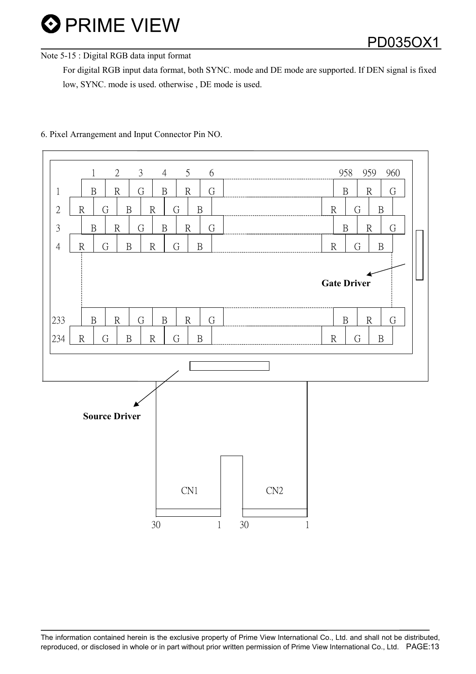PD035OX1

### Note 5-15 : Digital RGB data input format

 For digital RGB input data format, both SYNC. mode and DE mode are supported. If DEN signal is fixed low, SYNC. mode is used. otherwise , DE mode is used.



### 6. Pixel Arrangement and Input Connector Pin NO.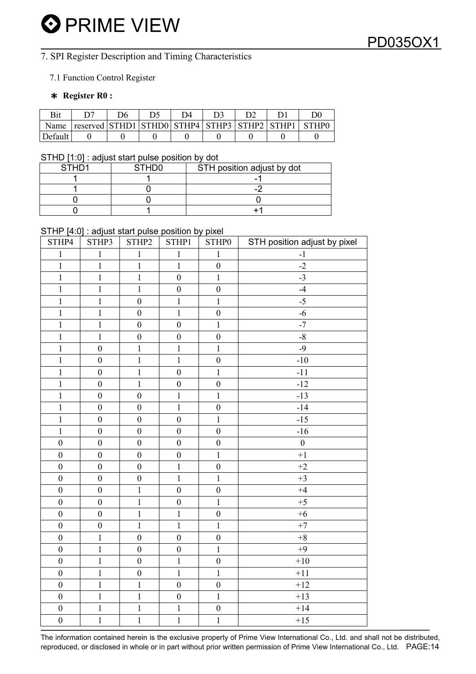### 7. SPI Register Description and Timing Characteristics

### 7.1 Function Control Register

### ! Register R0 :

| Name    | $\vert$ reserved $\vert$ STHD1 $\vert$ STHD0 $\vert$ STHP4 $\vert$ STHP3 $\vert$ STHP2 $\vert$ STHP1 |  |  |  | <b>STHPO</b> |
|---------|------------------------------------------------------------------------------------------------------|--|--|--|--------------|
| Default |                                                                                                      |  |  |  |              |

#### STHD [1:0] : adjust start pulse position by dot

| STH <sub>D1</sub> | <b>STHD0</b> | STH position adjust by dot |
|-------------------|--------------|----------------------------|
|                   |              |                            |
|                   |              |                            |
|                   |              |                            |
|                   |              |                            |

#### STHP [4:0] : adjust start pulse position by pixel

| STHP4            | STHP3            | STHP2                   | STHP1            | STHP0            | STH position adjust by pixel |
|------------------|------------------|-------------------------|------------------|------------------|------------------------------|
| $\mathbf{1}$     | $\mathbf{1}$     | $\,1\,$                 | $\mathbf{1}$     | $\mathbf{1}$     | $-1$                         |
| $\mathbf 1$      | $\mathbf{1}$     | $\mathbf 1$             | $\mathbf{1}$     | $\boldsymbol{0}$ | $-2$                         |
| $\mathbf{1}$     | $\mathbf{1}$     | $\mathbf 1$             | $\boldsymbol{0}$ | $\mathbf{1}$     | $-3$                         |
| $\mathbf 1$      | $\mathbf{1}$     | $\mathbf 1$             | $\boldsymbol{0}$ | $\boldsymbol{0}$ | $-4$                         |
| $\overline{1}$   | $\mathbf 1$      | $\boldsymbol{0}$        | $\mathbf 1$      | $\mathbf{1}$     | $-5$                         |
| $\mathbf{1}$     | $\mathbf{1}$     | $\boldsymbol{0}$        | $\mathbf{1}$     | $\boldsymbol{0}$ | $-6$                         |
| $\mathbf{1}$     | $\mathbf{1}$     | $\boldsymbol{0}$        | $\boldsymbol{0}$ | $\mathbf{1}$     | $-7$                         |
| $\mathbf{1}$     | $\mathbf{1}$     | $\boldsymbol{0}$        | $\boldsymbol{0}$ | $\boldsymbol{0}$ | $-8$                         |
| $\mathbf 1$      | $\boldsymbol{0}$ | $\mathbf 1$             | $\mathbf{1}$     | $\mathbf{1}$     | $-9$                         |
| $\mathbf{1}$     | $\mathbf{0}$     | $\mathbf 1$             | $\mathbf{1}$     | $\boldsymbol{0}$ | $-10$                        |
| $\overline{1}$   | $\mathbf{0}$     | $\overline{\mathbf{1}}$ | $\mathbf{0}$     | $\mathbf{1}$     | $-11$                        |
| $\mathbf{1}$     | $\boldsymbol{0}$ | $\mathbf 1$             | $\boldsymbol{0}$ | $\boldsymbol{0}$ | $-12$                        |
| $\mathbf{1}$     | $\mathbf{0}$     | $\overline{0}$          | $\mathbf{1}$     | $\mathbf{1}$     | $-13$                        |
| $\mathbf 1$      | $\boldsymbol{0}$ | $\boldsymbol{0}$        | $\mathbf{1}$     | $\boldsymbol{0}$ | $-14$                        |
| $\mathbf{1}$     | $\boldsymbol{0}$ | $\boldsymbol{0}$        | $\boldsymbol{0}$ | $\mathbf{1}$     | $-15$                        |
| $\mathbf 1$      | $\boldsymbol{0}$ | $\boldsymbol{0}$        | $\boldsymbol{0}$ | $\boldsymbol{0}$ | $-16$                        |
| $\boldsymbol{0}$ | $\boldsymbol{0}$ | $\boldsymbol{0}$        | $\boldsymbol{0}$ | $\boldsymbol{0}$ | $\boldsymbol{0}$             |
| $\boldsymbol{0}$ | $\boldsymbol{0}$ | $\boldsymbol{0}$        | $\boldsymbol{0}$ | $\mathbf{1}$     | $+1$                         |
| $\boldsymbol{0}$ | $\boldsymbol{0}$ | $\boldsymbol{0}$        | $\mathbf{1}$     | $\boldsymbol{0}$ | $+2$                         |
| $\boldsymbol{0}$ | $\boldsymbol{0}$ | $\boldsymbol{0}$        | $\mathbf{1}$     | $\mathbf{1}$     | $+3$                         |
| $\boldsymbol{0}$ | $\boldsymbol{0}$ | $\mathbf 1$             | $\boldsymbol{0}$ | $\boldsymbol{0}$ | $+4$                         |
| $\boldsymbol{0}$ | $\boldsymbol{0}$ | $\overline{1}$          | $\boldsymbol{0}$ | $\mathbf{1}$     | $+5$                         |
| $\boldsymbol{0}$ | $\boldsymbol{0}$ | $\mathbf 1$             | $\mathbf{1}$     | $\boldsymbol{0}$ | $+6$                         |
| $\boldsymbol{0}$ | $\boldsymbol{0}$ | $\mathbf 1$             | $\mathbf{1}$     | $\mathbf{1}$     | $+7$                         |
| $\boldsymbol{0}$ | $\mathbf{1}$     | $\boldsymbol{0}$        | $\boldsymbol{0}$ | $\boldsymbol{0}$ | $\bf+8$                      |
| $\boldsymbol{0}$ | $\mathbf 1$      | $\boldsymbol{0}$        | $\boldsymbol{0}$ | $\mathbf{1}$     | $+9$                         |
| $\boldsymbol{0}$ | $\mathbf{1}$     | $\boldsymbol{0}$        | $\mathbf{1}$     | $\boldsymbol{0}$ | $+10$                        |
| $\boldsymbol{0}$ | $\mathbf{1}$     | $\boldsymbol{0}$        | $\mathbf{1}$     | $\mathbf{1}$     | $+11$                        |
| $\boldsymbol{0}$ | $\mathbf 1$      | $\mathbf{1}$            | $\boldsymbol{0}$ | $\boldsymbol{0}$ | $+12$                        |
| $\boldsymbol{0}$ | $\mathbf{1}$     | $\mathbf 1$             | $\boldsymbol{0}$ | $\,1$            | $+13$                        |
| $\boldsymbol{0}$ | $\mathbf 1$      | $\boldsymbol{1}$        | $\mathbf 1$      | $\boldsymbol{0}$ | $+14$                        |
| $\boldsymbol{0}$ | $\mathbf{1}$     | $\mathbf{1}$            | $\mathbf{1}$     | $\mathbf{1}$     | $+15$                        |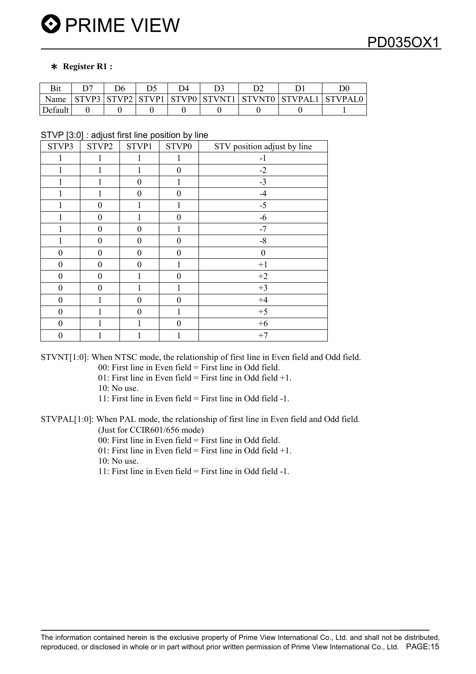#### ! Register R1 :

| Bit     |             |  |                                   |         |
|---------|-------------|--|-----------------------------------|---------|
| Name    | STVP2 STVP1 |  | STVP0   STVNT1   STVNT0   STVPAL] | STVPAL0 |
| Default |             |  |                                   |         |

STVP [3:0] : adjust first line position by line

| STVP3            | STVP2            | STVP1            | STVP0            | STV position adjust by line |
|------------------|------------------|------------------|------------------|-----------------------------|
|                  | 1                | 1                | 1                | $-1$                        |
|                  |                  | 1                | $\overline{0}$   | $-2$                        |
|                  |                  | $\theta$         |                  | $-3$                        |
|                  |                  | $\theta$         | $\overline{0}$   | $-4$                        |
|                  | $\theta$         |                  |                  | $-5$                        |
|                  | $\theta$         |                  | $\theta$         | $-6$                        |
|                  | $\theta$         | $\theta$         |                  | $-7$                        |
|                  | $\boldsymbol{0}$ | $\mathbf{0}$     | $\boldsymbol{0}$ | $-8$                        |
| 0                | $\boldsymbol{0}$ | $\theta$         | $\boldsymbol{0}$ | $\boldsymbol{0}$            |
| 0                | $\boldsymbol{0}$ | $\theta$         |                  | $+1$                        |
| $\boldsymbol{0}$ | $\boldsymbol{0}$ | 1                | $\overline{0}$   | $+2$                        |
| $\boldsymbol{0}$ | $\Omega$         | 1                |                  | $+3$                        |
| $\overline{0}$   |                  | $\overline{0}$   | $\theta$         | $+4$                        |
| $\boldsymbol{0}$ |                  | $\boldsymbol{0}$ | 1                | $+5$                        |
| $\boldsymbol{0}$ |                  |                  | $\overline{0}$   | $+6$                        |
| 0                |                  |                  |                  | $+7$                        |

STVNT[1:0]: When NTSC mode, the relationship of first line in Even field and Odd field.

00: First line in Even field = First line in Odd field.

01: First line in Even field = First line in Odd field  $+1$ .

10: No use.

11: First line in Even field = First line in Odd field -1.

STVPAL[1:0]: When PAL mode, the relationship of first line in Even field and Odd field. (Just for CCIR601/656 mode)

 $00$ : First line in Even field = First line in Odd field.

01: First line in Even field = First line in Odd field  $+1$ .

 $10 \cdot$  No use.

11: First line in Even field = First line in Odd field -1.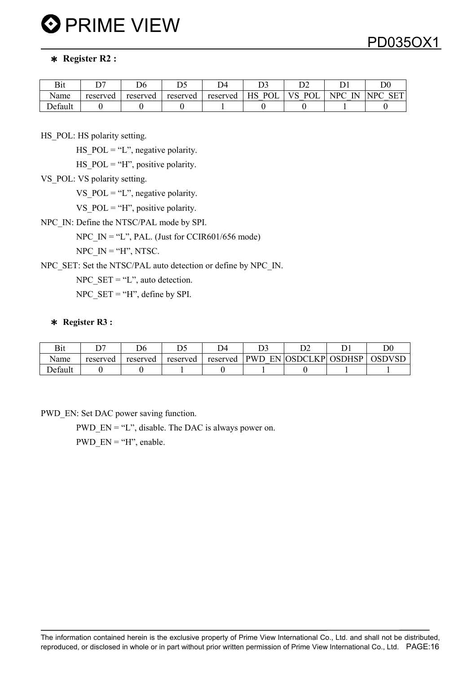### ! Register R2 :

| Bit     | ~~       | r.<br>Dσ |          | DΔ       | ້                | ⌒⌒<br>້ີ້      |                     | $\mathrm{D}0$            |
|---------|----------|----------|----------|----------|------------------|----------------|---------------------|--------------------------|
| Name    | reserved | reserved | reserved | reserved | $D \cap I$<br>НS | P <sub>0</sub> | $\mathbf{L}$<br>NPC | SET<br>$\mathbf{D}$<br>N |
| Default |          |          |          |          |                  |                |                     |                          |

HS POL: HS polarity setting.

HS  $POL = "L"$ , negative polarity.

HS  $POL = "H"$ , positive polarity.

VS POL: VS polarity setting.

VS  $POL = "L"$ , negative polarity.

VS  $POL = "H"$ , positive polarity.

NPC\_IN: Define the NTSC/PAL mode by SPI.

NPC  $IN = "L", PAL.$  (Just for CCIR601/656 mode)

NPC  $IN = "H", NTSC.$ 

NPC\_SET: Set the NTSC/PAL auto detection or define by NPC\_IN.

NPC\_SET = "L", auto detection.

NPC  $SET = "H"$ , define by SPI.

### ! Register R3 :

| Bit     | n o      | D6       | nс       | D4       |                     |              |        | $\overline{\mathrm{D}}{}0$ |
|---------|----------|----------|----------|----------|---------------------|--------------|--------|----------------------------|
| Name    | reserved | reserved | reserved | reserved | <b>PWD</b><br>EN IC | K P<br>OSDCL | OSDHSP | <b>OSDVSD</b>              |
| Default |          |          |          |          |                     |              |        |                            |

PWD\_EN: Set DAC power saving function.

PWD  $EN = "L"$ , disable. The DAC is always power on.

PWD  $EN = "H"$ , enable.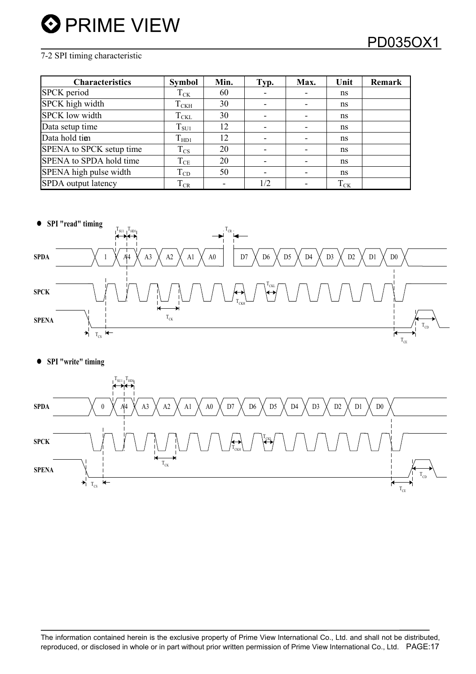### 7-2 SPI timing characteristic

| <b>Characteristics</b>   | <b>Symbol</b> | Min. | Typ.                     | Max. | Unit     | Remark |
|--------------------------|---------------|------|--------------------------|------|----------|--------|
| SPCK period              | $T_{CK}$      | 60   |                          |      | ns       |        |
| SPCK high width          | $T_{\rm CKH}$ | 30   | $\overline{\phantom{0}}$ |      | ns       |        |
| <b>SPCK</b> low width    | $T_{\rm CKL}$ | 30   |                          |      | ns       |        |
| Data setup time          | $T_{\rm SU1}$ | 12   | $\overline{\phantom{0}}$ |      | ns       |        |
| Data hold tim            | $T_{HD1}$     | 12   |                          |      | ns       |        |
| SPENA to SPCK setup time | $T_{\rm CS}$  | 20   | $\overline{\phantom{0}}$ |      | ns       |        |
| SPENA to SPDA hold time  | $T_{CE}$      | 20   | $\overline{\phantom{0}}$ |      | ns       |        |
| SPENA high pulse width   | $T_{CD}$      | 50   | $\overline{\phantom{0}}$ |      | ns       |        |
| SPDA output latency      | $T_{CR}$      |      | 1/2                      |      | $T_{CK}$ |        |



• SPI "write" timing

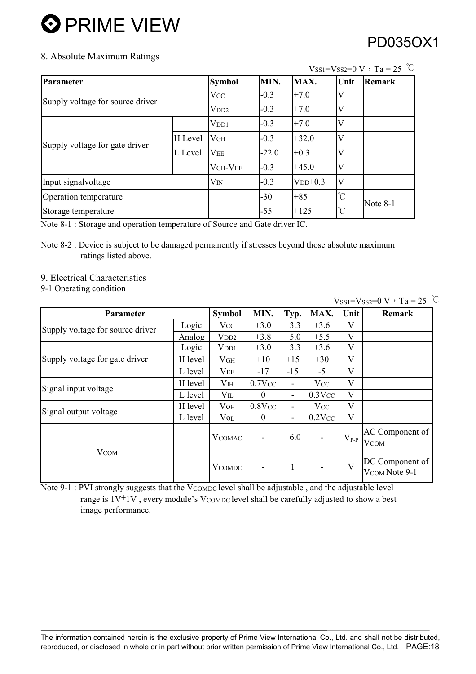### 8. Absolute Maximum Ratings

## PD035OX1

| Parameter                        |         | <b>Symbol</b>    | MIN.    | MAX.      | Unit                 | Remark   |
|----------------------------------|---------|------------------|---------|-----------|----------------------|----------|
|                                  |         | <b>VCC</b>       | $-0.3$  | $+7.0$    | V                    |          |
| Supply voltage for source driver |         | V <sub>DD2</sub> | $-0.3$  | $+7.0$    | V                    |          |
|                                  |         | V <sub>DD1</sub> | $-0.3$  | $+7.0$    | V                    |          |
|                                  | H Level | V <sub>GH</sub>  | $-0.3$  | $+32.0$   | V                    |          |
| Supply voltage for gate driver   | L Level | V <sub>EE</sub>  | $-22.0$ | $+0.3$    |                      |          |
|                                  |         | VGH-VEE          | $-0.3$  | $+45.0$   | V                    |          |
| Input signalvoltage              |         | $V_{IN}$         | $-0.3$  | $VDD+0.3$ | IV                   |          |
| Operation temperature            |         |                  | $-30$   | $+85$     | $\mathrm{C}$         |          |
| Storage temperature              |         |                  | $-55$   | $+125$    | $\mathrm{C}^{\circ}$ | Note 8-1 |

 $V$ ss<sub>1</sub>= $V$ ss<sub>2</sub>=0 V  $\cdot$  T<sub>a</sub> = 25 °C

Note 8-1 : Storage and operation temperature of Source and Gate driver IC.

Note 8-2 : Device is subject to be damaged permanently if stresses beyond those absolute maximum ratings listed above.

### 9. Electrical Characteristics

9-1 Operating condition

 $V$ SS1= $V$ SS2=0 V  $\cdot$  Ta = 25 °C

| <b>Parameter</b>                 |         | <b>Symbol</b>    | MIN.                     | Typ.                     | MAX.           | Unit      | Remark                           |
|----------------------------------|---------|------------------|--------------------------|--------------------------|----------------|-----------|----------------------------------|
| Supply voltage for source driver | Logic   | $\rm V_{CC}$     | $+3.0$                   | $+3.3$                   | $+3.6$         | V         |                                  |
|                                  | Analog  | V <sub>DD2</sub> | $+3.8$                   | $+5.0$                   | $+5.5$         | V         |                                  |
|                                  | Logic   | V <sub>DD1</sub> | $+3.0$                   | $+3.3$                   | $+3.6$         | V         |                                  |
| Supply voltage for gate driver   | H level | V <sub>GH</sub>  | $+10$                    | $+15$                    | $+30$          | V         |                                  |
|                                  | L level | $V_{EE}$         | $-17$                    | $-15$                    | $-5$           | V         |                                  |
| Signal input voltage             | H level | V <sub>IH</sub>  | $0.7$ V $cc$             | Ξ.                       | <b>V</b> cc    | V         |                                  |
|                                  | L level | $V_{\rm IL}$     | $\theta$                 | $\overline{\phantom{a}}$ | $0.3$ Vcc      | V         |                                  |
| Signal output voltage            | H level | $V$ OH           | $0.8$ V $cc$             | Ξ.                       | <b>V</b> cc    | V         |                                  |
|                                  | L level | $V_{OL}$         | $\theta$                 | $\overline{\phantom{a}}$ | $0.2$ V $cc$   | V         |                                  |
|                                  |         | <b>V</b> COMAC   | $\overline{\phantom{a}}$ | $+6.0$                   | $\blacksquare$ | $V_{P-P}$ | AC Component of<br><b>V</b> COM  |
| <b>V</b> COM                     |         | <b>V</b> COMDC   |                          | $\mathbf{1}$             | $\blacksquare$ | V         | DC Component of<br>VCOM Note 9-1 |

Note 9-1 : PVI strongly suggests that the VCOMDC level shall be adjustable, and the adjustable level range is  $1V_{-}^{\pm}1V$ , every module's VCOMDC level shall be carefully adjusted to show a best image performance.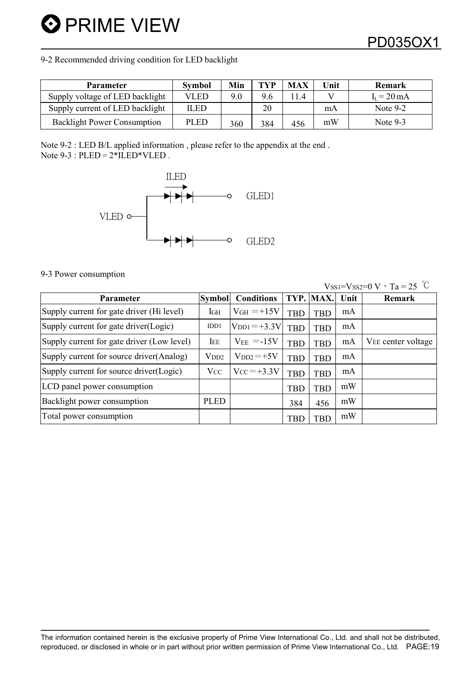9-2 Recommended driving condition for LED backlight

| <b>Parameter</b>                   | <b>Symbol</b> | Min | TYP | <b>MAX</b> | Unit | Remark                |
|------------------------------------|---------------|-----|-----|------------|------|-----------------------|
| Supply voltage of LED backlight    | VLED          | 9.0 | 9.6 |            |      | $I_I = 20 \text{ mA}$ |
| Supply current of LED backlight    | ILED          |     | 20  |            | mA   | Note 9-2              |
| <b>Backlight Power Consumption</b> | <b>PLED</b>   | 360 | 384 | 456        | mW   | Note 9-3              |

Note 9-2 : LED B/L applied information , please refer to the appendix at the end . Note  $9-3$ :  $PLED = 2*ILED*VLED$ .



#### 9-3 Power consumption

 $V_{\text{SS1}}=V_{\text{SS2}}=0 \text{ V} \cdot \text{Ta} = 25 \text{ °C}$ 

| Parameter                                  | <b>Symbol</b>         | <b>Conditions</b>                | TYP.       | MAX.       | Unit | Remark             |
|--------------------------------------------|-----------------------|----------------------------------|------------|------------|------|--------------------|
| Supply current for gate driver (Hi level)  | l <sub>GH</sub>       | $V_{GH} = +15V$                  | <b>TBD</b> | <b>TBD</b> | mA   |                    |
| Supply current for gate driver(Logic)      | IDD1                  | $V_{\text{DD1}} = +3.3 \text{V}$ | <b>TBD</b> | <b>TBD</b> | mA   |                    |
| Supply current for gate driver (Low level) | IEE                   | $V_{EE} = -15V$                  | <b>TBD</b> | <b>TBD</b> | mA   | VEE center voltage |
| Supply current for source driver (Analog)  | V <sub>DD2</sub>      | $V_{DD2} = +5V$                  | <b>TBD</b> | <b>TBD</b> | mA   |                    |
| Supply current for source driver (Logic)   | <b>V</b> <sub>C</sub> | $V_{CC} = +3.3V$                 | <b>TBD</b> | <b>TBD</b> | mA   |                    |
| LCD panel power consumption                |                       |                                  | <b>TBD</b> | <b>TBD</b> | mW   |                    |
| Backlight power consumption                | <b>PLED</b>           |                                  | 384        | 456        | mW   |                    |
| Total power consumption                    |                       |                                  | <b>TBD</b> | <b>TBD</b> | mW   |                    |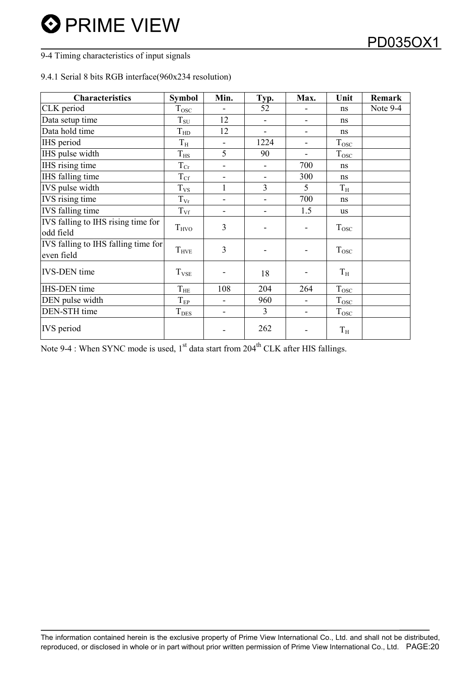### 9-4 Timing characteristics of input signals

### 9.4.1 Serial 8 bits RGB interface(960x234 resolution)

| <b>Characteristics</b>                            | <b>Symbol</b>  | Min.                         | Typ.                         | Max.                     | Unit               | Remark   |
|---------------------------------------------------|----------------|------------------------------|------------------------------|--------------------------|--------------------|----------|
| CLK period                                        | $T_{\rm{OSC}}$ |                              | 52                           |                          | ns                 | Note 9-4 |
| Data setup time                                   | $T_{\rm SU}$   | 12                           | $\overline{\phantom{0}}$     | $\overline{\phantom{0}}$ | ns                 |          |
| Data hold time                                    | $T_{HD}$       | 12                           |                              |                          | ns                 |          |
| IHS period                                        | $T_{\rm H}$    | $\blacksquare$               | 1224                         |                          | T <sub>osc</sub>   |          |
| IHS pulse width                                   | $T_{\rm HS}$   | 5                            | 90                           |                          | $T_{\rm{osc}}$     |          |
| <b>IHS</b> rising time                            | $T_{Cr}$       |                              |                              | 700                      | ns                 |          |
| IHS falling time                                  | $T_{\rm Cf}$   | -                            | $\blacksquare$               | 300                      | ns                 |          |
| IVS pulse width                                   | $T_{VS}$       | $\mathbf{1}$                 | $\overline{3}$               | 5                        | $T_{\rm H}$        |          |
| IVS rising time                                   | $T_{\rm Vr}$   | $\qquad \qquad \blacksquare$ | $\qquad \qquad \blacksquare$ | 700                      | ns                 |          |
| <b>IVS</b> falling time                           | $T_{\rm Vf}$   |                              |                              | 1.5                      | us                 |          |
| IVS falling to IHS rising time for<br>odd field   | $T_{HVO}$      | 3                            |                              |                          | T <sub>osc</sub>   |          |
| IVS falling to IHS falling time for<br>even field | $T_{\rm HVE}$  | 3                            |                              |                          | T <sub>osc</sub>   |          |
| <b>IVS-DEN</b> time                               | $T_{VSE}$      |                              | 18                           |                          | $T_{\rm H}$        |          |
| <b>IHS-DEN</b> time                               | $T_{\rm HE}$   | 108                          | 204                          | 264                      | $T_{\rm{OSC}}$     |          |
| DEN pulse width                                   | $T_{EP}$       | -                            | 960                          |                          | $T_{\rm{osc}}$     |          |
| DEN-STH time                                      | $T_{\rm DES}$  |                              | $\overline{3}$               |                          | $T_{\mathrm{osc}}$ |          |
| <b>IVS</b> period                                 |                |                              | 262                          |                          | $T_{\rm H}$        |          |

Note 9-4 : When SYNC mode is used,  $1<sup>st</sup>$  data start from 204<sup>th</sup> CLK after HIS fallings.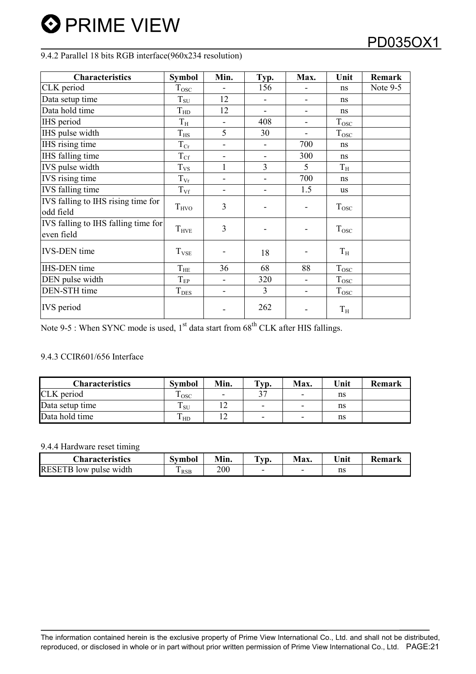### 9.4.2 Parallel 18 bits RGB interface(960x234 resolution)

| <b>Characteristics</b>                            | <b>Symbol</b>           | Min.                         | Typ.           | Max.                     | Unit             | <b>Remark</b> |
|---------------------------------------------------|-------------------------|------------------------------|----------------|--------------------------|------------------|---------------|
| CLK period                                        | $T_{\rm{OSC}}$          |                              | 156            |                          | ns               | Note 9-5      |
| Data setup time                                   | $T_{\rm SU}$            | 12                           |                |                          | ns               |               |
| Data hold time                                    | $T_{HD}$                | 12                           | -              | $\overline{\phantom{a}}$ | ns               |               |
| IHS period                                        | $T_{\rm H}$             |                              | 408            |                          | $T_{\rm{osc}}$   |               |
| IHS pulse width                                   | $T_{\rm HS}$            | 5                            | 30             | -                        | $T_{\rm{osc}}$   |               |
| IHS rising time                                   | $T_{Cr}$                | -                            |                | 700                      | ns               |               |
| IHS falling time                                  | $T_{\rm Cf}$            | -                            |                | 300                      | ns               |               |
| IVS pulse width                                   | $T_{VS}$                |                              | 3              | 5                        | $T_{\rm H}$      |               |
| <b>IVS</b> rising time                            | $T_{\rm Vr}$            | -                            |                | 700                      | ns               |               |
| IVS falling time                                  | $T_{\rm Vf}$            | -                            | -              | 1.5                      | us               |               |
| IVS falling to IHS rising time for<br>odd field   | $T_{HVO}$               | $\overline{3}$               |                | -                        | $T_{\rm{osc}}$   |               |
| IVS falling to IHS falling time for<br>even field | $T_{\rm HVE}$           | $\overline{3}$               |                | -                        | $T_{\rm{osc}}$   |               |
| <b>IVS-DEN</b> time                               | <b>T</b> <sub>VSE</sub> |                              | 18             |                          | $T_{\rm H}$      |               |
| <b>IHS-DEN</b> time                               | $T_{\rm HE}$            | 36                           | 68             | 88                       | $T_{\rm{OSC}}$   |               |
| DEN pulse width                                   | $\rm T_{EP}$            | -                            | 320            |                          | $T_{\rm{osc}}$   |               |
| DEN-STH time                                      | <b>T</b> <sub>DES</sub> | $\qquad \qquad \blacksquare$ | $\overline{3}$ | $\overline{\phantom{a}}$ | T <sub>osc</sub> |               |
| <b>IVS</b> period                                 |                         |                              | 262            |                          | $T_{\rm H}$      |               |

Note 9-5 : When SYNC mode is used,  $1<sup>st</sup>$  data start from 68<sup>th</sup> CLK after HIS fallings.

### 9.4.3 CCIR601/656 Interface

| <b>Characteristics</b> | <b>Symbol</b> | Min. | $\mathbf{Typ}$ . | <b>Max.</b> | <b>Jnit</b> | <b>Remark</b> |
|------------------------|---------------|------|------------------|-------------|-------------|---------------|
| CLK period             | l osc         |      |                  |             | ns          |               |
| Data setup time        | l su          |      | -                | -           | ns          |               |
| Data hold time         | I HD.         |      |                  |             | ns          |               |

### 9.4.4 Hardware reset timing

| <b>Characteristics</b>        | Symbol          | Min. | <b>CONT</b><br>VD. | Max. | $\mathbf{v}$ Init | Remark |
|-------------------------------|-----------------|------|--------------------|------|-------------------|--------|
| <b>RESETB</b> low pulse width | m<br><b>RSB</b> | 200  |                    |      | ns                |        |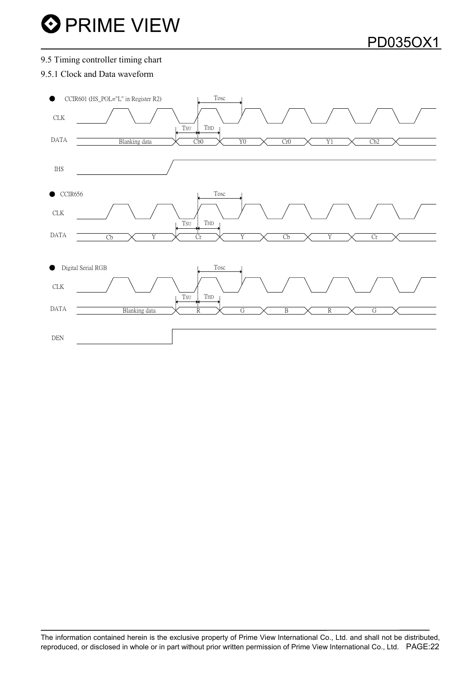#### 9.5 Timing controller timing chart

### 9.5.1 Clock and Data waveform

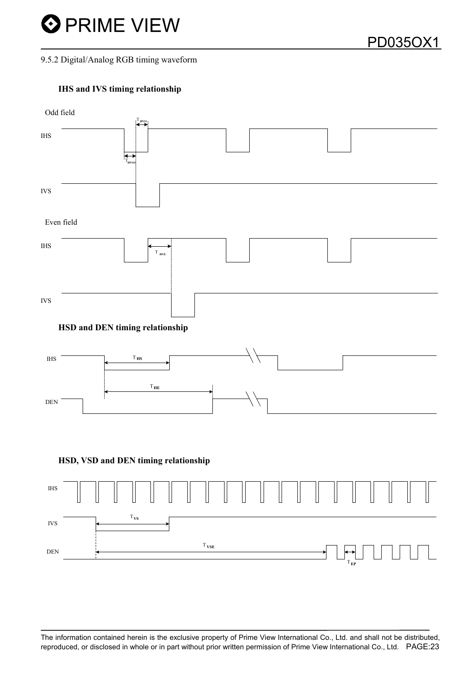

9.5.2 Digital/Analog RGB timing waveform

### IHS and IVS timing relationship



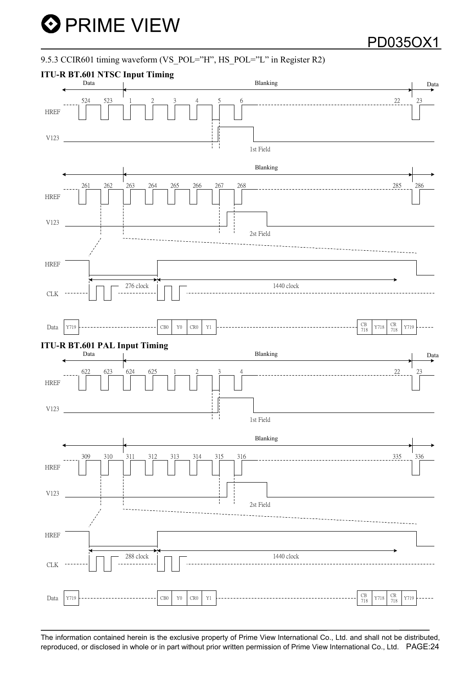### 9.5.3 CCIR601 timing waveform (VS\_POL="H", HS\_POL="L" in Register R2)

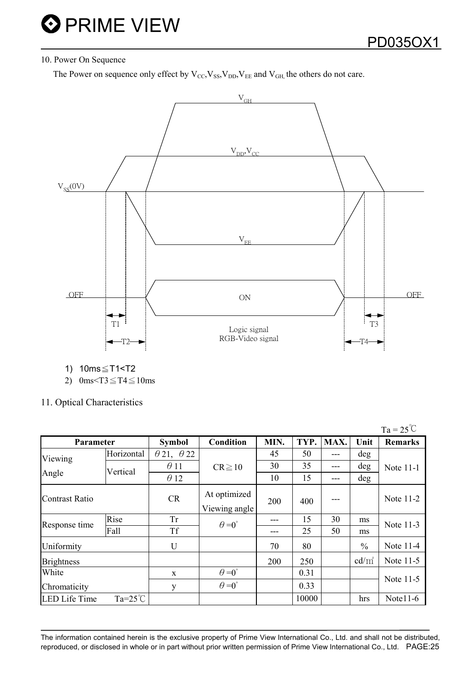### 10. Power On Sequence

The Power on sequence only effect by  $V_{\text{CC}}$ ,  $V_{SS}$ ,  $V_{DD}$ ,  $V_{EE}$  and  $V_{GH}$ , the others do not care.



1) 10ms ≤ T1<T2

2) 0ms $\overline{ST3} \leq T4 \leq 10$ ms

11. Optical Characteristics

|                       |                  |                          |                               |      |       |      |               | $Ta = 25^{\circ}C$ |
|-----------------------|------------------|--------------------------|-------------------------------|------|-------|------|---------------|--------------------|
| Parameter             |                  | <b>Symbol</b>            | Condition                     | MIN. | TYP.  | MAX. | Unit          | <b>Remarks</b>     |
| Viewing               | Horizontal       | $\theta$ 21, $\theta$ 22 |                               | 45   | 50    | ---  | deg           |                    |
| Angle                 | Vertical         | $\theta$ 11              | $CR \ge 10$                   | 30   | 35    | ---  | deg           | Note 11-1          |
|                       |                  | $\theta$ 12              |                               | 10   | 15    | ---  | deg           |                    |
| <b>Contrast Ratio</b> |                  | <b>CR</b>                | At optimized<br>Viewing angle | 200  | 400   | ---  |               | Note 11-2          |
|                       | Rise             | <b>Tr</b>                | $\theta = 0^{\circ}$          |      | 15    | 30   | ms            | Note 11-3          |
| Response time         | Fall             | <b>Tf</b>                |                               |      | 25    | 50   | ms            |                    |
| Uniformity            |                  | U                        |                               | 70   | 80    |      | $\frac{0}{0}$ | Note 11-4          |
| <b>Brightness</b>     |                  |                          |                               | 200  | 250   |      | $cd/m^2$      | Note 11-5          |
| White                 |                  | $\mathbf{X}$             | $\theta = 0^{\circ}$          |      | 0.31  |      |               |                    |
| Chromaticity          |                  | y                        | $\theta = 0^{\circ}$          |      | 0.33  |      |               | Note 11-5          |
| <b>LED Life Time</b>  | $Ta=25^{\circ}C$ |                          |                               |      | 10000 |      | hrs           | Note $11-6$        |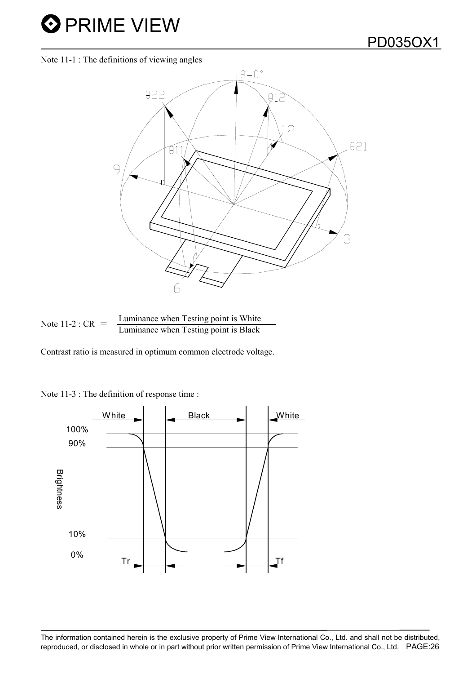## PD035OX1

Note 11-1 : The definitions of viewing angles



Note 11-2 : 
$$
CR
$$
 =  $\frac{Luminance \text{ when Testing point is White}}{Luminance \text{ when Testing point is Black}}$ 

Contrast ratio is measured in optimum common electrode voltage.

Note 11-3 : The definition of response time :

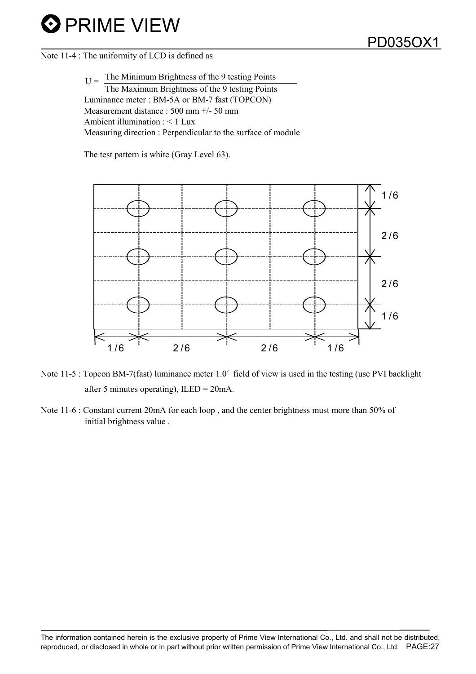### Note 11-4 : The uniformity of LCD is defined as

 $T_1$  The Minimum Brightness of the 9 testing Points The Maximum Brightness of the 9 testing Points Luminance meter : BM-5A or BM-7 fast (TOPCON) Measurement distance : 500 mm +/- 50 mm Ambient illumination : < 1 Lux Measuring direction : Perpendicular to the surface of module

The test pattern is white (Gray Level 63).



Note 11-5 : Topcon BM-7(fast) luminance meter  $1.0^{\circ}$  field of view is used in the testing (use PVI backlight after 5 minutes operating), ILED = 20mA.

Note 11-6 : Constant current 20mA for each loop , and the center brightness must more than 50% of initial brightness value .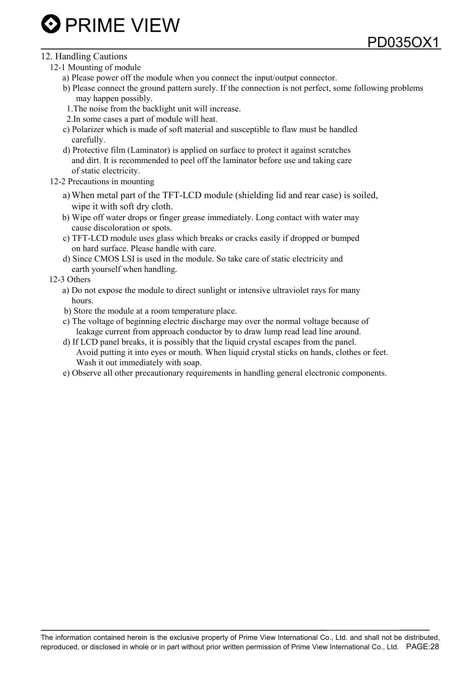## PD035OX1

### 12. Handling Cautions

- 12-1 Mounting of module
	- a) Please power off the module when you connect the input/output connector.
	- b) Please connect the ground pattern surely. If the connection is not perfect, some following problems may happen possibly.
	- 1.The noise from the backlight unit will increase.
	- 2.In some cases a part of module will heat.
	- c) Polarizer which is made of soft material and susceptible to flaw must be handled carefully.
	- d) Protective film (Laminator) is applied on surface to protect it against scratches and dirt. It is recommended to peel off the laminator before use and taking care of static electricity.
- 12-2 Precautions in mounting
	- a)When metal part of the TFT-LCD module (shielding lid and rear case) is soiled, wipe it with soft dry cloth.
	- b) Wipe off water drops or finger grease immediately. Long contact with water may cause discoloration or spots.
	- c) TFT-LCD module uses glass which breaks or cracks easily if dropped or bumped on hard surface. Please handle with care.
	- d) Since CMOS LSI is used in the module. So take care of static electricity and earth yourself when handling.

### 12-3 Others

- a) Do not expose the module to direct sunlight or intensive ultraviolet rays for many hours.
- b) Store the module at a room temperature place.
- c) The voltage of beginning electric discharge may over the normal voltage because of leakage current from approach conductor by to draw lump read lead line around.
- d) If LCD panel breaks, it is possibly that the liquid crystal escapes from the panel. Avoid putting it into eyes or mouth. When liquid crystal sticks on hands, clothes or feet. Wash it out immediately with soap.
- e) Observe all other precautionary requirements in handling general electronic components.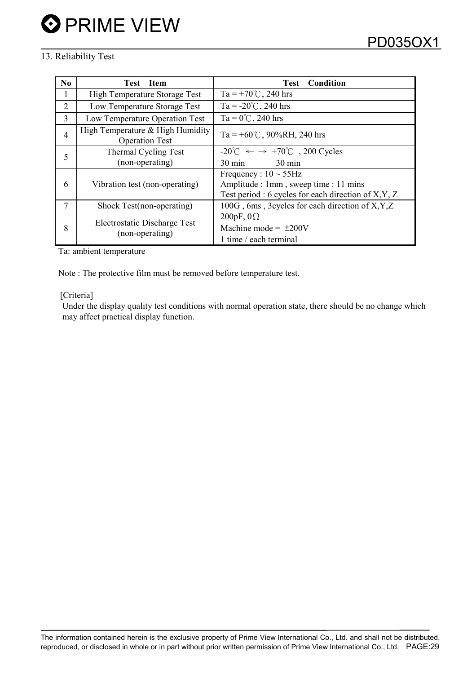### 13. Reliability Test

| No. | Test Item                                                 | <b>Condition</b><br><b>Test</b>                                        |  |  |  |
|-----|-----------------------------------------------------------|------------------------------------------------------------------------|--|--|--|
| 1   | <b>High Temperature Storage Test</b>                      | Ta = +70°C, 240 hrs                                                    |  |  |  |
| 2   | Low Temperature Storage Test                              | Ta = $-20^{\circ}$ C, 240 hrs                                          |  |  |  |
| 3   | Low Temperature Operation Test                            | $Ta = 0^{\circ}C$ , 240 hrs                                            |  |  |  |
| 4   | High Temperature & High Humidity<br><b>Operation Test</b> | Ta = +60°C, 90%RH, 240 hrs                                             |  |  |  |
|     | Thermal Cycling Test                                      | $-20^{\circ}$ C $\leftarrow$ $\rightarrow$ $+70^{\circ}$ C, 200 Cycles |  |  |  |
| 5   | (non-operating)                                           | $30 \text{ min}$<br>$30 \text{ min}$                                   |  |  |  |
| 6   |                                                           | Frequency : $10 \sim 55$ Hz                                            |  |  |  |
|     | Vibration test (non-operating)                            | Amplitude : 1mm, sweep time : 11 mins                                  |  |  |  |
|     |                                                           | Test period : 6 cycles for each direction of $X, Y, Z$                 |  |  |  |
| 7   | Shock Test(non-operating)                                 | 100G, 6ms, 3cycles for each direction of X, Y, Z                       |  |  |  |
| 8   | Electrostatic Discharge Test                              | 200pF, $0\Omega$                                                       |  |  |  |
|     |                                                           | Machine mode = $\pm 200V$                                              |  |  |  |
|     | (non-operating)                                           | 1 time / each terminal                                                 |  |  |  |

Ta: ambient temperature

Note : The protective film must be removed before temperature test.

### [Criteria]

Under the display quality test conditions with normal operation state, there should be no change which may affect practical display function.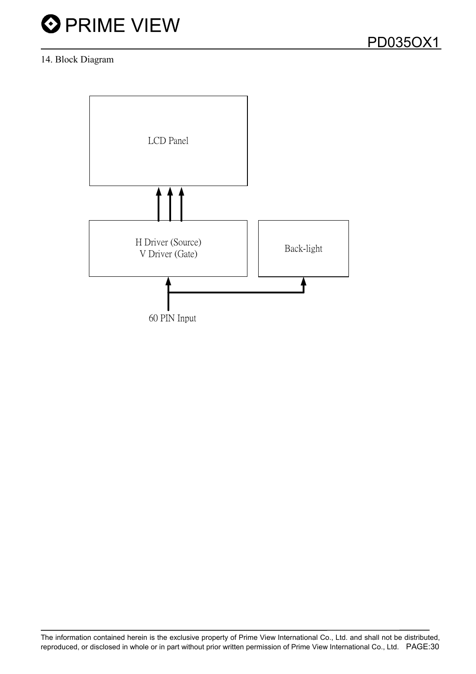### 14. Block Diagram

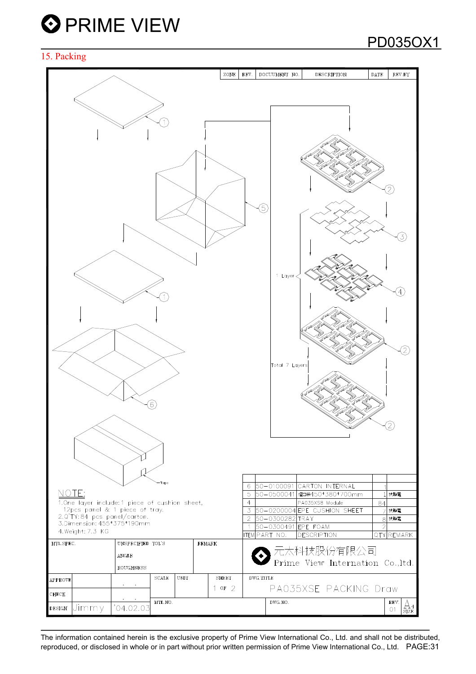### 15. Packing



PD035OX1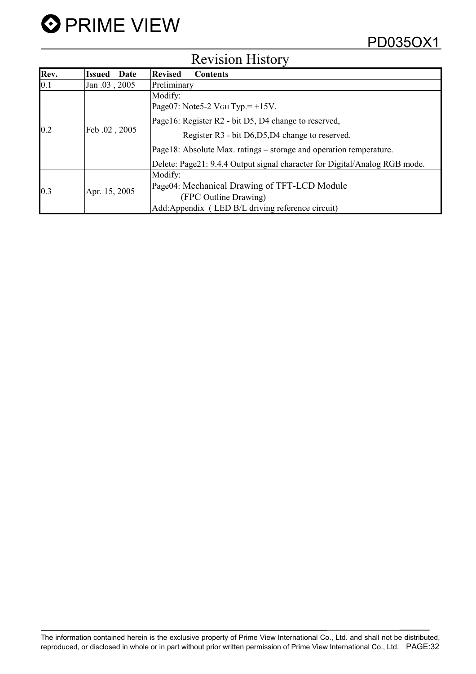

| $\mathbf{r}$ |                       |                                                                            |  |  |  |  |  |
|--------------|-----------------------|----------------------------------------------------------------------------|--|--|--|--|--|
| Rev.         | Date<br><b>Issued</b> | <b>Revised</b><br><b>Contents</b>                                          |  |  |  |  |  |
| $\vert$ 0.1  | Jan .03, 2005         | Preliminary                                                                |  |  |  |  |  |
| 0.2          |                       | Modify:                                                                    |  |  |  |  |  |
|              |                       | Page07: Note 5-2 VGH Typ. $= +15V$ .                                       |  |  |  |  |  |
|              |                       | Page16: Register R2 - bit D5, D4 change to reserved,                       |  |  |  |  |  |
|              | Feb.02, 2005          | Register R3 - bit D6, D5, D4 change to reserved.                           |  |  |  |  |  |
|              |                       | Page18: Absolute Max. ratings – storage and operation temperature.         |  |  |  |  |  |
|              |                       | Delete: Page21: 9.4.4 Output signal character for Digital/Analog RGB mode. |  |  |  |  |  |
| 0.3          |                       | Modify:                                                                    |  |  |  |  |  |
|              |                       | Page04: Mechanical Drawing of TFT-LCD Module                               |  |  |  |  |  |
|              | Apr. 15, 2005         | (FPC Outline Drawing)                                                      |  |  |  |  |  |
|              |                       | Add: Appendix (LED B/L driving reference circuit)                          |  |  |  |  |  |

## Revision History